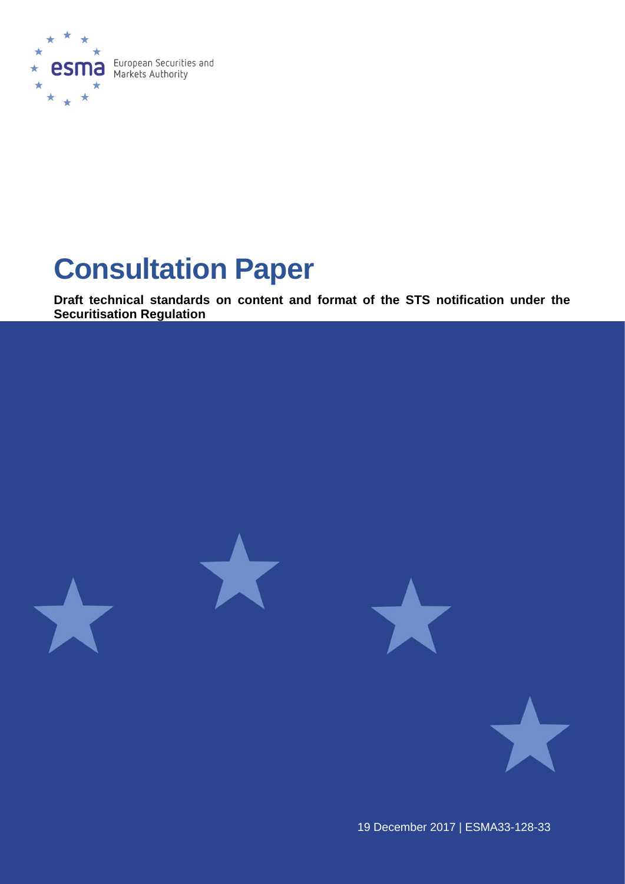

# **Consultation Paper**

**Draft technical standards on content and format of the STS notification under the Securitisation Regulation**



19 December 2017 | ESMA33-128-33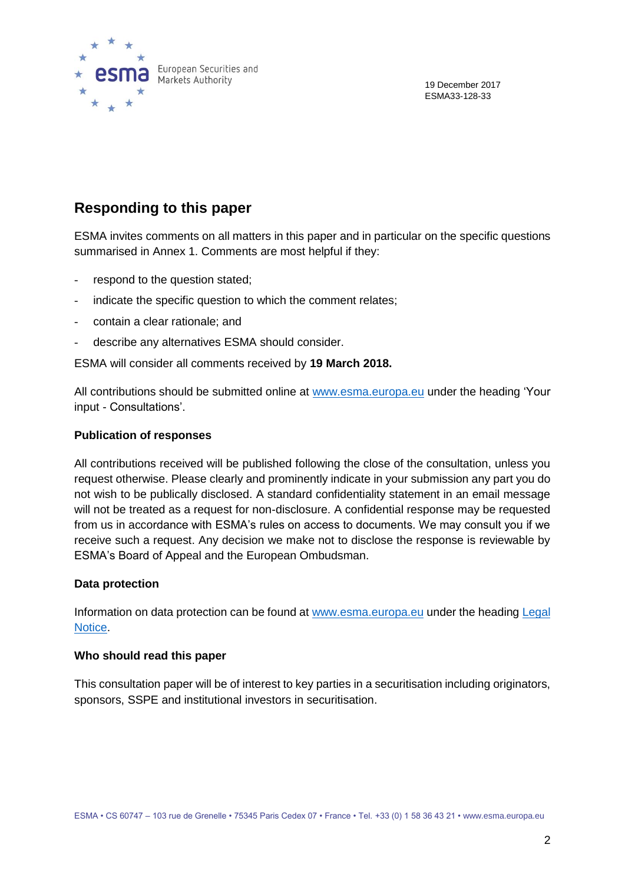

19 December 2017 ESMA33-128-33

### **Responding to this paper**

ESMA invites comments on all matters in this paper and in particular on the specific questions summarised in Annex 1. Comments are most helpful if they:

- respond to the question stated;
- indicate the specific question to which the comment relates;
- contain a clear rationale; and
- describe any alternatives ESMA should consider.

ESMA will consider all comments received by **19 March 2018.**

All contributions should be submitted online at [www.esma.europa.eu](http://www.esma.europa.eu/) under the heading 'Your input - Consultations'.

#### **Publication of responses**

All contributions received will be published following the close of the consultation, unless you request otherwise. Please clearly and prominently indicate in your submission any part you do not wish to be publically disclosed. A standard confidentiality statement in an email message will not be treated as a request for non-disclosure. A confidential response may be requested from us in accordance with ESMA's rules on access to documents. We may consult you if we receive such a request. Any decision we make not to disclose the response is reviewable by ESMA's Board of Appeal and the European Ombudsman.

#### **Data protection**

Information on data protection can be found at [www.esma.europa.eu](http://www.esma.europa.eu/) under the heading [Legal](http://www.esma.europa.eu/legal-notice)  [Notice.](http://www.esma.europa.eu/legal-notice)

#### **Who should read this paper**

This consultation paper will be of interest to key parties in a securitisation including originators, sponsors, SSPE and institutional investors in securitisation.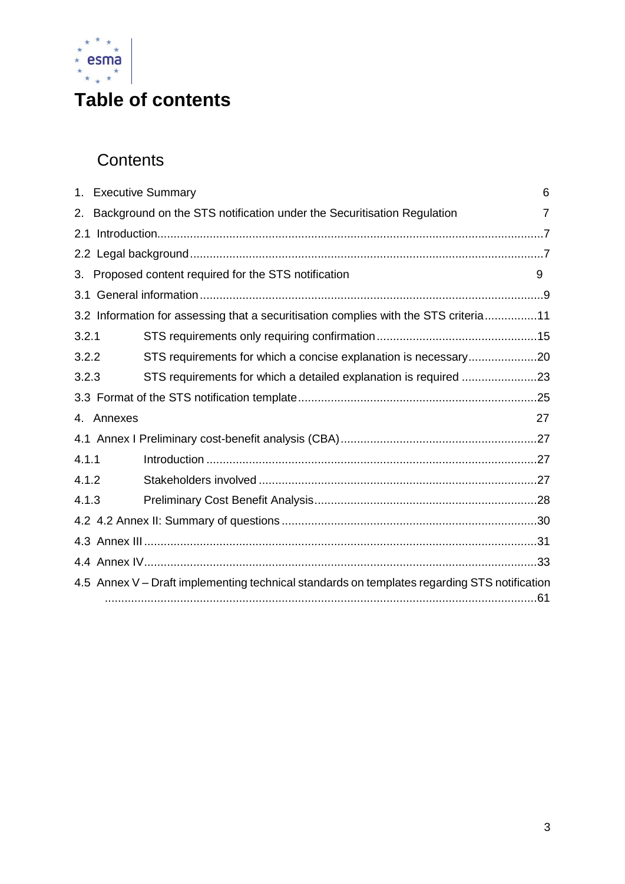

# **Table of contents**

# **Contents**

| 1.    | <b>Executive Summary</b><br>6                                                                |  |  |  |  |  |  |
|-------|----------------------------------------------------------------------------------------------|--|--|--|--|--|--|
| 2.    | Background on the STS notification under the Securitisation Regulation<br>7                  |  |  |  |  |  |  |
| 2.1   |                                                                                              |  |  |  |  |  |  |
|       |                                                                                              |  |  |  |  |  |  |
| 3.    | Proposed content required for the STS notification<br>9                                      |  |  |  |  |  |  |
|       |                                                                                              |  |  |  |  |  |  |
|       | 3.2 Information for assessing that a securitisation complies with the STS criteria11         |  |  |  |  |  |  |
| 3.2.1 |                                                                                              |  |  |  |  |  |  |
| 3.2.2 | STS requirements for which a concise explanation is necessary20                              |  |  |  |  |  |  |
| 3.2.3 |                                                                                              |  |  |  |  |  |  |
|       |                                                                                              |  |  |  |  |  |  |
|       | 27<br>4. Annexes                                                                             |  |  |  |  |  |  |
|       |                                                                                              |  |  |  |  |  |  |
| 4.1.1 |                                                                                              |  |  |  |  |  |  |
| 4.1.2 |                                                                                              |  |  |  |  |  |  |
| 4.1.3 |                                                                                              |  |  |  |  |  |  |
|       |                                                                                              |  |  |  |  |  |  |
|       |                                                                                              |  |  |  |  |  |  |
|       |                                                                                              |  |  |  |  |  |  |
|       | 4.5 Annex V - Draft implementing technical standards on templates regarding STS notification |  |  |  |  |  |  |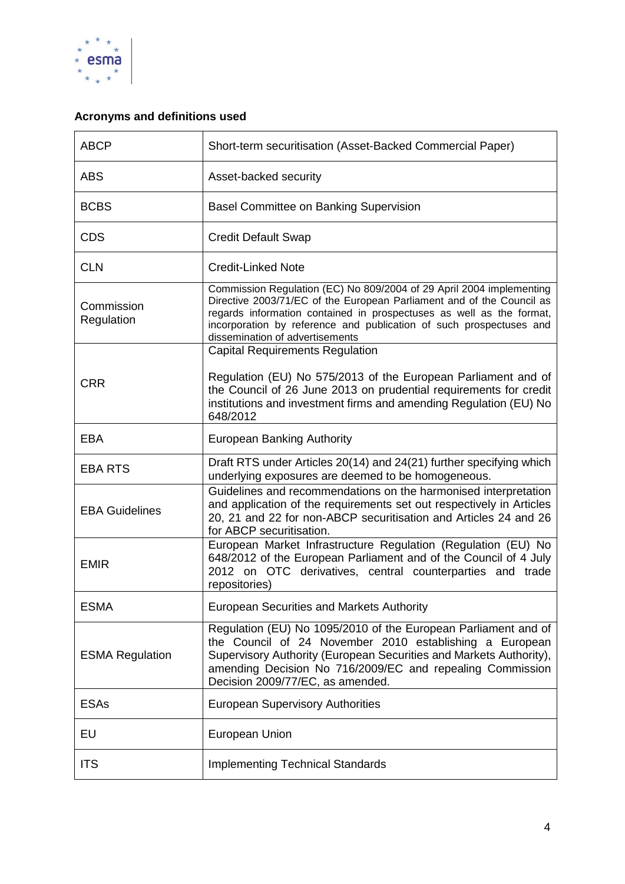

### **Acronyms and definitions used**

| <b>ABCP</b>              | Short-term securitisation (Asset-Backed Commercial Paper)                                                                                                                                                                                                                                                                       |
|--------------------------|---------------------------------------------------------------------------------------------------------------------------------------------------------------------------------------------------------------------------------------------------------------------------------------------------------------------------------|
| <b>ABS</b>               | Asset-backed security                                                                                                                                                                                                                                                                                                           |
| <b>BCBS</b>              | <b>Basel Committee on Banking Supervision</b>                                                                                                                                                                                                                                                                                   |
| <b>CDS</b>               | <b>Credit Default Swap</b>                                                                                                                                                                                                                                                                                                      |
| <b>CLN</b>               | <b>Credit-Linked Note</b>                                                                                                                                                                                                                                                                                                       |
| Commission<br>Regulation | Commission Regulation (EC) No 809/2004 of 29 April 2004 implementing<br>Directive 2003/71/EC of the European Parliament and of the Council as<br>regards information contained in prospectuses as well as the format,<br>incorporation by reference and publication of such prospectuses and<br>dissemination of advertisements |
|                          | <b>Capital Requirements Regulation</b>                                                                                                                                                                                                                                                                                          |
| <b>CRR</b>               | Regulation (EU) No 575/2013 of the European Parliament and of<br>the Council of 26 June 2013 on prudential requirements for credit<br>institutions and investment firms and amending Regulation (EU) No<br>648/2012                                                                                                             |
| <b>EBA</b>               | <b>European Banking Authority</b>                                                                                                                                                                                                                                                                                               |
| <b>EBA RTS</b>           | Draft RTS under Articles 20(14) and 24(21) further specifying which<br>underlying exposures are deemed to be homogeneous.                                                                                                                                                                                                       |
| <b>EBA Guidelines</b>    | Guidelines and recommendations on the harmonised interpretation<br>and application of the requirements set out respectively in Articles<br>20, 21 and 22 for non-ABCP securitisation and Articles 24 and 26<br>for ABCP securitisation.                                                                                         |
| <b>EMIR</b>              | European Market Infrastructure Regulation (Regulation (EU) No<br>648/2012 of the European Parliament and of the Council of 4 July<br>2012 on OTC derivatives, central counterparties and trade<br>repositories)                                                                                                                 |
| <b>ESMA</b>              | European Securities and Markets Authority                                                                                                                                                                                                                                                                                       |
| <b>ESMA Regulation</b>   | Regulation (EU) No 1095/2010 of the European Parliament and of<br>the Council of 24 November 2010 establishing a European<br>Supervisory Authority (European Securities and Markets Authority),<br>amending Decision No 716/2009/EC and repealing Commission<br>Decision 2009/77/EC, as amended.                                |
| <b>ESAs</b>              | <b>European Supervisory Authorities</b>                                                                                                                                                                                                                                                                                         |
| EU                       | European Union                                                                                                                                                                                                                                                                                                                  |
| <b>ITS</b>               | <b>Implementing Technical Standards</b>                                                                                                                                                                                                                                                                                         |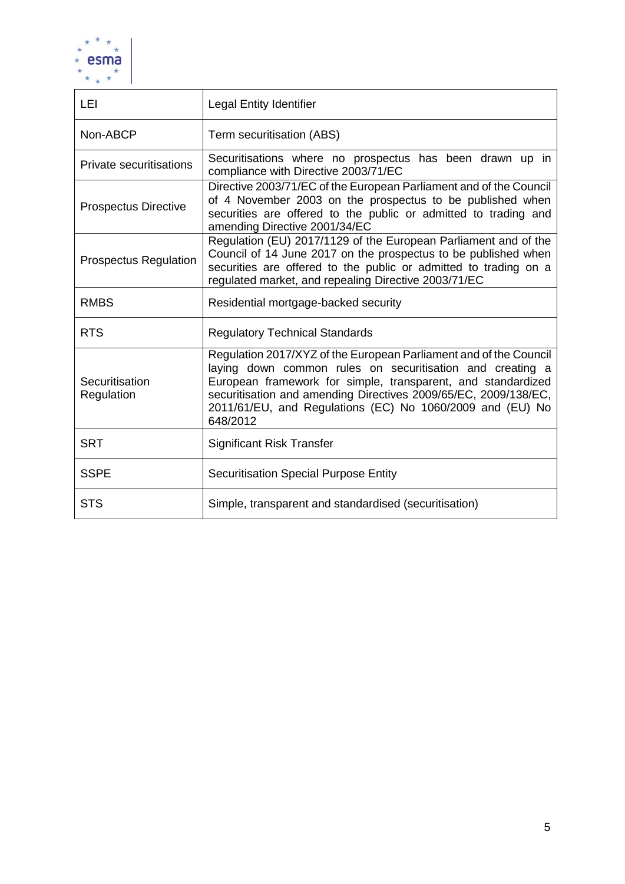

| LEI                            | <b>Legal Entity Identifier</b>                                                                                                                                                                                                                                                                                                             |  |  |  |  |
|--------------------------------|--------------------------------------------------------------------------------------------------------------------------------------------------------------------------------------------------------------------------------------------------------------------------------------------------------------------------------------------|--|--|--|--|
| Non-ABCP                       | Term securitisation (ABS)                                                                                                                                                                                                                                                                                                                  |  |  |  |  |
| <b>Private securitisations</b> | Securitisations where no prospectus has been drawn up in<br>compliance with Directive 2003/71/EC                                                                                                                                                                                                                                           |  |  |  |  |
| <b>Prospectus Directive</b>    | Directive 2003/71/EC of the European Parliament and of the Council<br>of 4 November 2003 on the prospectus to be published when<br>securities are offered to the public or admitted to trading and<br>amending Directive 2001/34/EC                                                                                                        |  |  |  |  |
| <b>Prospectus Regulation</b>   | Regulation (EU) 2017/1129 of the European Parliament and of the<br>Council of 14 June 2017 on the prospectus to be published when<br>securities are offered to the public or admitted to trading on a<br>regulated market, and repealing Directive 2003/71/EC                                                                              |  |  |  |  |
| <b>RMBS</b>                    | Residential mortgage-backed security                                                                                                                                                                                                                                                                                                       |  |  |  |  |
| <b>RTS</b>                     | <b>Regulatory Technical Standards</b>                                                                                                                                                                                                                                                                                                      |  |  |  |  |
| Securitisation<br>Regulation   | Regulation 2017/XYZ of the European Parliament and of the Council<br>laying down common rules on securitisation and creating a<br>European framework for simple, transparent, and standardized<br>securitisation and amending Directives 2009/65/EC, 2009/138/EC,<br>2011/61/EU, and Regulations (EC) No 1060/2009 and (EU) No<br>648/2012 |  |  |  |  |
| <b>SRT</b>                     | <b>Significant Risk Transfer</b>                                                                                                                                                                                                                                                                                                           |  |  |  |  |
| <b>SSPE</b>                    | <b>Securitisation Special Purpose Entity</b>                                                                                                                                                                                                                                                                                               |  |  |  |  |
| <b>STS</b>                     | Simple, transparent and standardised (securitisation)                                                                                                                                                                                                                                                                                      |  |  |  |  |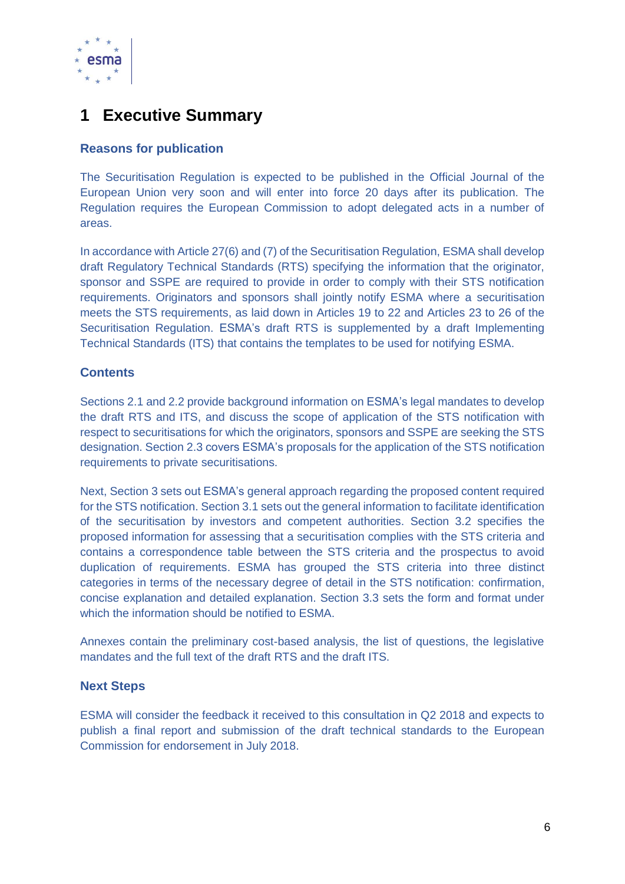

### <span id="page-5-0"></span>**1 Executive Summary**

### **Reasons for publication**

The Securitisation Regulation is expected to be published in the Official Journal of the European Union very soon and will enter into force 20 days after its publication. The Regulation requires the European Commission to adopt delegated acts in a number of areas.

In accordance with Article 27(6) and (7) of the Securitisation Regulation, ESMA shall develop draft Regulatory Technical Standards (RTS) specifying the information that the originator, sponsor and SSPE are required to provide in order to comply with their STS notification requirements. Originators and sponsors shall jointly notify ESMA where a securitisation meets the STS requirements, as laid down in Articles 19 to 22 and Articles 23 to 26 of the Securitisation Regulation. ESMA's draft RTS is supplemented by a draft Implementing Technical Standards (ITS) that contains the templates to be used for notifying ESMA.

### **Contents**

Sections 2.1 and 2.2 provide background information on ESMA's legal mandates to develop the draft RTS and ITS, and discuss the scope of application of the STS notification with respect to securitisations for which the originators, sponsors and SSPE are seeking the STS designation. Section 2.3 covers ESMA's proposals for the application of the STS notification requirements to private securitisations.

Next, Section 3 sets out ESMA's general approach regarding the proposed content required for the STS notification. Section 3.1 sets out the general information to facilitate identification of the securitisation by investors and competent authorities. Section 3.2 specifies the proposed information for assessing that a securitisation complies with the STS criteria and contains a correspondence table between the STS criteria and the prospectus to avoid duplication of requirements. ESMA has grouped the STS criteria into three distinct categories in terms of the necessary degree of detail in the STS notification: confirmation, concise explanation and detailed explanation. Section 3.3 sets the form and format under which the information should be notified to ESMA.

Annexes contain the preliminary cost-based analysis, the list of questions, the legislative mandates and the full text of the draft RTS and the draft ITS.

#### **Next Steps**

ESMA will consider the feedback it received to this consultation in Q2 2018 and expects to publish a final report and submission of the draft technical standards to the European Commission for endorsement in July 2018.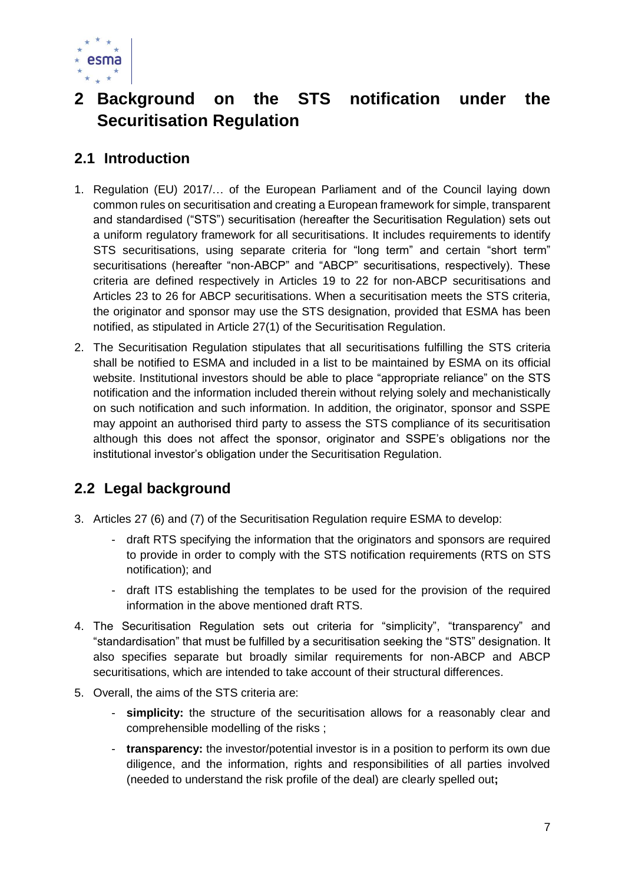

## <span id="page-6-0"></span>**2 Background on the STS notification under the Securitisation Regulation**

### <span id="page-6-1"></span>**2.1 Introduction**

- 1. Regulation (EU) 2017/… of the European Parliament and of the Council laying down common rules on securitisation and creating a European framework for simple, transparent and standardised ("STS") securitisation (hereafter the Securitisation Regulation) sets out a uniform regulatory framework for all securitisations. It includes requirements to identify STS securitisations, using separate criteria for "long term" and certain "short term" securitisations (hereafter "non-ABCP" and "ABCP" securitisations, respectively). These criteria are defined respectively in Articles 19 to 22 for non-ABCP securitisations and Articles 23 to 26 for ABCP securitisations. When a securitisation meets the STS criteria, the originator and sponsor may use the STS designation, provided that ESMA has been notified, as stipulated in Article 27(1) of the Securitisation Regulation.
- 2. The Securitisation Regulation stipulates that all securitisations fulfilling the STS criteria shall be notified to ESMA and included in a list to be maintained by ESMA on its official website. Institutional investors should be able to place "appropriate reliance" on the STS notification and the information included therein without relying solely and mechanistically on such notification and such information. In addition, the originator, sponsor and SSPE may appoint an authorised third party to assess the STS compliance of its securitisation although this does not affect the sponsor, originator and SSPE's obligations nor the institutional investor's obligation under the Securitisation Regulation.

### <span id="page-6-2"></span>**2.2 Legal background**

- 3. Articles 27 (6) and (7) of the Securitisation Regulation require ESMA to develop:
	- draft RTS specifying the information that the originators and sponsors are required to provide in order to comply with the STS notification requirements (RTS on STS notification); and
	- draft ITS establishing the templates to be used for the provision of the required information in the above mentioned draft RTS.
- 4. The Securitisation Regulation sets out criteria for "simplicity", "transparency" and "standardisation" that must be fulfilled by a securitisation seeking the "STS" designation. It also specifies separate but broadly similar requirements for non-ABCP and ABCP securitisations, which are intended to take account of their structural differences.
- 5. Overall, the aims of the STS criteria are:
	- **simplicity:** the structure of the securitisation allows for a reasonably clear and comprehensible modelling of the risks ;
	- **transparency:** the investor/potential investor is in a position to perform its own due diligence, and the information, rights and responsibilities of all parties involved (needed to understand the risk profile of the deal) are clearly spelled out**;**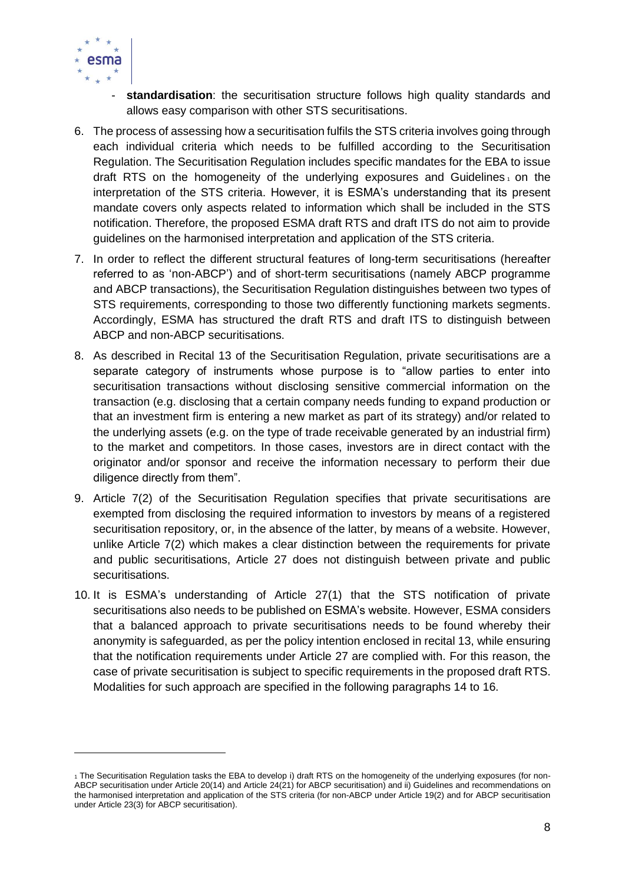

- standardisation: the securitisation structure follows high quality standards and allows easy comparison with other STS securitisations.
- 6. The process of assessing how a securitisation fulfils the STS criteria involves going through each individual criteria which needs to be fulfilled according to the Securitisation Regulation. The Securitisation Regulation includes specific mandates for the EBA to issue draft RTS on the homogeneity of the underlying exposures and Guidelines, on the interpretation of the STS criteria. However, it is ESMA's understanding that its present mandate covers only aspects related to information which shall be included in the STS notification. Therefore, the proposed ESMA draft RTS and draft ITS do not aim to provide guidelines on the harmonised interpretation and application of the STS criteria.
- 7. In order to reflect the different structural features of long-term securitisations (hereafter referred to as 'non-ABCP') and of short-term securitisations (namely ABCP programme and ABCP transactions), the Securitisation Regulation distinguishes between two types of STS requirements, corresponding to those two differently functioning markets segments. Accordingly, ESMA has structured the draft RTS and draft ITS to distinguish between ABCP and non-ABCP securitisations.
- 8. As described in Recital 13 of the Securitisation Regulation, private securitisations are a separate category of instruments whose purpose is to "allow parties to enter into securitisation transactions without disclosing sensitive commercial information on the transaction (e.g. disclosing that a certain company needs funding to expand production or that an investment firm is entering a new market as part of its strategy) and/or related to the underlying assets (e.g. on the type of trade receivable generated by an industrial firm) to the market and competitors. In those cases, investors are in direct contact with the originator and/or sponsor and receive the information necessary to perform their due diligence directly from them".
- 9. Article 7(2) of the Securitisation Regulation specifies that private securitisations are exempted from disclosing the required information to investors by means of a registered securitisation repository, or, in the absence of the latter, by means of a website. However, unlike Article 7(2) which makes a clear distinction between the requirements for private and public securitisations, Article 27 does not distinguish between private and public securitisations.
- 10. It is ESMA's understanding of Article 27(1) that the STS notification of private securitisations also needs to be published on ESMA's website. However, ESMA considers that a balanced approach to private securitisations needs to be found whereby their anonymity is safeguarded, as per the policy intention enclosed in recital 13, while ensuring that the notification requirements under Article 27 are complied with. For this reason, the case of private securitisation is subject to specific requirements in the proposed draft RTS. Modalities for such approach are specified in the following paragraphs 14 to 16.

<sup>1</sup> The Securitisation Regulation tasks the EBA to develop i) draft RTS on the homogeneity of the underlying exposures (for non-ABCP securitisation under Article 20(14) and Article 24(21) for ABCP securitisation) and ii) Guidelines and recommendations on the harmonised interpretation and application of the STS criteria (for non-ABCP under Article 19(2) and for ABCP securitisation under Article 23(3) for ABCP securitisation).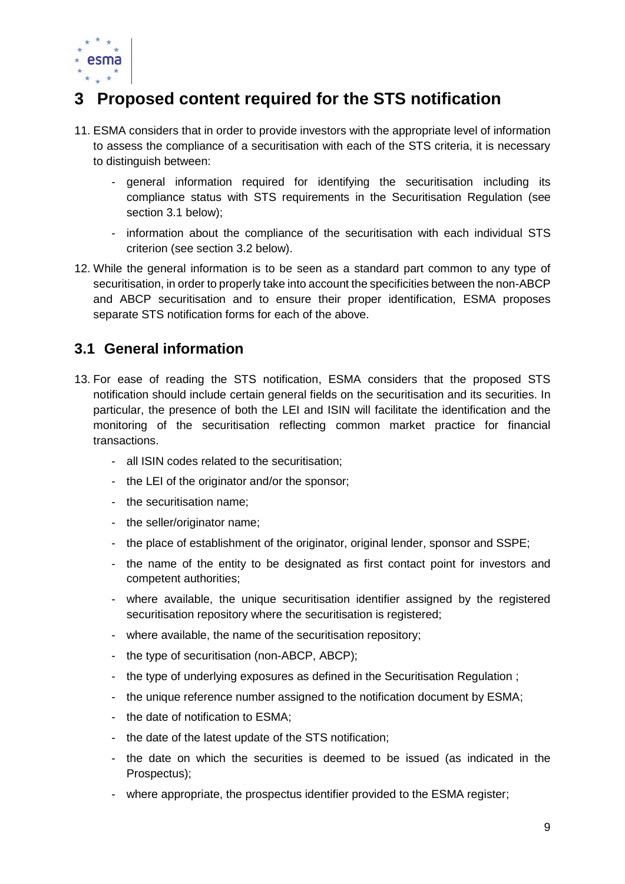

# <span id="page-8-0"></span>**3 Proposed content required for the STS notification**

- 11. ESMA considers that in order to provide investors with the appropriate level of information to assess the compliance of a securitisation with each of the STS criteria, it is necessary to distinguish between:
	- general information required for identifying the securitisation including its compliance status with STS requirements in the Securitisation Regulation (see section 3.1 below);
	- information about the compliance of the securitisation with each individual STS criterion (see section 3.2 below).
- 12. While the general information is to be seen as a standard part common to any type of securitisation, in order to properly take into account the specificities between the non-ABCP and ABCP securitisation and to ensure their proper identification, ESMA proposes separate STS notification forms for each of the above.

### <span id="page-8-1"></span>**3.1 General information**

- <span id="page-8-2"></span>13. For ease of reading the STS notification, ESMA considers that the proposed STS notification should include certain general fields on the securitisation and its securities. In particular, the presence of both the LEI and ISIN will facilitate the identification and the monitoring of the securitisation reflecting common market practice for financial transactions.
	- all ISIN codes related to the securitisation;
	- the LEI of the originator and/or the sponsor;
	- the securitisation name;
	- the seller/originator name;
	- the place of establishment of the originator, original lender, sponsor and SSPE;
	- the name of the entity to be designated as first contact point for investors and competent authorities;
	- where available, the unique securitisation identifier assigned by the registered securitisation repository where the securitisation is registered;
	- where available, the name of the securitisation repository;
	- the type of securitisation (non-ABCP, ABCP);
	- the type of underlying exposures as defined in the Securitisation Regulation;
	- the unique reference number assigned to the notification document by ESMA;
	- the date of notification to ESMA;
	- the date of the latest update of the STS notification;
	- the date on which the securities is deemed to be issued (as indicated in the Prospectus);
	- where appropriate, the prospectus identifier provided to the ESMA register;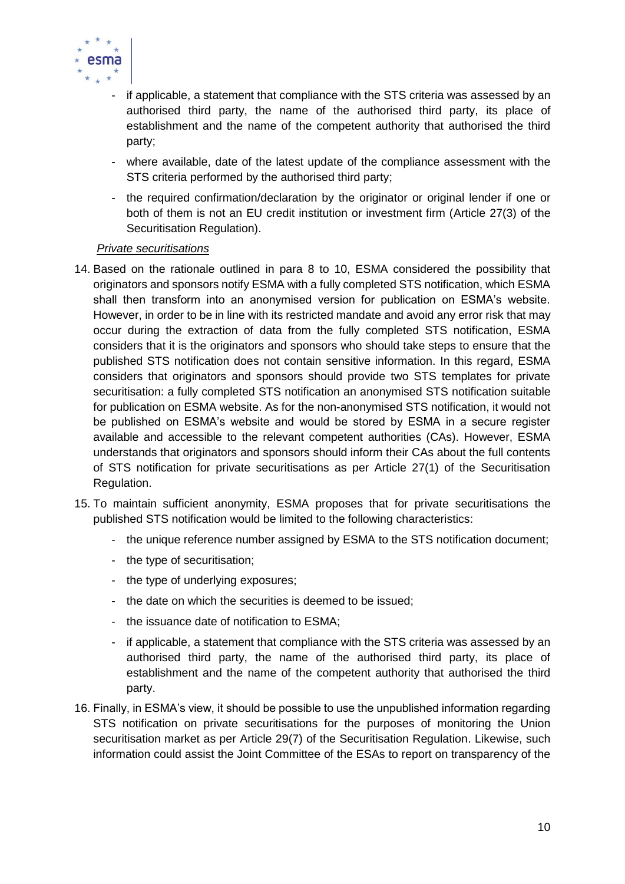

- if applicable, a statement that compliance with the STS criteria was assessed by an authorised third party, the name of the authorised third party, its place of establishment and the name of the competent authority that authorised the third party;
- where available, date of the latest update of the compliance assessment with the STS criteria performed by the authorised third party;
- the required confirmation/declaration by the originator or original lender if one or both of them is not an EU credit institution or investment firm (Article 27(3) of the Securitisation Regulation).

### *Private securitisations*

- 14. Based on the rationale outlined in para 8 to 10, ESMA considered the possibility that originators and sponsors notify ESMA with a fully completed STS notification, which ESMA shall then transform into an anonymised version for publication on ESMA's website. However, in order to be in line with its restricted mandate and avoid any error risk that may occur during the extraction of data from the fully completed STS notification, ESMA considers that it is the originators and sponsors who should take steps to ensure that the published STS notification does not contain sensitive information. In this regard, ESMA considers that originators and sponsors should provide two STS templates for private securitisation: a fully completed STS notification an anonymised STS notification suitable for publication on ESMA website. As for the non-anonymised STS notification, it would not be published on ESMA's website and would be stored by ESMA in a secure register available and accessible to the relevant competent authorities (CAs). However, ESMA understands that originators and sponsors should inform their CAs about the full contents of STS notification for private securitisations as per Article 27(1) of the Securitisation Regulation.
- 15. To maintain sufficient anonymity, ESMA proposes that for private securitisations the published STS notification would be limited to the following characteristics:
	- the unique reference number assigned by ESMA to the STS notification document;
	- the type of securitisation;
	- the type of underlying exposures;
	- the date on which the securities is deemed to be issued;
	- the issuance date of notification to ESMA;
	- if applicable, a statement that compliance with the STS criteria was assessed by an authorised third party, the name of the authorised third party, its place of establishment and the name of the competent authority that authorised the third party.
- 16. Finally, in ESMA's view, it should be possible to use the unpublished information regarding STS notification on private securitisations for the purposes of monitoring the Union securitisation market as per Article 29(7) of the Securitisation Regulation. Likewise, such information could assist the Joint Committee of the ESAs to report on transparency of the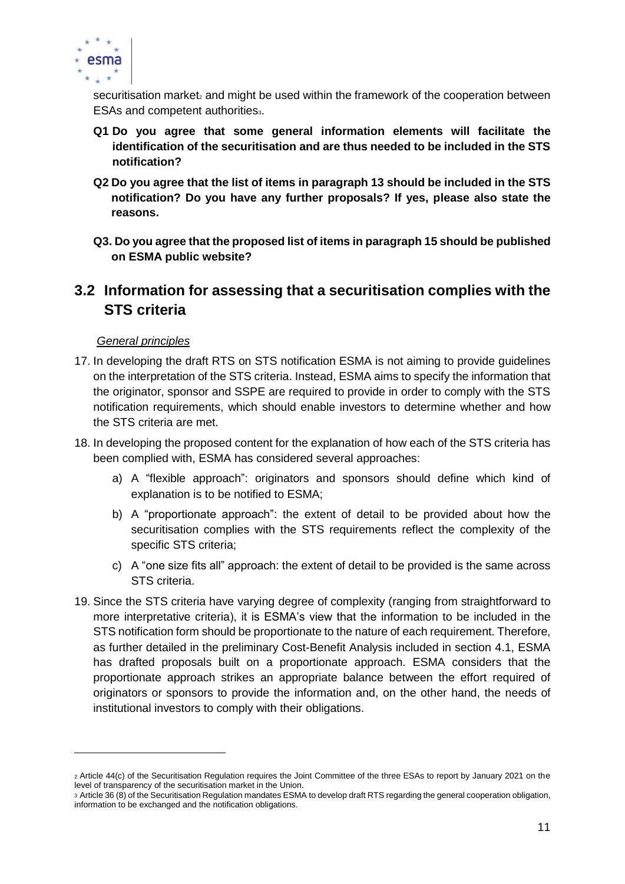

securitisation market<sub>2</sub> and might be used within the framework of the cooperation between ESAs and competent authoritiess.

- **Q1 Do you agree that some general information elements will facilitate the identification of the securitisation and are thus needed to be included in the STS notification?**
- **Q2 Do you agree that the list of items in paragraph [13](#page-8-2) should be included in the STS notification? Do you have any further proposals? If yes, please also state the reasons.**
- **Q3. Do you agree that the proposed list of items in paragraph 15 should be published on ESMA public website?**

### <span id="page-10-0"></span>**3.2 Information for assessing that a securitisation complies with the STS criteria**

### *General principles*

- 17. In developing the draft RTS on STS notification ESMA is not aiming to provide guidelines on the interpretation of the STS criteria. Instead, ESMA aims to specify the information that the originator, sponsor and SSPE are required to provide in order to comply with the STS notification requirements, which should enable investors to determine whether and how the STS criteria are met.
- 18. In developing the proposed content for the explanation of how each of the STS criteria has been complied with, ESMA has considered several approaches:
	- a) A "flexible approach": originators and sponsors should define which kind of explanation is to be notified to ESMA;
	- b) A "proportionate approach": the extent of detail to be provided about how the securitisation complies with the STS requirements reflect the complexity of the specific STS criteria;
	- c) A "one size fits all" approach: the extent of detail to be provided is the same across STS criteria.
- 19. Since the STS criteria have varying degree of complexity (ranging from straightforward to more interpretative criteria), it is ESMA's view that the information to be included in the STS notification form should be proportionate to the nature of each requirement. Therefore, as further detailed in the preliminary Cost-Benefit Analysis included in section [4.1,](#page-26-1) ESMA has drafted proposals built on a proportionate approach. ESMA considers that the proportionate approach strikes an appropriate balance between the effort required of originators or sponsors to provide the information and, on the other hand, the needs of institutional investors to comply with their obligations.

<sup>2</sup> Article 44(c) of the Securitisation Regulation requires the Joint Committee of the three ESAs to report by January 2021 on the level of transparency of the securitisation market in the Union.

<sup>3</sup> Article 36 (8) of the Securitisation Regulation mandates ESMA to develop draft RTS regarding the general cooperation obligation, information to be exchanged and the notification obligations.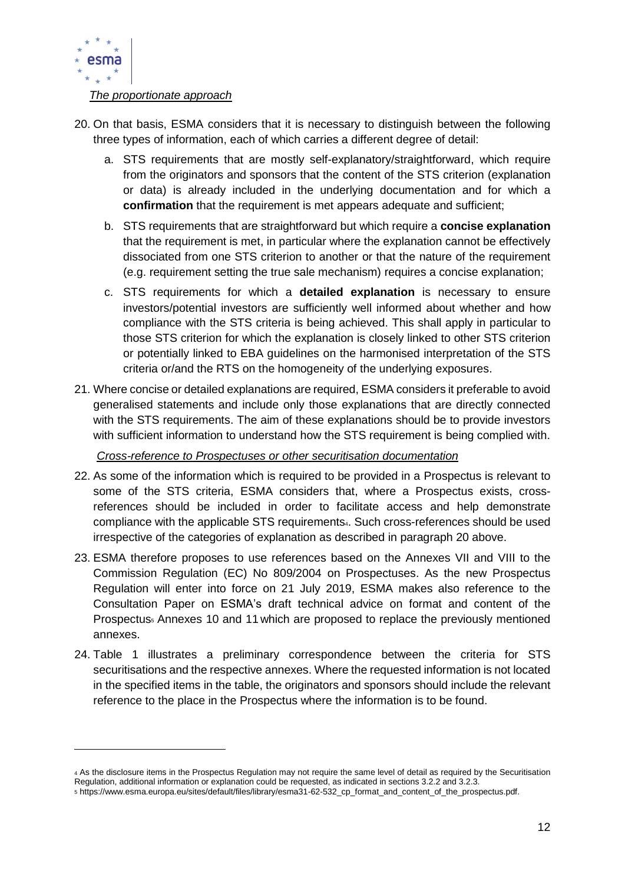

#### *The proportionate approach*

- 20. On that basis, ESMA considers that it is necessary to distinguish between the following three types of information, each of which carries a different degree of detail:
	- a. STS requirements that are mostly self-explanatory/straightforward, which require from the originators and sponsors that the content of the STS criterion (explanation or data) is already included in the underlying documentation and for which a **confirmation** that the requirement is met appears adequate and sufficient;
	- b. STS requirements that are straightforward but which require a **concise explanation** that the requirement is met, in particular where the explanation cannot be effectively dissociated from one STS criterion to another or that the nature of the requirement (e.g. requirement setting the true sale mechanism) requires a concise explanation;
	- c. STS requirements for which a **detailed explanation** is necessary to ensure investors/potential investors are sufficiently well informed about whether and how compliance with the STS criteria is being achieved. This shall apply in particular to those STS criterion for which the explanation is closely linked to other STS criterion or potentially linked to EBA guidelines on the harmonised interpretation of the STS criteria or/and the RTS on the homogeneity of the underlying exposures.
- 21. Where concise or detailed explanations are required, ESMA considers it preferable to avoid generalised statements and include only those explanations that are directly connected with the STS requirements. The aim of these explanations should be to provide investors with sufficient information to understand how the STS requirement is being complied with.

#### *Cross-reference to Prospectuses or other securitisation documentation*

- 22. As some of the information which is required to be provided in a Prospectus is relevant to some of the STS criteria, ESMA considers that, where a Prospectus exists, crossreferences should be included in order to facilitate access and help demonstrate compliance with the applicable STS requirements4. Such cross-references should be used irrespective of the categories of explanation as described in paragraph 20 above.
- 23. ESMA therefore proposes to use references based on the Annexes VII and VIII to the Commission Regulation (EC) No 809/2004 on Prospectuses. As the new Prospectus Regulation will enter into force on 21 July 2019, ESMA makes also reference to the Consultation Paper on ESMA's draft technical advice on format and content of the Prospectus<sub>s</sub> Annexes 10 and 11 which are proposed to replace the previously mentioned annexes.
- 24. Table 1 illustrates a preliminary correspondence between the criteria for STS securitisations and the respective annexes. Where the requested information is not located in the specified items in the table, the originators and sponsors should include the relevant reference to the place in the Prospectus where the information is to be found.

<sup>4</sup> As the disclosure items in the Prospectus Regulation may not require the same level of detail as required by the Securitisation Regulation, additional information or explanation could be requested, as indicated in sections 3.2.2 and 3.2.3.

<sup>5</sup> https://www.esma.europa.eu/sites/default/files/library/esma31-62-532\_cp\_format\_and\_content\_of\_the\_prospectus.pdf.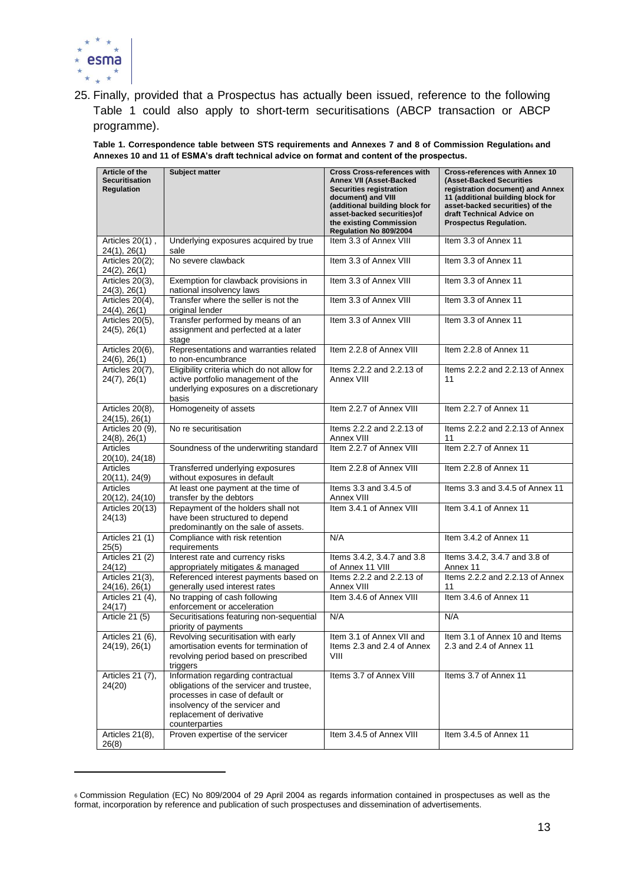

 $\overline{a}$ 

25. Finally, provided that a Prospectus has actually been issued, reference to the following Table 1 could also apply to short-term securitisations (ABCP transaction or ABCP programme).

**Table 1. Correspondence table between STS requirements and Annexes 7 and 8 of Commission Regulation<sup>6</sup> and Annexes 10 and 11 of ESMA's draft technical advice on format and content of the prospectus.**

| Article of the<br><b>Securitisation</b><br><b>Regulation</b> | Subject matter                                                                                                                                                                                    | <b>Cross Cross-references with</b><br><b>Annex VII (Asset-Backed</b><br><b>Securities registration</b><br>document) and VIII<br>(additional building block for<br>asset-backed securities) of<br>the existing Commission<br>Regulation No 809/2004 | <b>Cross-references with Annex 10</b><br>(Asset-Backed Securities<br>registration document) and Annex<br>11 (additional building block for<br>asset-backed securities) of the<br>draft Technical Advice on<br><b>Prospectus Regulation.</b> |
|--------------------------------------------------------------|---------------------------------------------------------------------------------------------------------------------------------------------------------------------------------------------------|----------------------------------------------------------------------------------------------------------------------------------------------------------------------------------------------------------------------------------------------------|---------------------------------------------------------------------------------------------------------------------------------------------------------------------------------------------------------------------------------------------|
| Articles 20(1),<br>24(1), 26(1)                              | Underlying exposures acquired by true<br>sale                                                                                                                                                     | Item 3.3 of Annex VIII                                                                                                                                                                                                                             | Item 3.3 of Annex 11                                                                                                                                                                                                                        |
| Articles 20(2);<br>24(2), 26(1)                              | No severe clawback                                                                                                                                                                                | Item 3.3 of Annex VIII                                                                                                                                                                                                                             | Item 3.3 of Annex 11                                                                                                                                                                                                                        |
| Articles 20(3),<br>24(3), 26(1)                              | Exemption for clawback provisions in<br>national insolvency laws                                                                                                                                  | Item 3.3 of Annex VIII                                                                                                                                                                                                                             | Item 3.3 of Annex 11                                                                                                                                                                                                                        |
| Articles 20(4),<br>24(4), 26(1)                              | Transfer where the seller is not the<br>original lender                                                                                                                                           | Item 3.3 of Annex VIII                                                                                                                                                                                                                             | Item 3.3 of Annex 11                                                                                                                                                                                                                        |
| Articles 20(5),<br>$24(5)$ , $26(1)$                         | Transfer performed by means of an<br>assignment and perfected at a later<br>stage                                                                                                                 | Item 3.3 of Annex VIII                                                                                                                                                                                                                             | Item 3.3 of Annex 11                                                                                                                                                                                                                        |
| Articles 20(6),<br>24(6), 26(1)                              | Representations and warranties related<br>to non-encumbrance                                                                                                                                      | Item 2.2.8 of Annex VIII                                                                                                                                                                                                                           | Item 2.2.8 of Annex 11                                                                                                                                                                                                                      |
| Articles 20(7),<br>24(7), 26(1)                              | Eligibility criteria which do not allow for<br>active portfolio management of the<br>underlying exposures on a discretionary<br>basis                                                             | Items 2.2.2 and 2.2.13 of<br>Annex VIII                                                                                                                                                                                                            | Items 2.2.2 and 2.2.13 of Annex<br>11                                                                                                                                                                                                       |
| Articles 20(8),<br>24(15), 26(1)                             | Homogeneity of assets                                                                                                                                                                             | Item 2.2.7 of Annex VIII                                                                                                                                                                                                                           | Item 2.2.7 of Annex 11                                                                                                                                                                                                                      |
| Articles 20 (9),<br>24(8), 26(1)                             | No re securitisation                                                                                                                                                                              | Items 2.2.2 and 2.2.13 of<br>Annex VIII                                                                                                                                                                                                            | Items 2.2.2 and 2.2.13 of Annex<br>11                                                                                                                                                                                                       |
| <b>Articles</b><br>20(10), 24(18)                            | Soundness of the underwriting standard                                                                                                                                                            | Item 2.2.7 of Annex VIII                                                                                                                                                                                                                           | Item 2.2.7 of Annex 11                                                                                                                                                                                                                      |
| Articles<br>20(11), 24(9)                                    | Transferred underlying exposures<br>without exposures in default                                                                                                                                  | Item 2.2.8 of Annex VIII                                                                                                                                                                                                                           | Item 2.2.8 of Annex 11                                                                                                                                                                                                                      |
| Articles<br>20(12), 24(10)                                   | At least one payment at the time of<br>transfer by the debtors                                                                                                                                    | Items 3.3 and 3.4.5 of<br>Annex VIII                                                                                                                                                                                                               | Items 3.3 and 3.4.5 of Annex 11                                                                                                                                                                                                             |
| Articles 20(13)<br>24(13)                                    | Repayment of the holders shall not<br>have been structured to depend<br>predominantly on the sale of assets.                                                                                      | Item 3.4.1 of Annex VIII                                                                                                                                                                                                                           | Item 3.4.1 of Annex 11                                                                                                                                                                                                                      |
| Articles 21 (1)<br>25(5)                                     | Compliance with risk retention<br>requirements                                                                                                                                                    | N/A                                                                                                                                                                                                                                                | Item 3.4.2 of Annex 11                                                                                                                                                                                                                      |
| Articles 21 (2)<br>24(12)                                    | Interest rate and currency risks<br>appropriately mitigates & managed                                                                                                                             | Items 3.4.2, 3.4.7 and 3.8<br>of Annex 11 VIII                                                                                                                                                                                                     | Items 3.4.2, 3.4.7 and 3.8 of<br>Annex 11                                                                                                                                                                                                   |
| Articles 21(3),<br>24(16), 26(1)                             | Referenced interest payments based on<br>generally used interest rates                                                                                                                            | Items 2.2.2 and 2.2.13 of<br>Annex VIII                                                                                                                                                                                                            | Items 2.2.2 and 2.2.13 of Annex<br>11                                                                                                                                                                                                       |
| Articles 21 (4),<br>24(17)                                   | No trapping of cash following<br>enforcement or acceleration                                                                                                                                      | Item 3.4.6 of Annex VIII                                                                                                                                                                                                                           | Item 3.4.6 of Annex 11                                                                                                                                                                                                                      |
| <b>Article 21 (5)</b>                                        | Securitisations featuring non-sequential<br>priority of payments                                                                                                                                  | N/A                                                                                                                                                                                                                                                | N/A                                                                                                                                                                                                                                         |
| Articles 21 (6),<br>24(19), 26(1)                            | Revolving securitisation with early<br>amortisation events for termination of<br>revolving period based on prescribed<br>triggers                                                                 | Item 3.1 of Annex VII and<br>Items 2.3 and 2.4 of Annex<br>VIII                                                                                                                                                                                    | Item 3.1 of Annex 10 and Items<br>2.3 and 2.4 of Annex 11                                                                                                                                                                                   |
| Articles 21 (7),<br>24(20)                                   | Information regarding contractual<br>obligations of the servicer and trustee,<br>processes in case of default or<br>insolvency of the servicer and<br>replacement of derivative<br>counterparties | Items 3.7 of Annex VIII                                                                                                                                                                                                                            | Items 3.7 of Annex 11                                                                                                                                                                                                                       |
| Articles 21(8),<br>26(8)                                     | Proven expertise of the servicer                                                                                                                                                                  | Item 3.4.5 of Annex VIII                                                                                                                                                                                                                           | Item 3.4.5 of Annex 11                                                                                                                                                                                                                      |

<sup>6</sup> Commission Regulation (EC) No 809/2004 of 29 April 2004 as regards information contained in prospectuses as well as the format, incorporation by reference and publication of such prospectuses and dissemination of advertisements.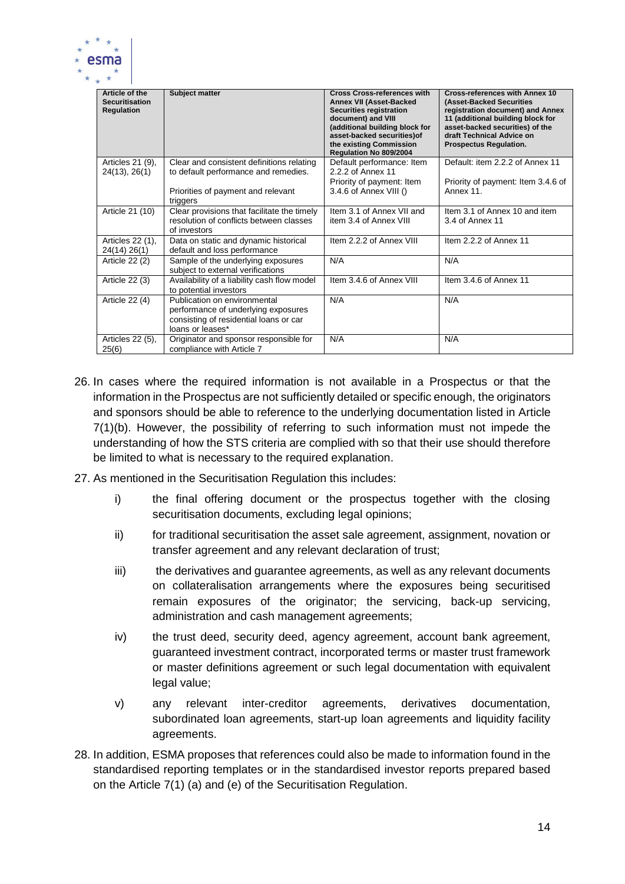

| Article of the<br><b>Securitisation</b><br><b>Regulation</b> | <b>Subject matter</b>                                                                                                             | <b>Cross Cross-references with</b><br><b>Annex VII (Asset-Backed</b><br><b>Securities registration</b><br>document) and VIII<br>(additional building block for<br>asset-backed securities) of<br>the existing Commission<br>Regulation No 809/2004 | <b>Cross-references with Annex 10</b><br>(Asset-Backed Securities<br>registration document) and Annex<br>11 (additional building block for<br>asset-backed securities) of the<br>draft Technical Advice on<br><b>Prospectus Regulation.</b> |
|--------------------------------------------------------------|-----------------------------------------------------------------------------------------------------------------------------------|----------------------------------------------------------------------------------------------------------------------------------------------------------------------------------------------------------------------------------------------------|---------------------------------------------------------------------------------------------------------------------------------------------------------------------------------------------------------------------------------------------|
| Articles 21 (9),<br>24(13), 26(1)                            | Clear and consistent definitions relating<br>to default performance and remedies.                                                 | Default performance: Item<br>2.2.2 of Annex 11<br>Priority of payment: Item<br>3.4.6 of Annex VIII ()                                                                                                                                              | Default: item 2.2.2 of Annex 11<br>Priority of payment: Item 3.4.6 of<br>Annex 11.                                                                                                                                                          |
|                                                              | Priorities of payment and relevant<br>triggers                                                                                    |                                                                                                                                                                                                                                                    |                                                                                                                                                                                                                                             |
| Article 21 (10)                                              | Clear provisions that facilitate the timely<br>resolution of conflicts between classes<br>of investors                            | Item 3.1 of Annex VII and<br>item 3.4 of Annex VIII                                                                                                                                                                                                | Item 3.1 of Annex 10 and item<br>3.4 of Annex 11                                                                                                                                                                                            |
| Articles 22 (1),<br>24(14) 26(1)                             | Data on static and dynamic historical<br>default and loss performance                                                             | Item 2.2.2 of Annex VIII                                                                                                                                                                                                                           | Item 2.2.2 of Annex 11                                                                                                                                                                                                                      |
| Article 22 (2)                                               | Sample of the underlying exposures<br>subject to external verifications                                                           | N/A                                                                                                                                                                                                                                                | N/A                                                                                                                                                                                                                                         |
| Article 22 (3)                                               | Availability of a liability cash flow model<br>to potential investors                                                             | Item 3.4.6 of Annex VIII                                                                                                                                                                                                                           | Item 3.4.6 of Annex 11                                                                                                                                                                                                                      |
| Article 22 (4)                                               | Publication on environmental<br>performance of underlying exposures<br>consisting of residential loans or car<br>loans or leases* | N/A                                                                                                                                                                                                                                                | N/A                                                                                                                                                                                                                                         |
| Articles 22 (5),<br>25(6)                                    | Originator and sponsor responsible for<br>compliance with Article 7                                                               | N/A                                                                                                                                                                                                                                                | N/A                                                                                                                                                                                                                                         |

- 26. In cases where the required information is not available in a Prospectus or that the information in the Prospectus are not sufficiently detailed or specific enough, the originators and sponsors should be able to reference to the underlying documentation listed in Article 7(1)(b). However, the possibility of referring to such information must not impede the understanding of how the STS criteria are complied with so that their use should therefore be limited to what is necessary to the required explanation.
- 27. As mentioned in the Securitisation Regulation this includes:
	- i) the final offering document or the prospectus together with the closing securitisation documents, excluding legal opinions;
	- ii) for traditional securitisation the asset sale agreement, assignment, novation or transfer agreement and any relevant declaration of trust;
	- iii) the derivatives and guarantee agreements, as well as any relevant documents on collateralisation arrangements where the exposures being securitised remain exposures of the originator; the servicing, back-up servicing, administration and cash management agreements;
	- iv) the trust deed, security deed, agency agreement, account bank agreement, guaranteed investment contract, incorporated terms or master trust framework or master definitions agreement or such legal documentation with equivalent legal value;
	- v) any relevant inter-creditor agreements, derivatives documentation, subordinated loan agreements, start-up loan agreements and liquidity facility agreements.
- 28. In addition, ESMA proposes that references could also be made to information found in the standardised reporting templates or in the standardised investor reports prepared based on the Article 7(1) (a) and (e) of the Securitisation Regulation.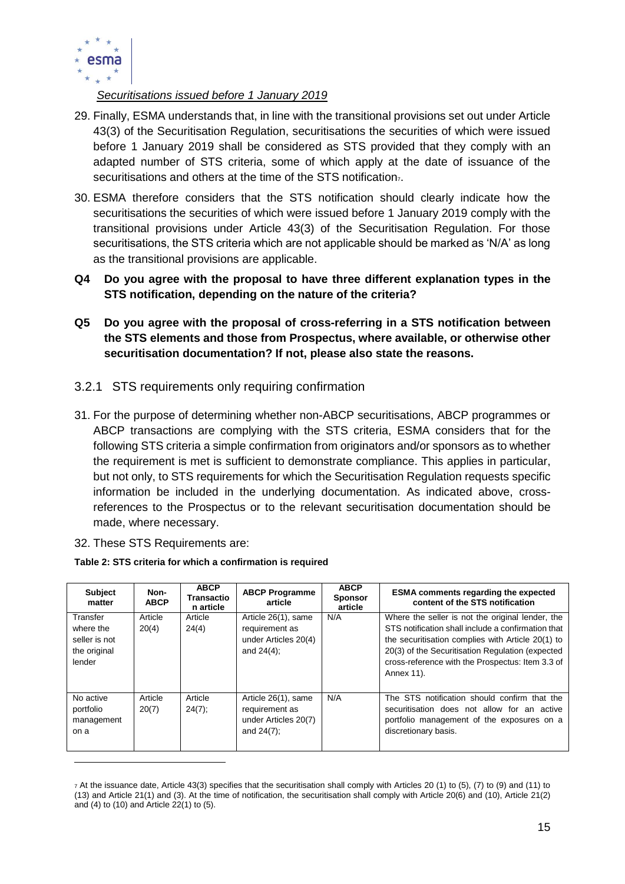

*Securitisations issued before 1 January 2019*

- 29. Finally, ESMA understands that, in line with the transitional provisions set out under Article 43(3) of the Securitisation Regulation, securitisations the securities of which were issued before 1 January 2019 shall be considered as STS provided that they comply with an adapted number of STS criteria, some of which apply at the date of issuance of the securitisations and others at the time of the STS notification $<sub>7</sub>$ .</sub>
- 30. ESMA therefore considers that the STS notification should clearly indicate how the securitisations the securities of which were issued before 1 January 2019 comply with the transitional provisions under Article 43(3) of the Securitisation Regulation. For those securitisations, the STS criteria which are not applicable should be marked as 'N/A' as long as the transitional provisions are applicable.
- **Q4 Do you agree with the proposal to have three different explanation types in the STS notification, depending on the nature of the criteria?**
- **Q5 Do you agree with the proposal of cross-referring in a STS notification between the STS elements and those from Prospectus, where available, or otherwise other securitisation documentation? If not, please also state the reasons.**
- <span id="page-14-0"></span>3.2.1 STS requirements only requiring confirmation
- 31. For the purpose of determining whether non-ABCP securitisations, ABCP programmes or ABCP transactions are complying with the STS criteria, ESMA considers that for the following STS criteria a simple confirmation from originators and/or sponsors as to whether the requirement is met is sufficient to demonstrate compliance. This applies in particular, but not only, to STS requirements for which the Securitisation Regulation requests specific information be included in the underlying documentation. As indicated above, crossreferences to the Prospectus or to the relevant securitisation documentation should be made, where necessary.
- 32. These STS Requirements are:

 $\overline{a}$ 

| <b>Subject</b><br>matter                                         | Non-<br><b>ABCP</b> | <b>ABCP</b><br><b>Transactio</b><br>n article | <b>ABCP Programme</b><br>article                                               | <b>ABCP</b><br><b>Sponsor</b><br>article | <b>ESMA</b> comments regarding the expected<br>content of the STS notification                                                                                                                                                                                                    |
|------------------------------------------------------------------|---------------------|-----------------------------------------------|--------------------------------------------------------------------------------|------------------------------------------|-----------------------------------------------------------------------------------------------------------------------------------------------------------------------------------------------------------------------------------------------------------------------------------|
| Transfer<br>where the<br>seller is not<br>the original<br>lender | Article<br>20(4)    | Article<br>24(4)                              | Article 26(1), same<br>requirement as<br>under Articles 20(4)<br>and $24(4)$ ; | N/A                                      | Where the seller is not the original lender, the<br>STS notification shall include a confirmation that<br>the securitisation complies with Article 20(1) to<br>20(3) of the Securitisation Regulation (expected<br>cross-reference with the Prospectus: Item 3.3 of<br>Annex 11). |
| No active<br>portfolio<br>management<br>on a                     | Article<br>20(7)    | Article<br>$24(7)$ ;                          | Article 26(1), same<br>requirement as<br>under Articles 20(7)<br>and $24(7)$ ; | N/A                                      | The STS notification should confirm that the<br>securitisation does not allow for an active<br>portfolio management of the exposures on a<br>discretionary basis.                                                                                                                 |

<sup>7</sup> At the issuance date, Article 43(3) specifies that the securitisation shall comply with Articles 20 (1) to (5), (7) to (9) and (11) to (13) and Article 21(1) and (3). At the time of notification, the securitisation shall comply with Article 20(6) and (10), Article 21(2) and (4) to (10) and Article 22(1) to (5).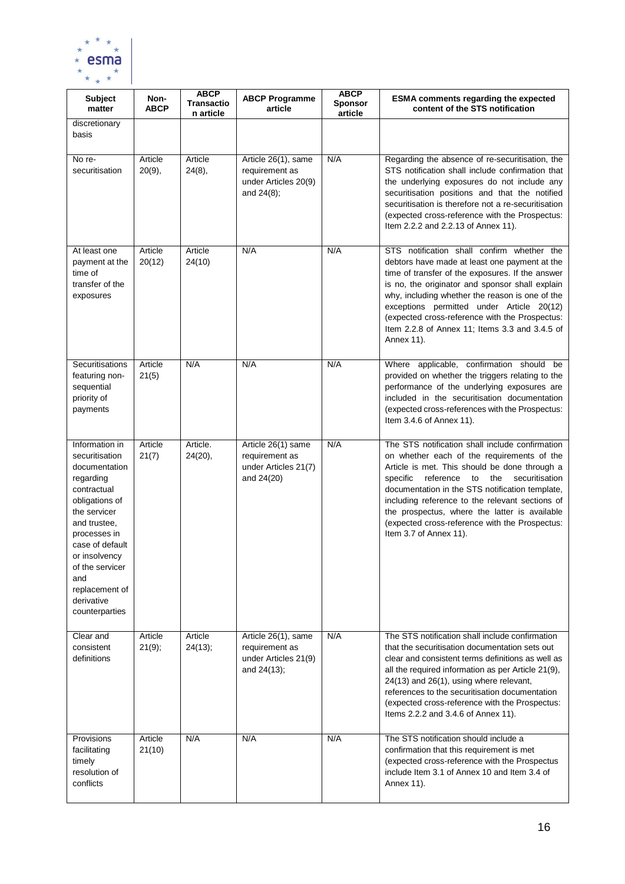

| <b>Subject</b><br>matter                                                                                                                                                                                                                                        | Non-<br><b>ABCP</b> | <b>ABCP</b><br><b>Transactio</b><br>n article | <b>ABCP Programme</b><br>article                                                | <b>ABCP</b><br><b>Sponsor</b><br>article | <b>ESMA comments regarding the expected</b><br>content of the STS notification                                                                                                                                                                                                                                                                                                                                                         |
|-----------------------------------------------------------------------------------------------------------------------------------------------------------------------------------------------------------------------------------------------------------------|---------------------|-----------------------------------------------|---------------------------------------------------------------------------------|------------------------------------------|----------------------------------------------------------------------------------------------------------------------------------------------------------------------------------------------------------------------------------------------------------------------------------------------------------------------------------------------------------------------------------------------------------------------------------------|
| discretionary<br>basis                                                                                                                                                                                                                                          |                     |                                               |                                                                                 |                                          |                                                                                                                                                                                                                                                                                                                                                                                                                                        |
| No re-<br>securitisation                                                                                                                                                                                                                                        | Article<br>20(9),   | Article<br>24(8),                             | Article 26(1), same<br>requirement as<br>under Articles 20(9)<br>and $24(8)$ ;  | N/A                                      | Regarding the absence of re-securitisation, the<br>STS notification shall include confirmation that<br>the underlying exposures do not include any<br>securitisation positions and that the notified<br>securitisation is therefore not a re-securitisation<br>(expected cross-reference with the Prospectus:<br>Item 2.2.2 and 2.2.13 of Annex 11).                                                                                   |
| At least one<br>payment at the<br>time of<br>transfer of the<br>exposures                                                                                                                                                                                       | Article<br>20(12)   | Article<br>24(10)                             | N/A                                                                             | N/A                                      | STS notification shall confirm whether the<br>debtors have made at least one payment at the<br>time of transfer of the exposures. If the answer<br>is no, the originator and sponsor shall explain<br>why, including whether the reason is one of the<br>exceptions permitted under Article 20(12)<br>(expected cross-reference with the Prospectus:<br>Item 2.2.8 of Annex 11; Items 3.3 and 3.4.5 of<br>Annex 11).                   |
| Securitisations<br>featuring non-<br>sequential<br>priority of<br>payments                                                                                                                                                                                      | Article<br>21(5)    | N/A                                           | N/A                                                                             | N/A                                      | Where applicable, confirmation should be<br>provided on whether the triggers relating to the<br>performance of the underlying exposures are<br>included in the securitisation documentation<br>(expected cross-references with the Prospectus:<br>Item 3.4.6 of Annex 11).                                                                                                                                                             |
| Information in<br>securitisation<br>documentation<br>regarding<br>contractual<br>obligations of<br>the servicer<br>and trustee,<br>processes in<br>case of default<br>or insolvency<br>of the servicer<br>and<br>replacement of<br>derivative<br>counterparties | Article<br>21(7)    | Article.<br>24(20),                           | Article 26(1) same<br>requirement as<br>under Articles 21(7)<br>and 24(20)      | N/A                                      | The STS notification shall include confirmation<br>on whether each of the requirements of the<br>Article is met. This should be done through a<br>reference to<br>the<br>securitisation<br>specific<br>documentation in the STS notification template,<br>including reference to the relevant sections of<br>the prospectus, where the latter is available<br>(expected cross-reference with the Prospectus:<br>Item 3.7 of Annex 11). |
| Clear and<br>consistent<br>definitions                                                                                                                                                                                                                          | Article<br>21(9);   | Article<br>24(13);                            | Article 26(1), same<br>requirement as<br>under Articles 21(9)<br>and $24(13)$ ; | N/A                                      | The STS notification shall include confirmation<br>that the securitisation documentation sets out<br>clear and consistent terms definitions as well as<br>all the required information as per Article 21(9),<br>24(13) and 26(1), using where relevant,<br>references to the securitisation documentation<br>(expected cross-reference with the Prospectus:<br>Items 2.2.2 and 3.4.6 of Annex 11).                                     |
| Provisions<br>facilitating<br>timely<br>resolution of<br>conflicts                                                                                                                                                                                              | Article<br>21(10)   | N/A                                           | N/A                                                                             | N/A                                      | The STS notification should include a<br>confirmation that this requirement is met<br>(expected cross-reference with the Prospectus<br>include Item 3.1 of Annex 10 and Item 3.4 of<br>Annex 11).                                                                                                                                                                                                                                      |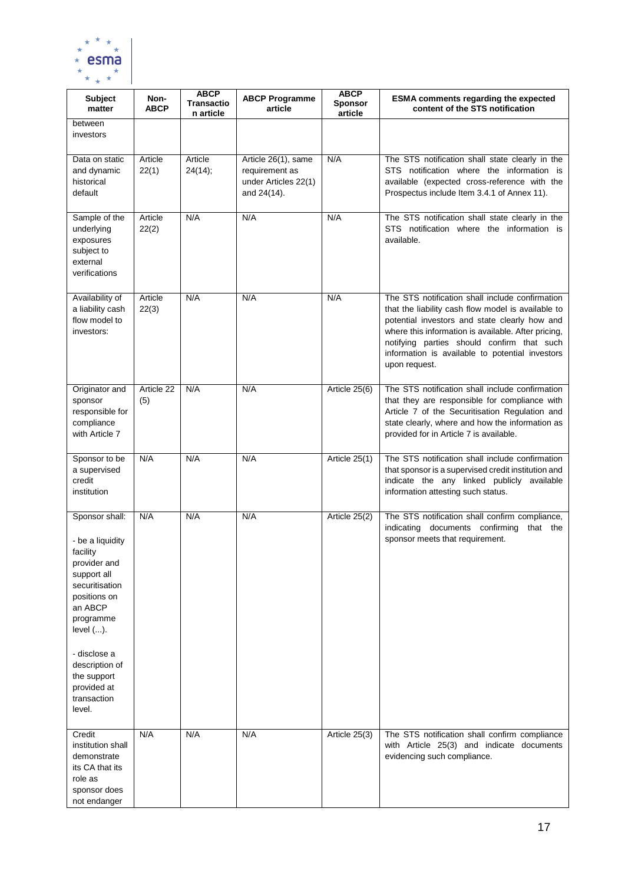

| <b>Subject</b><br>matter                                                                                                                                                                                                                      | Non-<br><b>ABCP</b> | <b>ABCP</b><br><b>Transactio</b><br>n article | <b>ABCP Programme</b><br>article                                             | <b>ABCP</b><br><b>Sponsor</b><br>article | <b>ESMA comments regarding the expected</b><br>content of the STS notification                                                                                                                                                                                                                                                  |
|-----------------------------------------------------------------------------------------------------------------------------------------------------------------------------------------------------------------------------------------------|---------------------|-----------------------------------------------|------------------------------------------------------------------------------|------------------------------------------|---------------------------------------------------------------------------------------------------------------------------------------------------------------------------------------------------------------------------------------------------------------------------------------------------------------------------------|
| between<br>investors                                                                                                                                                                                                                          |                     |                                               |                                                                              |                                          |                                                                                                                                                                                                                                                                                                                                 |
| Data on static<br>and dynamic<br>historical<br>default                                                                                                                                                                                        | Article<br>22(1)    | Article<br>24(14);                            | Article 26(1), same<br>requirement as<br>under Articles 22(1)<br>and 24(14). | N/A                                      | The STS notification shall state clearly in the<br>STS notification where the information is<br>available (expected cross-reference with the<br>Prospectus include Item 3.4.1 of Annex 11).                                                                                                                                     |
| Sample of the<br>underlying<br>exposures<br>subject to<br>external<br>verifications                                                                                                                                                           | Article<br>22(2)    | N/A                                           | N/A                                                                          | N/A                                      | The STS notification shall state clearly in the<br>STS notification where the information is<br>available.                                                                                                                                                                                                                      |
| Availability of<br>a liability cash<br>flow model to<br>investors:                                                                                                                                                                            | Article<br>22(3)    | N/A                                           | N/A                                                                          | N/A                                      | The STS notification shall include confirmation<br>that the liability cash flow model is available to<br>potential investors and state clearly how and<br>where this information is available. After pricing,<br>notifying parties should confirm that such<br>information is available to potential investors<br>upon request. |
| Originator and<br>sponsor<br>responsible for<br>compliance<br>with Article 7                                                                                                                                                                  | Article 22<br>(5)   | N/A                                           | N/A                                                                          | Article 25(6)                            | The STS notification shall include confirmation<br>that they are responsible for compliance with<br>Article 7 of the Securitisation Regulation and<br>state clearly, where and how the information as<br>provided for in Article 7 is available.                                                                                |
| Sponsor to be<br>a supervised<br>credit<br>institution                                                                                                                                                                                        | N/A                 | N/A                                           | N/A                                                                          | Article 25(1)                            | The STS notification shall include confirmation<br>that sponsor is a supervised credit institution and<br>indicate the any linked publicly available<br>information attesting such status.                                                                                                                                      |
| Sponsor shall:<br>- be a liquidity<br>facility<br>provider and<br>support all<br>securitisation<br>positions on<br>an ABCP<br>programme<br>level ().<br>- disclose a<br>description of<br>the support<br>provided at<br>transaction<br>level. | N/A                 | N/A                                           | N/A                                                                          | Article 25(2)                            | The STS notification shall confirm compliance,<br>indicating documents confirming that the<br>sponsor meets that requirement.                                                                                                                                                                                                   |
| Credit<br>institution shall<br>demonstrate<br>its CA that its<br>role as<br>sponsor does<br>not endanger                                                                                                                                      | N/A                 | N/A                                           | N/A                                                                          | Article 25(3)                            | The STS notification shall confirm compliance<br>with Article 25(3) and indicate documents<br>evidencing such compliance.                                                                                                                                                                                                       |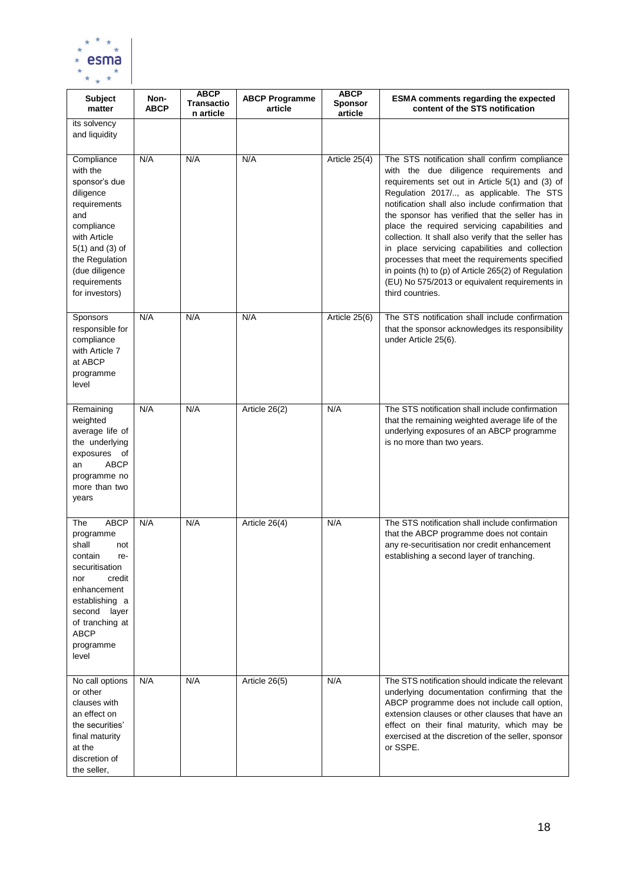

| <b>Subject</b><br>matter                                                                                                                                                                               | Non-<br><b>ABCP</b> | <b>ABCP</b><br><b>Transactio</b><br>n article | <b>ABCP Programme</b><br>article | <b>ABCP</b><br><b>Sponsor</b><br>article | <b>ESMA comments regarding the expected</b><br>content of the STS notification                                                                                                                                                                                                                                                                                                                                                                                                                                                                                                                                                             |
|--------------------------------------------------------------------------------------------------------------------------------------------------------------------------------------------------------|---------------------|-----------------------------------------------|----------------------------------|------------------------------------------|--------------------------------------------------------------------------------------------------------------------------------------------------------------------------------------------------------------------------------------------------------------------------------------------------------------------------------------------------------------------------------------------------------------------------------------------------------------------------------------------------------------------------------------------------------------------------------------------------------------------------------------------|
| its solvency<br>and liquidity                                                                                                                                                                          |                     |                                               |                                  |                                          |                                                                                                                                                                                                                                                                                                                                                                                                                                                                                                                                                                                                                                            |
| Compliance<br>with the<br>sponsor's due<br>diligence<br>requirements<br>and<br>compliance<br>with Article<br>$5(1)$ and $(3)$ of<br>the Regulation<br>(due diligence<br>requirements<br>for investors) | N/A                 | N/A                                           | N/A                              | Article 25(4)                            | The STS notification shall confirm compliance<br>with the due diligence requirements and<br>requirements set out in Article 5(1) and (3) of<br>Regulation 2017/, as applicable. The STS<br>notification shall also include confirmation that<br>the sponsor has verified that the seller has in<br>place the required servicing capabilities and<br>collection. It shall also verify that the seller has<br>in place servicing capabilities and collection<br>processes that meet the requirements specified<br>in points (h) to (p) of Article 265(2) of Regulation<br>(EU) No 575/2013 or equivalent requirements in<br>third countries. |
| Sponsors<br>responsible for<br>compliance<br>with Article 7<br>at ABCP<br>programme<br>level                                                                                                           | N/A                 | N/A                                           | N/A                              | Article 25(6)                            | The STS notification shall include confirmation<br>that the sponsor acknowledges its responsibility<br>under Article 25(6).                                                                                                                                                                                                                                                                                                                                                                                                                                                                                                                |
| Remaining<br>weighted<br>average life of<br>the underlying<br>exposures of<br><b>ABCP</b><br>an<br>programme no<br>more than two<br>years                                                              | N/A                 | N/A                                           | Article 26(2)                    | N/A                                      | The STS notification shall include confirmation<br>that the remaining weighted average life of the<br>underlying exposures of an ABCP programme<br>is no more than two years.                                                                                                                                                                                                                                                                                                                                                                                                                                                              |
| <b>ABCP</b><br>The<br>programme<br>shall<br>not<br>contain<br>re-<br>securitisation<br>nor<br>credit<br>enhancement<br>establishing a<br>second layer<br>of tranching at<br>ABCP<br>programme<br>level | N/A                 | N/A                                           | Article 26(4)                    | N/A                                      | The STS notification shall include confirmation<br>that the ABCP programme does not contain<br>any re-securitisation nor credit enhancement<br>establishing a second layer of tranching.                                                                                                                                                                                                                                                                                                                                                                                                                                                   |
| No call options<br>or other<br>clauses with<br>an effect on<br>the securities'<br>final maturity<br>at the<br>discretion of<br>the seller,                                                             | N/A                 | N/A                                           | Article 26(5)                    | N/A                                      | The STS notification should indicate the relevant<br>underlying documentation confirming that the<br>ABCP programme does not include call option,<br>extension clauses or other clauses that have an<br>effect on their final maturity, which may be<br>exercised at the discretion of the seller, sponsor<br>or SSPE.                                                                                                                                                                                                                                                                                                                     |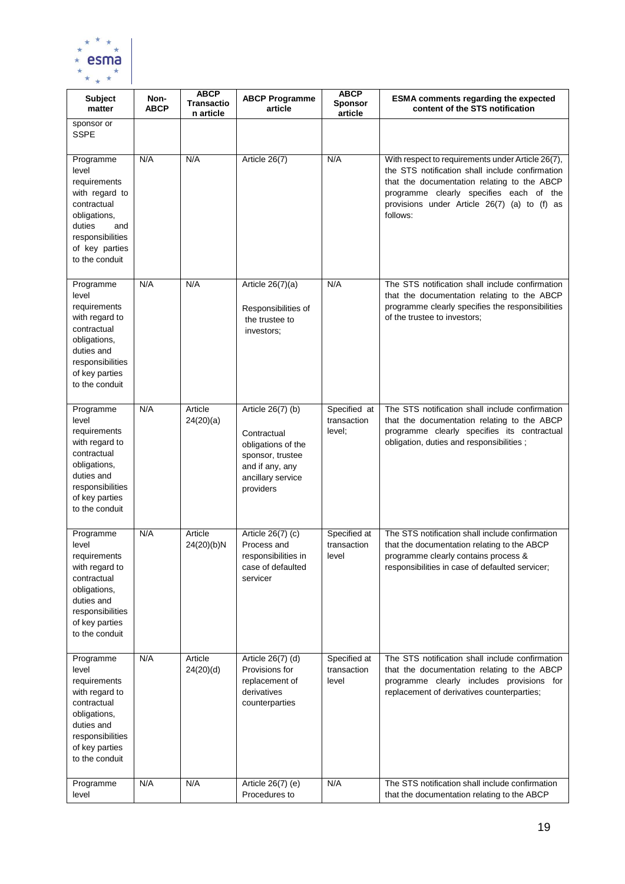

| <b>Subject</b><br>matter                                                                                                                                     | Non-<br><b>ABCP</b> | <b>ABCP</b><br><b>Transactio</b><br>n article | <b>ABCP Programme</b><br>article                                                                                                | <b>ABCP</b><br><b>Sponsor</b><br>article | <b>ESMA comments regarding the expected</b><br>content of the STS notification                                                                                                                                                                             |
|--------------------------------------------------------------------------------------------------------------------------------------------------------------|---------------------|-----------------------------------------------|---------------------------------------------------------------------------------------------------------------------------------|------------------------------------------|------------------------------------------------------------------------------------------------------------------------------------------------------------------------------------------------------------------------------------------------------------|
| sponsor or<br><b>SSPE</b>                                                                                                                                    |                     |                                               |                                                                                                                                 |                                          |                                                                                                                                                                                                                                                            |
| Programme<br>level<br>requirements<br>with regard to<br>contractual<br>obligations,<br>duties<br>and<br>responsibilities<br>of key parties<br>to the conduit | N/A                 | N/A                                           | Article 26(7)                                                                                                                   | N/A                                      | With respect to requirements under Article 26(7),<br>the STS notification shall include confirmation<br>that the documentation relating to the ABCP<br>programme clearly specifies each of the<br>provisions under Article 26(7) (a) to (f) as<br>follows: |
| Programme<br>level<br>requirements<br>with regard to<br>contractual<br>obligations,<br>duties and<br>responsibilities<br>of key parties<br>to the conduit    | N/A                 | N/A                                           | Article $26(7)(a)$<br>Responsibilities of<br>the trustee to<br>investors:                                                       | N/A                                      | The STS notification shall include confirmation<br>that the documentation relating to the ABCP<br>programme clearly specifies the responsibilities<br>of the trustee to investors;                                                                         |
| Programme<br>level<br>requirements<br>with regard to<br>contractual<br>obligations,<br>duties and<br>responsibilities<br>of key parties<br>to the conduit    | N/A                 | Article<br>24(20)(a)                          | Article 26(7) (b)<br>Contractual<br>obligations of the<br>sponsor, trustee<br>and if any, any<br>ancillary service<br>providers | Specified at<br>transaction<br>level;    | The STS notification shall include confirmation<br>that the documentation relating to the ABCP<br>programme clearly specifies its contractual<br>obligation, duties and responsibilities;                                                                  |
| Programme<br>level<br>requirements<br>with regard to<br>contractual<br>obligations,<br>duties and<br>responsibilities<br>of key parties<br>to the conduit    | N/A                 | Article<br>24(20)(b)N                         | Article 26(7) (c)<br>Process and<br>responsibilities in<br>case of defaulted<br>servicer                                        | Specified at<br>transaction<br>level     | The STS notification shall include confirmation<br>that the documentation relating to the ABCP<br>programme clearly contains process &<br>responsibilities in case of defaulted servicer;                                                                  |
| Programme<br>level<br>requirements<br>with regard to<br>contractual<br>obligations,<br>duties and<br>responsibilities<br>of key parties<br>to the conduit    | N/A                 | Article<br>24(20)(d)                          | Article 26(7) (d)<br>Provisions for<br>replacement of<br>derivatives<br>counterparties                                          | Specified at<br>transaction<br>level     | The STS notification shall include confirmation<br>that the documentation relating to the ABCP<br>programme clearly includes provisions for<br>replacement of derivatives counterparties;                                                                  |
| Programme<br>level                                                                                                                                           | N/A                 | N/A                                           | Article 26(7) (e)<br>Procedures to                                                                                              | N/A                                      | The STS notification shall include confirmation<br>that the documentation relating to the ABCP                                                                                                                                                             |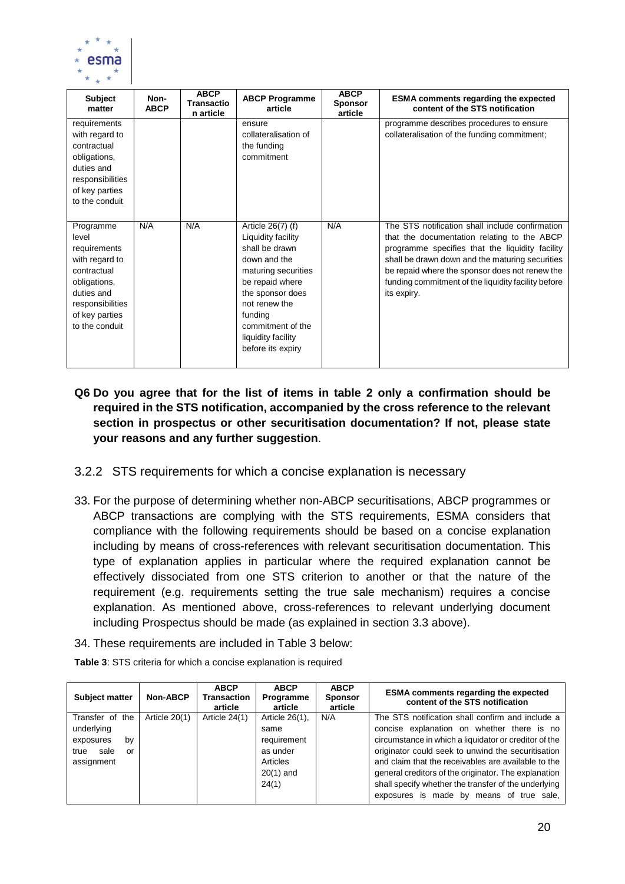

| <b>Subject</b><br>matter                                                                                                                                  | Non-<br><b>ABCP</b> | <b>ABCP</b><br><b>Transactio</b><br>n article | <b>ABCP Programme</b><br>article                                                                                                                                                                                                    | <b>ABCP</b><br><b>Sponsor</b><br>article | <b>ESMA</b> comments regarding the expected<br>content of the STS notification                                                                                                                                                                                                                                               |
|-----------------------------------------------------------------------------------------------------------------------------------------------------------|---------------------|-----------------------------------------------|-------------------------------------------------------------------------------------------------------------------------------------------------------------------------------------------------------------------------------------|------------------------------------------|------------------------------------------------------------------------------------------------------------------------------------------------------------------------------------------------------------------------------------------------------------------------------------------------------------------------------|
| requirements<br>with regard to<br>contractual<br>obligations,<br>duties and<br>responsibilities<br>of key parties<br>to the conduit                       |                     |                                               | ensure<br>collateralisation of<br>the funding<br>commitment                                                                                                                                                                         |                                          | programme describes procedures to ensure<br>collateralisation of the funding commitment;                                                                                                                                                                                                                                     |
| Programme<br>level<br>requirements<br>with regard to<br>contractual<br>obligations,<br>duties and<br>responsibilities<br>of key parties<br>to the conduit | N/A                 | N/A                                           | Article 26(7) (f)<br>Liquidity facility<br>shall be drawn<br>down and the<br>maturing securities<br>be repaid where<br>the sponsor does<br>not renew the<br>funding<br>commitment of the<br>liquidity facility<br>before its expiry | N/A                                      | The STS notification shall include confirmation<br>that the documentation relating to the ABCP<br>programme specifies that the liquidity facility<br>shall be drawn down and the maturing securities<br>be repaid where the sponsor does not renew the<br>funding commitment of the liquidity facility before<br>its expiry. |

- **Q6 Do you agree that for the list of items in table 2 only a confirmation should be required in the STS notification, accompanied by the cross reference to the relevant section in prospectus or other securitisation documentation? If not, please state your reasons and any further suggestion**.
- <span id="page-19-0"></span>3.2.2 STS requirements for which a concise explanation is necessary
- 33. For the purpose of determining whether non-ABCP securitisations, ABCP programmes or ABCP transactions are complying with the STS requirements, ESMA considers that compliance with the following requirements should be based on a concise explanation including by means of cross-references with relevant securitisation documentation. This type of explanation applies in particular where the required explanation cannot be effectively dissociated from one STS criterion to another or that the nature of the requirement (e.g. requirements setting the true sale mechanism) requires a concise explanation. As mentioned above, cross-references to relevant underlying document including Prospectus should be made (as explained in section 3.3 above).
- 34. These requirements are included in Table 3 below:

| <b>Subject matter</b> | <b>Non-ABCP</b> | <b>ABCP</b><br><b>Transaction</b><br>article | <b>ABCP</b><br>Programme<br>article | <b>ABCP</b><br><b>Sponsor</b><br>article | <b>ESMA</b> comments regarding the expected<br>content of the STS notification |
|-----------------------|-----------------|----------------------------------------------|-------------------------------------|------------------------------------------|--------------------------------------------------------------------------------|
| Transfer of the       | Article 20(1)   | Article 24(1)                                | Article 26(1),                      | N/A                                      | The STS notification shall confirm and include a                               |
| underlying            |                 |                                              | same                                |                                          | concise explanation on whether there is no                                     |
| by<br>exposures       |                 |                                              | requirement                         |                                          | circumstance in which a liquidator or creditor of the                          |
| sale<br>true<br>or    |                 |                                              | as under                            |                                          | originator could seek to unwind the securitisation                             |
| assignment            |                 |                                              | Articles                            |                                          | and claim that the receivables are available to the                            |
|                       |                 |                                              | $20(1)$ and                         |                                          | general creditors of the originator. The explanation                           |
|                       |                 |                                              | 24(1)                               |                                          | shall specify whether the transfer of the underlying                           |
|                       |                 |                                              |                                     |                                          | exposures is made by means of true sale,                                       |

**Table 3**: STS criteria for which a concise explanation is required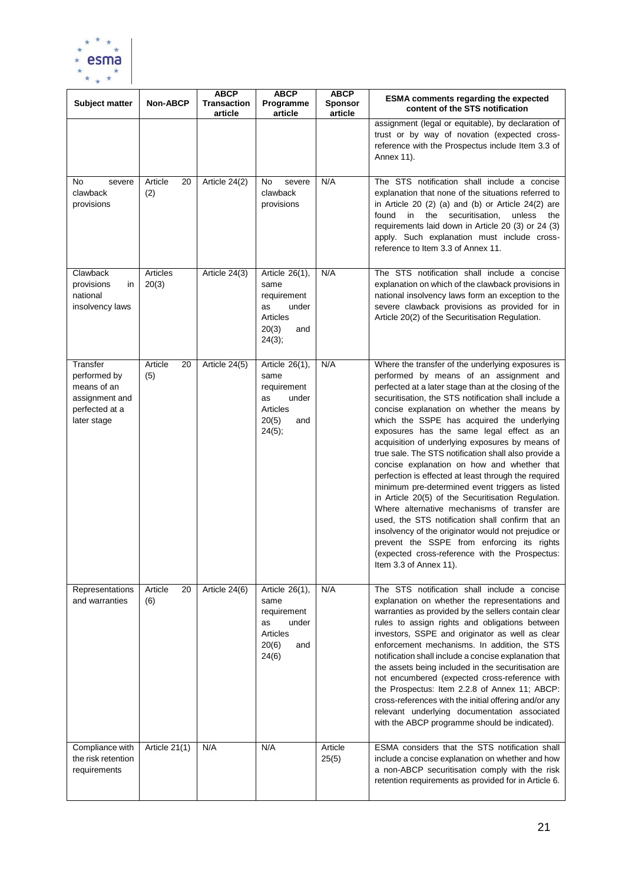

| <b>Subject matter</b>                                                                      | <b>Non-ABCP</b>      | <b>ABCP</b><br><b>Transaction</b><br>article | <b>ABCP</b><br>Programme<br>article                                                        | <b>ABCP</b><br><b>Sponsor</b><br>article | <b>ESMA comments regarding the expected</b><br>content of the STS notification                                                                                                                                                                                                                                                                                                                                                                                                                                                                                                                                                                                                                                                                                                                                                                                                                                                                                          |  |
|--------------------------------------------------------------------------------------------|----------------------|----------------------------------------------|--------------------------------------------------------------------------------------------|------------------------------------------|-------------------------------------------------------------------------------------------------------------------------------------------------------------------------------------------------------------------------------------------------------------------------------------------------------------------------------------------------------------------------------------------------------------------------------------------------------------------------------------------------------------------------------------------------------------------------------------------------------------------------------------------------------------------------------------------------------------------------------------------------------------------------------------------------------------------------------------------------------------------------------------------------------------------------------------------------------------------------|--|
|                                                                                            |                      |                                              |                                                                                            |                                          | assignment (legal or equitable), by declaration of<br>trust or by way of novation (expected cross-<br>reference with the Prospectus include Item 3.3 of<br>Annex 11).                                                                                                                                                                                                                                                                                                                                                                                                                                                                                                                                                                                                                                                                                                                                                                                                   |  |
| No<br>severe<br>clawback<br>provisions                                                     | Article<br>20<br>(2) | Article 24(2)                                | No<br>severe<br>clawback<br>provisions                                                     | N/A                                      | The STS notification shall include a concise<br>explanation that none of the situations referred to<br>in Article 20 $(2)$ $(a)$ and $(b)$ or Article 24 $(2)$ are<br>the<br>securitisation,<br>found in<br>unless<br>the<br>requirements laid down in Article 20 (3) or 24 (3)<br>apply. Such explanation must include cross-<br>reference to Item 3.3 of Annex 11.                                                                                                                                                                                                                                                                                                                                                                                                                                                                                                                                                                                                    |  |
| Clawback<br>provisions<br>in<br>national<br>insolvency laws                                | Articles<br>20(3)    | Article 24(3)                                | Article 26(1),<br>same<br>requirement<br>under<br>as<br>Articles<br>20(3)<br>and<br>24(3); | N/A                                      | The STS notification shall include a concise<br>explanation on which of the clawback provisions in<br>national insolvency laws form an exception to the<br>severe clawback provisions as provided for in<br>Article 20(2) of the Securitisation Regulation.                                                                                                                                                                                                                                                                                                                                                                                                                                                                                                                                                                                                                                                                                                             |  |
| Transfer<br>performed by<br>means of an<br>assignment and<br>perfected at a<br>later stage | Article<br>20<br>(5) | Article 24(5)                                | Article 26(1),<br>same<br>requirement<br>under<br>as<br>Articles<br>20(5)<br>and<br>24(5); | N/A                                      | Where the transfer of the underlying exposures is<br>performed by means of an assignment and<br>perfected at a later stage than at the closing of the<br>securitisation, the STS notification shall include a<br>concise explanation on whether the means by<br>which the SSPE has acquired the underlying<br>exposures has the same legal effect as an<br>acquisition of underlying exposures by means of<br>true sale. The STS notification shall also provide a<br>concise explanation on how and whether that<br>perfection is effected at least through the required<br>minimum pre-determined event triggers as listed<br>in Article 20(5) of the Securitisation Regulation.<br>Where alternative mechanisms of transfer are<br>used, the STS notification shall confirm that an<br>insolvency of the originator would not prejudice or<br>prevent the SSPE from enforcing its rights<br>(expected cross-reference with the Prospectus:<br>Item 3.3 of Annex 11). |  |
| Representations<br>and warranties                                                          | Article<br>20<br>(6) | Article 24(6)                                | Article 26(1),<br>same<br>requirement<br>under<br>as<br>Articles<br>20(6)<br>and<br>24(6)  | N/A                                      | The STS notification shall include a concise<br>explanation on whether the representations and<br>warranties as provided by the sellers contain clear<br>rules to assign rights and obligations between<br>investors, SSPE and originator as well as clear<br>enforcement mechanisms. In addition, the STS<br>notification shall include a concise explanation that<br>the assets being included in the securitisation are<br>not encumbered (expected cross-reference with<br>the Prospectus: Item 2.2.8 of Annex 11; ABCP:<br>cross-references with the initial offering and/or any<br>relevant underlying documentation associated<br>with the ABCP programme should be indicated).                                                                                                                                                                                                                                                                                  |  |
| Compliance with<br>the risk retention<br>requirements                                      | Article 21(1)        | N/A                                          | N/A                                                                                        | Article<br>25(5)                         | ESMA considers that the STS notification shall<br>include a concise explanation on whether and how<br>a non-ABCP securitisation comply with the risk<br>retention requirements as provided for in Article 6.                                                                                                                                                                                                                                                                                                                                                                                                                                                                                                                                                                                                                                                                                                                                                            |  |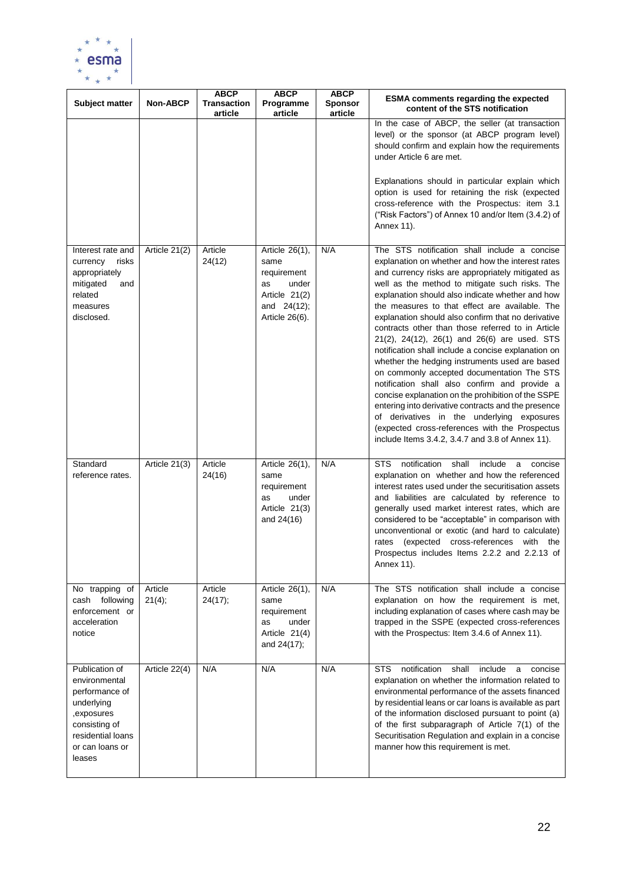

| Subject matter                                                                                                                                   | <b>Non-ABCP</b>   | <b>ABCP</b><br><b>Transaction</b><br>article | <b>ABCP</b><br>Programme<br>article                                                                    | <b>ABCP</b><br><b>Sponsor</b><br>article | <b>ESMA comments regarding the expected</b><br>content of the STS notification                                                                                                                                                                                                                                                                                                                                                                                                                                                                                                                                                                                                                                                                                                                                                                                                                                                                     |
|--------------------------------------------------------------------------------------------------------------------------------------------------|-------------------|----------------------------------------------|--------------------------------------------------------------------------------------------------------|------------------------------------------|----------------------------------------------------------------------------------------------------------------------------------------------------------------------------------------------------------------------------------------------------------------------------------------------------------------------------------------------------------------------------------------------------------------------------------------------------------------------------------------------------------------------------------------------------------------------------------------------------------------------------------------------------------------------------------------------------------------------------------------------------------------------------------------------------------------------------------------------------------------------------------------------------------------------------------------------------|
|                                                                                                                                                  |                   |                                              |                                                                                                        |                                          | In the case of ABCP, the seller (at transaction<br>level) or the sponsor (at ABCP program level)<br>should confirm and explain how the requirements<br>under Article 6 are met.<br>Explanations should in particular explain which<br>option is used for retaining the risk (expected<br>cross-reference with the Prospectus: item 3.1<br>("Risk Factors") of Annex 10 and/or Item (3.4.2) of<br>Annex 11).                                                                                                                                                                                                                                                                                                                                                                                                                                                                                                                                        |
| Interest rate and<br>currency<br>risks<br>appropriately<br>mitigated<br>and<br>related<br>measures<br>disclosed.                                 | Article 21(2)     | Article<br>24(12)                            | Article 26(1),<br>same<br>requirement<br>under<br>as<br>Article 21(2)<br>and 24(12);<br>Article 26(6). | N/A                                      | The STS notification shall include a concise<br>explanation on whether and how the interest rates<br>and currency risks are appropriately mitigated as<br>well as the method to mitigate such risks. The<br>explanation should also indicate whether and how<br>the measures to that effect are available. The<br>explanation should also confirm that no derivative<br>contracts other than those referred to in Article<br>21(2), 24(12), 26(1) and 26(6) are used. STS<br>notification shall include a concise explanation on<br>whether the hedging instruments used are based<br>on commonly accepted documentation The STS<br>notification shall also confirm and provide a<br>concise explanation on the prohibition of the SSPE<br>entering into derivative contracts and the presence<br>of derivatives in the underlying exposures<br>(expected cross-references with the Prospectus<br>include Items 3.4.2, 3.4.7 and 3.8 of Annex 11). |
| Standard<br>reference rates.                                                                                                                     | Article 21(3)     | Article<br>24(16)                            | Article 26(1),<br>same<br>requirement<br>under<br>as<br>Article 21(3)<br>and 24(16)                    | N/A                                      | notification<br><b>STS</b><br>shall<br>include<br>a<br>concise<br>explanation on whether and how the referenced<br>interest rates used under the securitisation assets<br>and liabilities are calculated by reference to<br>generally used market interest rates, which are<br>considered to be "acceptable" in comparison with<br>unconventional or exotic (and hard to calculate)<br>(expected cross-references with the<br>rates<br>Prospectus includes Items 2.2.2 and 2.2.13 of<br>Annex 11).                                                                                                                                                                                                                                                                                                                                                                                                                                                 |
| No trapping of<br>cash following<br>enforcement or<br>acceleration<br>notice                                                                     | Article<br>21(4); | Article<br>24(17);                           | Article 26(1),<br>same<br>requirement<br>under<br>as<br>Article 21(4)<br>and 24(17);                   | N/A                                      | The STS notification shall include a concise<br>explanation on how the requirement is met,<br>including explanation of cases where cash may be<br>trapped in the SSPE (expected cross-references<br>with the Prospectus: Item 3.4.6 of Annex 11).                                                                                                                                                                                                                                                                                                                                                                                                                                                                                                                                                                                                                                                                                                  |
| Publication of<br>environmental<br>performance of<br>underlying<br>,exposures<br>consisting of<br>residential loans<br>or can loans or<br>leases | Article 22(4)     | N/A                                          | N/A                                                                                                    | N/A                                      | <b>STS</b><br>notification<br>shall<br>include<br>concise<br>a<br>explanation on whether the information related to<br>environmental performance of the assets financed<br>by residential leans or car loans is available as part<br>of the information disclosed pursuant to point (a)<br>of the first subparagraph of Article 7(1) of the<br>Securitisation Regulation and explain in a concise<br>manner how this requirement is met.                                                                                                                                                                                                                                                                                                                                                                                                                                                                                                           |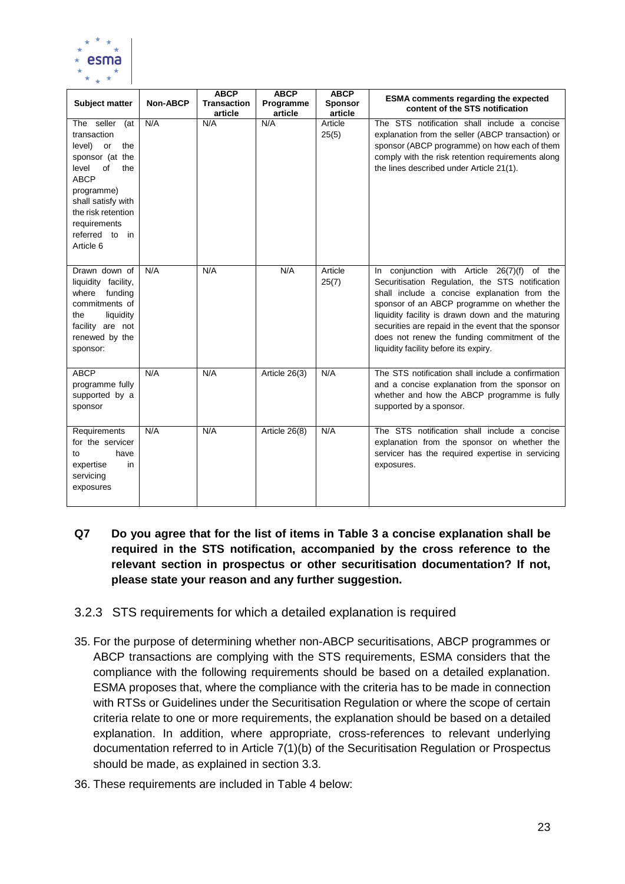

| <b>Subject matter</b>                                                                                                                                                                                                    | <b>Non-ABCP</b> | <b>ABCP</b><br>Transaction<br>article | <b>ABCP</b><br>Programme<br>article | <b>ABCP</b><br><b>Sponsor</b><br>article | <b>ESMA comments regarding the expected</b><br>content of the STS notification                                                                                                                                                                                                                                                                                                                     |
|--------------------------------------------------------------------------------------------------------------------------------------------------------------------------------------------------------------------------|-----------------|---------------------------------------|-------------------------------------|------------------------------------------|----------------------------------------------------------------------------------------------------------------------------------------------------------------------------------------------------------------------------------------------------------------------------------------------------------------------------------------------------------------------------------------------------|
| The seller<br>(at<br>transaction<br>level)<br>the<br>or<br>sponsor (at the<br>level<br>of<br>the<br><b>ABCP</b><br>programme)<br>shall satisfy with<br>the risk retention<br>requirements<br>referred to in<br>Article 6 | N/A             | N/A                                   | N/A                                 | Article<br>25(5)                         | The STS notification shall include a concise<br>explanation from the seller (ABCP transaction) or<br>sponsor (ABCP programme) on how each of them<br>comply with the risk retention requirements along<br>the lines described under Article 21(1).                                                                                                                                                 |
| Drawn down of<br>liquidity facility,<br>where<br>funding<br>commitments of<br>liquidity<br>the<br>facility are not<br>renewed by the<br>sponsor:                                                                         | N/A             | N/A                                   | N/A                                 | Article<br>25(7)                         | In conjunction with Article 26(7)(f) of the<br>Securitisation Regulation, the STS notification<br>shall include a concise explanation from the<br>sponsor of an ABCP programme on whether the<br>liquidity facility is drawn down and the maturing<br>securities are repaid in the event that the sponsor<br>does not renew the funding commitment of the<br>liquidity facility before its expiry. |
| <b>ABCP</b><br>programme fully<br>supported by a<br>sponsor                                                                                                                                                              | N/A             | N/A                                   | Article 26(3)                       | N/A                                      | The STS notification shall include a confirmation<br>and a concise explanation from the sponsor on<br>whether and how the ABCP programme is fully<br>supported by a sponsor.                                                                                                                                                                                                                       |
| Requirements<br>for the servicer<br>have<br>to<br>expertise<br>in<br>servicing<br>exposures                                                                                                                              | N/A             | N/A                                   | Article 26(8)                       | N/A                                      | The STS notification shall include a concise<br>explanation from the sponsor on whether the<br>servicer has the required expertise in servicing<br>exposures.                                                                                                                                                                                                                                      |

### **Q7 Do you agree that for the list of items in Table 3 a concise explanation shall be required in the STS notification, accompanied by the cross reference to the relevant section in prospectus or other securitisation documentation? If not, please state your reason and any further suggestion.**

### <span id="page-22-0"></span>3.2.3 STS requirements for which a detailed explanation is required

- 35. For the purpose of determining whether non-ABCP securitisations, ABCP programmes or ABCP transactions are complying with the STS requirements, ESMA considers that the compliance with the following requirements should be based on a detailed explanation. ESMA proposes that, where the compliance with the criteria has to be made in connection with RTSs or Guidelines under the Securitisation Regulation or where the scope of certain criteria relate to one or more requirements, the explanation should be based on a detailed explanation. In addition, where appropriate, cross-references to relevant underlying documentation referred to in Article 7(1)(b) of the Securitisation Regulation or Prospectus should be made, as explained in section 3.3.
- 36. These requirements are included in Table 4 below: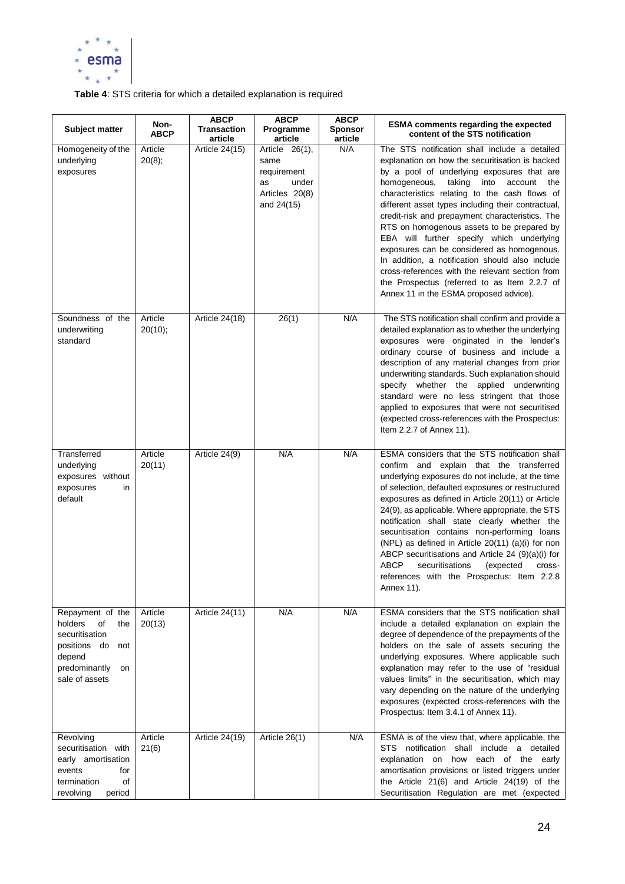

### **Table 4**: STS criteria for which a detailed explanation is required

| Subject matter                                                                                                                       | Non-<br><b>ABCP</b> | <b>ABCP</b><br><b>Transaction</b><br>article | <b>ABCP</b><br>Programme<br>article                                                  | <b>ABCP</b><br><b>Sponsor</b><br>article | <b>ESMA comments regarding the expected</b><br>content of the STS notification                                                                                                                                                                                                                                                                                                                                                                                                                                                                                                                                                                                                                        |
|--------------------------------------------------------------------------------------------------------------------------------------|---------------------|----------------------------------------------|--------------------------------------------------------------------------------------|------------------------------------------|-------------------------------------------------------------------------------------------------------------------------------------------------------------------------------------------------------------------------------------------------------------------------------------------------------------------------------------------------------------------------------------------------------------------------------------------------------------------------------------------------------------------------------------------------------------------------------------------------------------------------------------------------------------------------------------------------------|
| Homogeneity of the<br>underlying<br>exposures                                                                                        | Article<br>20(8);   | Article $24(15)$                             | Article 26(1),<br>same<br>requirement<br>under<br>as<br>Articles 20(8)<br>and 24(15) | N/A                                      | The STS notification shall include a detailed<br>explanation on how the securitisation is backed<br>by a pool of underlying exposures that are<br>homogeneous,<br>taking<br>into<br>account<br>the<br>characteristics relating to the cash flows of<br>different asset types including their contractual,<br>credit-risk and prepayment characteristics. The<br>RTS on homogenous assets to be prepared by<br>EBA will further specify which underlying<br>exposures can be considered as homogenous.<br>In addition, a notification should also include<br>cross-references with the relevant section from<br>the Prospectus (referred to as Item 2.2.7 of<br>Annex 11 in the ESMA proposed advice). |
| Soundness of the<br>underwriting<br>standard                                                                                         | Article<br>20(10);  | <b>Article 24(18)</b>                        | 26(1)                                                                                | N/A                                      | The STS notification shall confirm and provide a<br>detailed explanation as to whether the underlying<br>exposures were originated in the lender's<br>ordinary course of business and include a<br>description of any material changes from prior<br>underwriting standards. Such explanation should<br>specify whether the applied underwriting<br>standard were no less stringent that those<br>applied to exposures that were not securitised<br>(expected cross-references with the Prospectus:<br>Item 2.2.7 of Annex 11).                                                                                                                                                                       |
| Transferred<br>underlying<br>exposures without<br>exposures<br>in<br>default                                                         | Article<br>20(11)   | Article 24(9)                                | N/A                                                                                  | N/A                                      | ESMA considers that the STS notification shall<br>confirm and explain that the transferred<br>underlying exposures do not include, at the time<br>of selection, defaulted exposures or restructured<br>exposures as defined in Article 20(11) or Article<br>24(9), as applicable. Where appropriate, the STS<br>notification shall state clearly whether the<br>securitisation contains non-performing loans<br>(NPL) as defined in Article 20(11) (a)(i) for non<br>ABCP securitisations and Article 24 (9)(a)(i) for<br>ABCP<br>securitisations<br>(expected<br>cross-<br>references with the Prospectus: Item 2.2.8<br>Annex 11).                                                                  |
| Repayment of the<br>holders<br>of<br>the<br>securitisation<br>positions do<br>not<br>depend<br>predominantly<br>on<br>sale of assets | Article<br>20(13)   | Article 24(11)                               | N/A                                                                                  | N/A                                      | ESMA considers that the STS notification shall<br>include a detailed explanation on explain the<br>degree of dependence of the prepayments of the<br>holders on the sale of assets securing the<br>underlying exposures. Where applicable such<br>explanation may refer to the use of "residual<br>values limits" in the securitisation, which may<br>vary depending on the nature of the underlying<br>exposures (expected cross-references with the<br>Prospectus: Item 3.4.1 of Annex 11).                                                                                                                                                                                                         |
| Revolving<br>securitisation with<br>early amortisation<br>events<br>for<br>termination<br>of<br>period<br>revolving                  | Article<br>21(6)    | Article 24(19)                               | Article 26(1)                                                                        | N/A                                      | ESMA is of the view that, where applicable, the<br>STS notification shall include a detailed<br>explanation on how each of the early<br>amortisation provisions or listed triggers under<br>the Article 21(6) and Article 24(19) of the<br>Securitisation Regulation are met (expected                                                                                                                                                                                                                                                                                                                                                                                                                |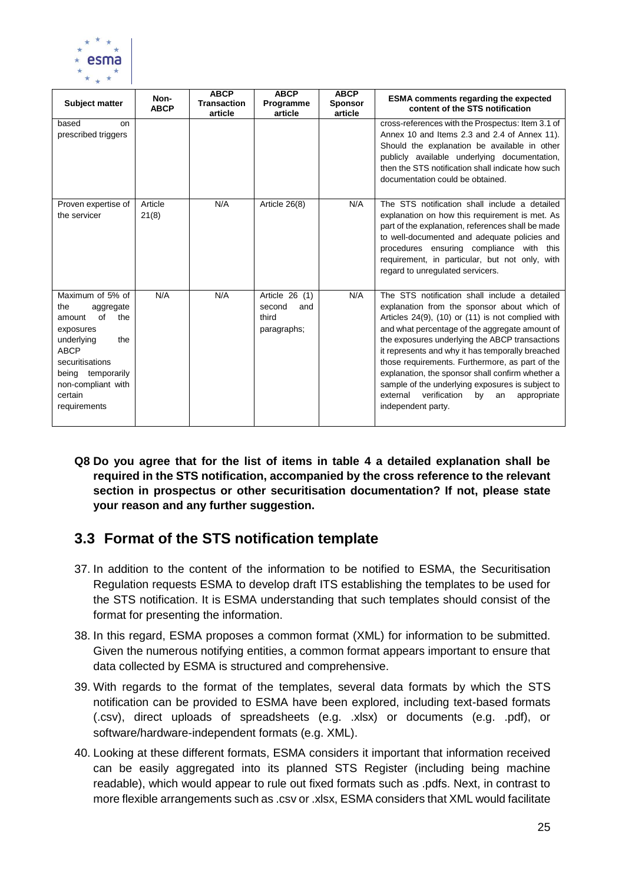

| Subject matter                                                                                                                                                                                        | Non-<br><b>ABCP</b> | <b>ABCP</b><br><b>Transaction</b><br>article | <b>ABCP</b><br>Programme<br>article                     | <b>ABCP</b><br><b>Sponsor</b><br>article | <b>ESMA</b> comments regarding the expected<br>content of the STS notification                                                                                                                                                                                                                                                                                                                                                                                                                                                                    |
|-------------------------------------------------------------------------------------------------------------------------------------------------------------------------------------------------------|---------------------|----------------------------------------------|---------------------------------------------------------|------------------------------------------|---------------------------------------------------------------------------------------------------------------------------------------------------------------------------------------------------------------------------------------------------------------------------------------------------------------------------------------------------------------------------------------------------------------------------------------------------------------------------------------------------------------------------------------------------|
| based<br>on<br>prescribed triggers                                                                                                                                                                    |                     |                                              |                                                         |                                          | cross-references with the Prospectus: Item 3.1 of<br>Annex 10 and Items 2.3 and 2.4 of Annex 11).<br>Should the explanation be available in other<br>publicly available underlying documentation,<br>then the STS notification shall indicate how such<br>documentation could be obtained.                                                                                                                                                                                                                                                        |
| Proven expertise of<br>the servicer                                                                                                                                                                   | Article<br>21(8)    | N/A                                          | Article 26(8)                                           | N/A                                      | The STS notification shall include a detailed<br>explanation on how this requirement is met. As<br>part of the explanation, references shall be made<br>to well-documented and adequate policies and<br>procedures ensuring compliance with this<br>requirement, in particular, but not only, with<br>regard to unregulated servicers.                                                                                                                                                                                                            |
| Maximum of 5% of<br>the<br>aggregate<br>of<br>the<br>amount<br>exposures<br>the<br>underlying<br><b>ABCP</b><br>securitisations<br>being temporarily<br>non-compliant with<br>certain<br>requirements | N/A                 | N/A                                          | Article 26 (1)<br>second<br>and<br>third<br>paragraphs; | N/A                                      | The STS notification shall include a detailed<br>explanation from the sponsor about which of<br>Articles 24(9), (10) or (11) is not complied with<br>and what percentage of the aggregate amount of<br>the exposures underlying the ABCP transactions<br>it represents and why it has temporally breached<br>those requirements. Furthermore, as part of the<br>explanation, the sponsor shall confirm whether a<br>sample of the underlying exposures is subject to<br>verification<br>external<br>by<br>appropriate<br>an<br>independent party. |

**Q8 Do you agree that for the list of items in table 4 a detailed explanation shall be required in the STS notification, accompanied by the cross reference to the relevant section in prospectus or other securitisation documentation? If not, please state your reason and any further suggestion.**

### <span id="page-24-0"></span>**3.3 Format of the STS notification template**

- 37. In addition to the content of the information to be notified to ESMA, the Securitisation Regulation requests ESMA to develop draft ITS establishing the templates to be used for the STS notification. It is ESMA understanding that such templates should consist of the format for presenting the information.
- 38. In this regard, ESMA proposes a common format (XML) for information to be submitted. Given the numerous notifying entities, a common format appears important to ensure that data collected by ESMA is structured and comprehensive.
- 39. With regards to the format of the templates, several data formats by which the STS notification can be provided to ESMA have been explored, including text-based formats (.csv), direct uploads of spreadsheets (e.g. .xlsx) or documents (e.g. .pdf), or software/hardware-independent formats (e.g. XML).
- 40. Looking at these different formats, ESMA considers it important that information received can be easily aggregated into its planned STS Register (including being machine readable), which would appear to rule out fixed formats such as .pdfs. Next, in contrast to more flexible arrangements such as .csv or .xlsx, ESMA considers that XML would facilitate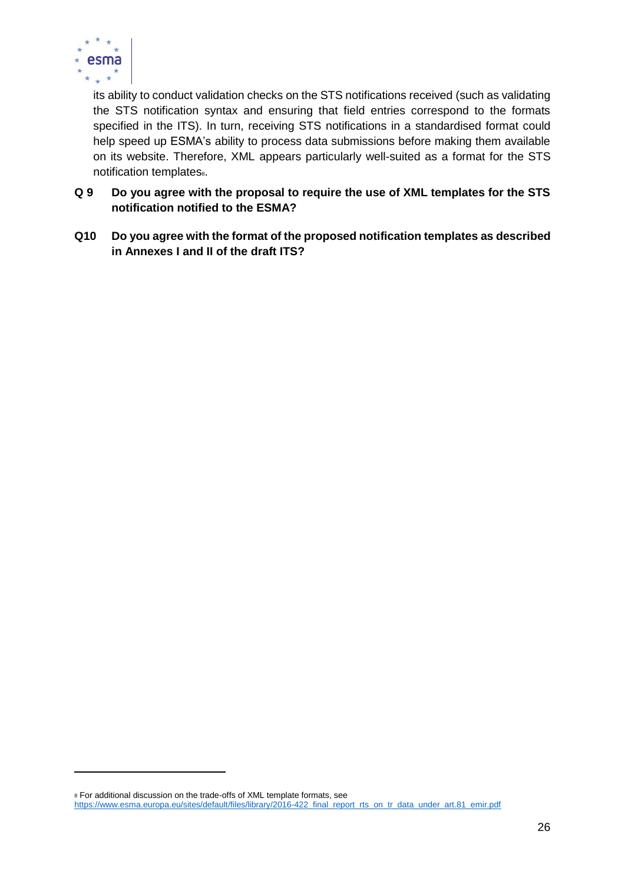

its ability to conduct validation checks on the STS notifications received (such as validating the STS notification syntax and ensuring that field entries correspond to the formats specified in the ITS). In turn, receiving STS notifications in a standardised format could help speed up ESMA's ability to process data submissions before making them available on its website. Therefore, XML appears particularly well-suited as a format for the STS notification templates.

- **Q 9 Do you agree with the proposal to require the use of XML templates for the STS notification notified to the ESMA?**
- **Q10 Do you agree with the format of the proposed notification templates as described in Annexes I and II of the draft ITS?**

 $\overline{a}$ 

<sup>8</sup> For additional discussion on the trade-offs of XML template formats, see

[https://www.esma.europa.eu/sites/default/files/library/2016-422\\_final\\_report\\_rts\\_on\\_tr\\_data\\_under\\_art.81\\_emir.pdf](https://www.esma.europa.eu/sites/default/files/library/2016-422_final_report_rts_on_tr_data_under_art.81_emir.pdf)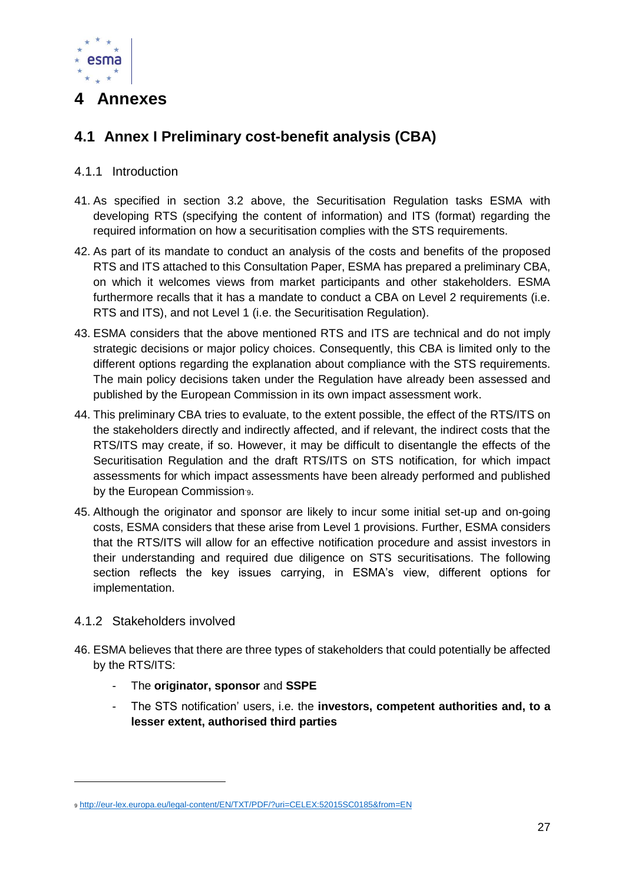

### <span id="page-26-0"></span>**4 Annexes**

### <span id="page-26-1"></span>**4.1 Annex I Preliminary cost-benefit analysis (CBA)**

### <span id="page-26-2"></span>4.1.1 Introduction

- 41. As specified in section 3.2 above, the Securitisation Regulation tasks ESMA with developing RTS (specifying the content of information) and ITS (format) regarding the required information on how a securitisation complies with the STS requirements.
- 42. As part of its mandate to conduct an analysis of the costs and benefits of the proposed RTS and ITS attached to this Consultation Paper, ESMA has prepared a preliminary CBA, on which it welcomes views from market participants and other stakeholders. ESMA furthermore recalls that it has a mandate to conduct a CBA on Level 2 requirements (i.e. RTS and ITS), and not Level 1 (i.e. the Securitisation Regulation).
- 43. ESMA considers that the above mentioned RTS and ITS are technical and do not imply strategic decisions or major policy choices. Consequently, this CBA is limited only to the different options regarding the explanation about compliance with the STS requirements. The main policy decisions taken under the Regulation have already been assessed and published by the European Commission in its own impact assessment work.
- 44. This preliminary CBA tries to evaluate, to the extent possible, the effect of the RTS/ITS on the stakeholders directly and indirectly affected, and if relevant, the indirect costs that the RTS/ITS may create, if so. However, it may be difficult to disentangle the effects of the Securitisation Regulation and the draft RTS/ITS on STS notification, for which impact assessments for which impact assessments have been already performed and published by the European Commission 9.
- 45. Although the originator and sponsor are likely to incur some initial set-up and on-going costs, ESMA considers that these arise from Level 1 provisions. Further, ESMA considers that the RTS/ITS will allow for an effective notification procedure and assist investors in their understanding and required due diligence on STS securitisations. The following section reflects the key issues carrying, in ESMA's view, different options for implementation.

### <span id="page-26-3"></span>4.1.2 Stakeholders involved

- 46. ESMA believes that there are three types of stakeholders that could potentially be affected by the RTS/ITS:
	- The **originator, sponsor** and **SSPE**
	- The STS notification' users, i.e. the **investors, competent authorities and, to a lesser extent, authorised third parties**

<sup>9</sup> <http://eur-lex.europa.eu/legal-content/EN/TXT/PDF/?uri=CELEX:52015SC0185&from=EN>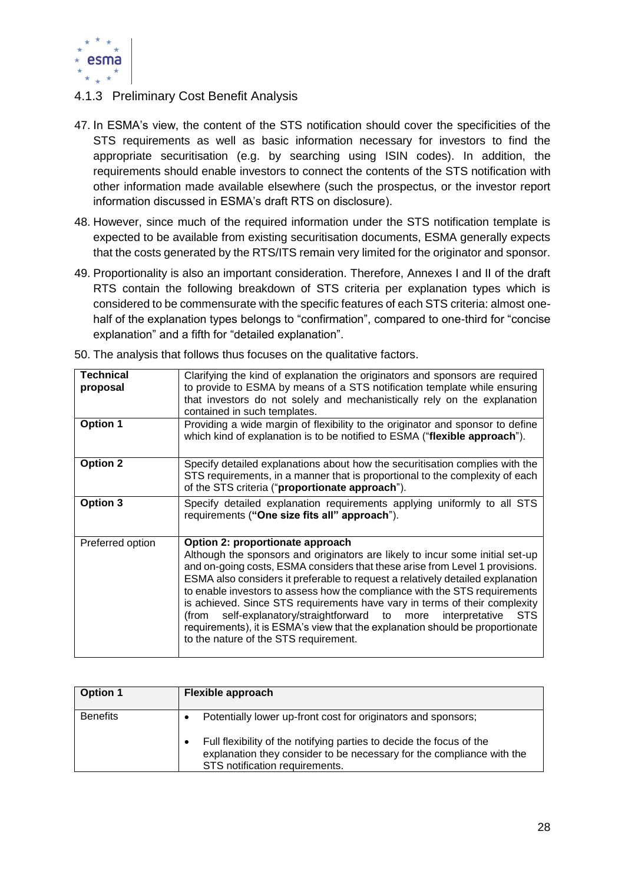

### <span id="page-27-0"></span>4.1.3 Preliminary Cost Benefit Analysis

- 47. In ESMA's view, the content of the STS notification should cover the specificities of the STS requirements as well as basic information necessary for investors to find the appropriate securitisation (e.g. by searching using ISIN codes). In addition, the requirements should enable investors to connect the contents of the STS notification with other information made available elsewhere (such the prospectus, or the investor report information discussed in ESMA's draft RTS on disclosure).
- 48. However, since much of the required information under the STS notification template is expected to be available from existing securitisation documents, ESMA generally expects that the costs generated by the RTS/ITS remain very limited for the originator and sponsor.
- 49. Proportionality is also an important consideration. Therefore, Annexes I and II of the draft RTS contain the following breakdown of STS criteria per explanation types which is considered to be commensurate with the specific features of each STS criteria: almost onehalf of the explanation types belongs to "confirmation", compared to one-third for "concise explanation" and a fifth for "detailed explanation".

| <b>Technical</b><br>proposal | Clarifying the kind of explanation the originators and sponsors are required<br>to provide to ESMA by means of a STS notification template while ensuring<br>that investors do not solely and mechanistically rely on the explanation<br>contained in such templates.                                                                                                                                                                                                                                                                                                                                                                                |
|------------------------------|------------------------------------------------------------------------------------------------------------------------------------------------------------------------------------------------------------------------------------------------------------------------------------------------------------------------------------------------------------------------------------------------------------------------------------------------------------------------------------------------------------------------------------------------------------------------------------------------------------------------------------------------------|
| <b>Option 1</b>              | Providing a wide margin of flexibility to the originator and sponsor to define<br>which kind of explanation is to be notified to ESMA ("flexible approach").                                                                                                                                                                                                                                                                                                                                                                                                                                                                                         |
| <b>Option 2</b>              | Specify detailed explanations about how the securitisation complies with the<br>STS requirements, in a manner that is proportional to the complexity of each<br>of the STS criteria ("proportionate approach").                                                                                                                                                                                                                                                                                                                                                                                                                                      |
| Option 3                     | Specify detailed explanation requirements applying uniformly to all STS<br>requirements ("One size fits all" approach").                                                                                                                                                                                                                                                                                                                                                                                                                                                                                                                             |
| Preferred option             | Option 2: proportionate approach<br>Although the sponsors and originators are likely to incur some initial set-up<br>and on-going costs, ESMA considers that these arise from Level 1 provisions.<br>ESMA also considers it preferable to request a relatively detailed explanation<br>to enable investors to assess how the compliance with the STS requirements<br>is achieved. Since STS requirements have vary in terms of their complexity<br>self-explanatory/straightforward to more interpretative<br>STS<br>(from<br>requirements), it is ESMA's view that the explanation should be proportionate<br>to the nature of the STS requirement. |

50. The analysis that follows thus focuses on the qualitative factors.

| <b>Option 1</b> | Flexible approach                                                                                                                                                                                                                                |
|-----------------|--------------------------------------------------------------------------------------------------------------------------------------------------------------------------------------------------------------------------------------------------|
| <b>Benefits</b> | Potentially lower up-front cost for originators and sponsors;<br>Full flexibility of the notifying parties to decide the focus of the<br>explanation they consider to be necessary for the compliance with the<br>STS notification requirements. |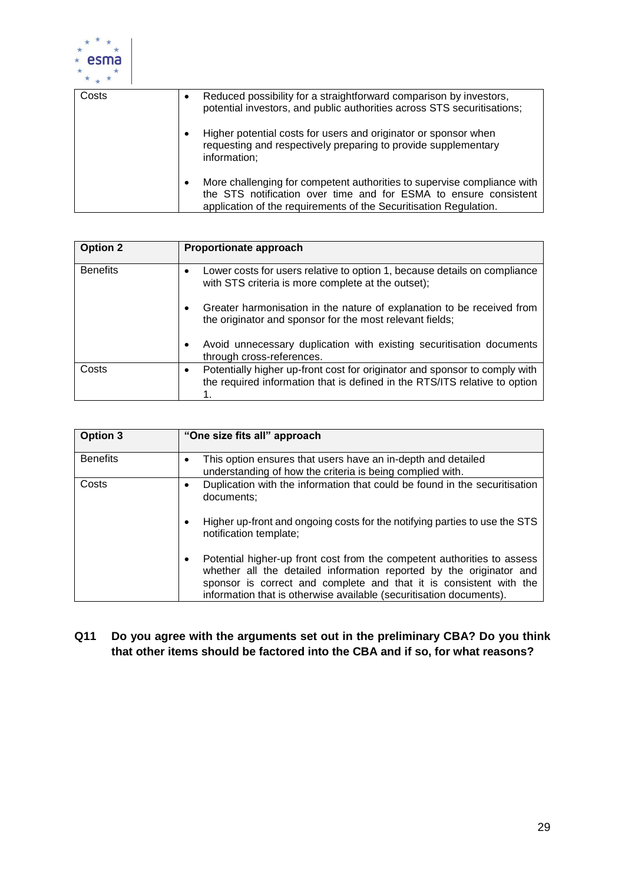

| Costs |           | Reduced possibility for a straightforward comparison by investors,<br>potential investors, and public authorities across STS securitisations;                                                                    |
|-------|-----------|------------------------------------------------------------------------------------------------------------------------------------------------------------------------------------------------------------------|
|       | $\bullet$ | Higher potential costs for users and originator or sponsor when<br>requesting and respectively preparing to provide supplementary<br>information;                                                                |
|       |           | More challenging for competent authorities to supervise compliance with<br>the STS notification over time and for ESMA to ensure consistent<br>application of the requirements of the Securitisation Regulation. |

| <b>Option 2</b> | Proportionate approach                                                                                                                                   |
|-----------------|----------------------------------------------------------------------------------------------------------------------------------------------------------|
| <b>Benefits</b> | Lower costs for users relative to option 1, because details on compliance<br>with STS criteria is more complete at the outset);                          |
|                 | Greater harmonisation in the nature of explanation to be received from<br>$\bullet$<br>the originator and sponsor for the most relevant fields;          |
|                 | Avoid unnecessary duplication with existing securitisation documents<br>through cross-references.                                                        |
| Costs           | Potentially higher up-front cost for originator and sponsor to comply with<br>the required information that is defined in the RTS/ITS relative to option |

| Option 3        | "One size fits all" approach                                                                                                                                                                                                                                                                     |
|-----------------|--------------------------------------------------------------------------------------------------------------------------------------------------------------------------------------------------------------------------------------------------------------------------------------------------|
| <b>Benefits</b> | This option ensures that users have an in-depth and detailed<br>$\bullet$<br>understanding of how the criteria is being complied with.                                                                                                                                                           |
| Costs           | Duplication with the information that could be found in the securitisation<br>documents:                                                                                                                                                                                                         |
|                 | Higher up-front and ongoing costs for the notifying parties to use the STS<br>notification template;                                                                                                                                                                                             |
|                 | Potential higher-up front cost from the competent authorities to assess<br>٠<br>whether all the detailed information reported by the originator and<br>sponsor is correct and complete and that it is consistent with the<br>information that is otherwise available (securitisation documents). |

### **Q11 Do you agree with the arguments set out in the preliminary CBA? Do you think that other items should be factored into the CBA and if so, for what reasons?**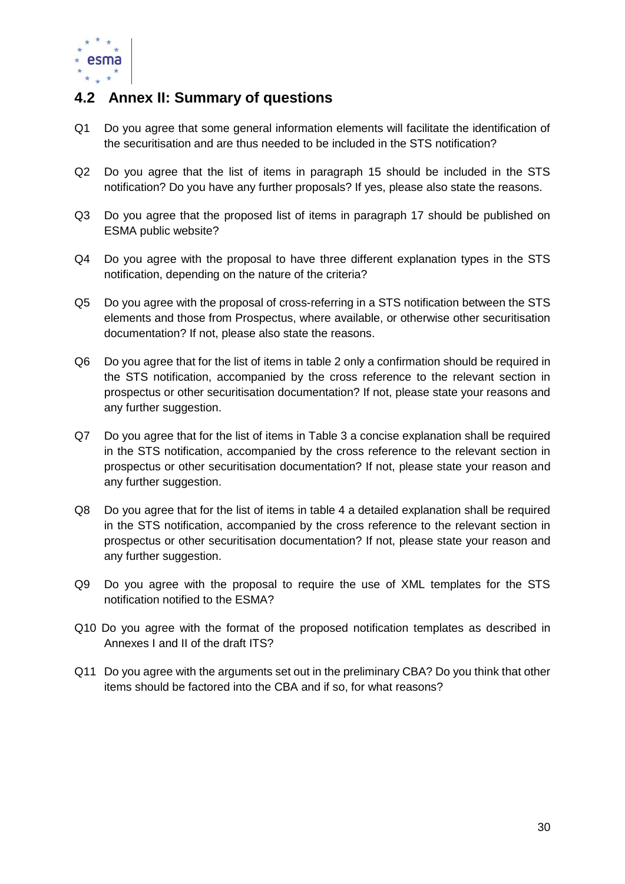

### <span id="page-29-0"></span>**4.2 Annex II: Summary of questions**

- Q1 Do you agree that some general information elements will facilitate the identification of the securitisation and are thus needed to be included in the STS notification?
- Q2 Do you agree that the list of items in paragraph 15 should be included in the STS notification? Do you have any further proposals? If yes, please also state the reasons.
- Q3 Do you agree that the proposed list of items in paragraph 17 should be published on ESMA public website?
- Q4 Do you agree with the proposal to have three different explanation types in the STS notification, depending on the nature of the criteria?
- Q5 Do you agree with the proposal of cross-referring in a STS notification between the STS elements and those from Prospectus, where available, or otherwise other securitisation documentation? If not, please also state the reasons.
- Q6 Do you agree that for the list of items in table 2 only a confirmation should be required in the STS notification, accompanied by the cross reference to the relevant section in prospectus or other securitisation documentation? If not, please state your reasons and any further suggestion.
- Q7 Do you agree that for the list of items in Table 3 a concise explanation shall be required in the STS notification, accompanied by the cross reference to the relevant section in prospectus or other securitisation documentation? If not, please state your reason and any further suggestion.
- Q8 Do you agree that for the list of items in table 4 a detailed explanation shall be required in the STS notification, accompanied by the cross reference to the relevant section in prospectus or other securitisation documentation? If not, please state your reason and any further suggestion.
- Q9 Do you agree with the proposal to require the use of XML templates for the STS notification notified to the ESMA?
- Q10 Do you agree with the format of the proposed notification templates as described in Annexes I and II of the draft ITS?
- Q11 Do you agree with the arguments set out in the preliminary CBA? Do you think that other items should be factored into the CBA and if so, for what reasons?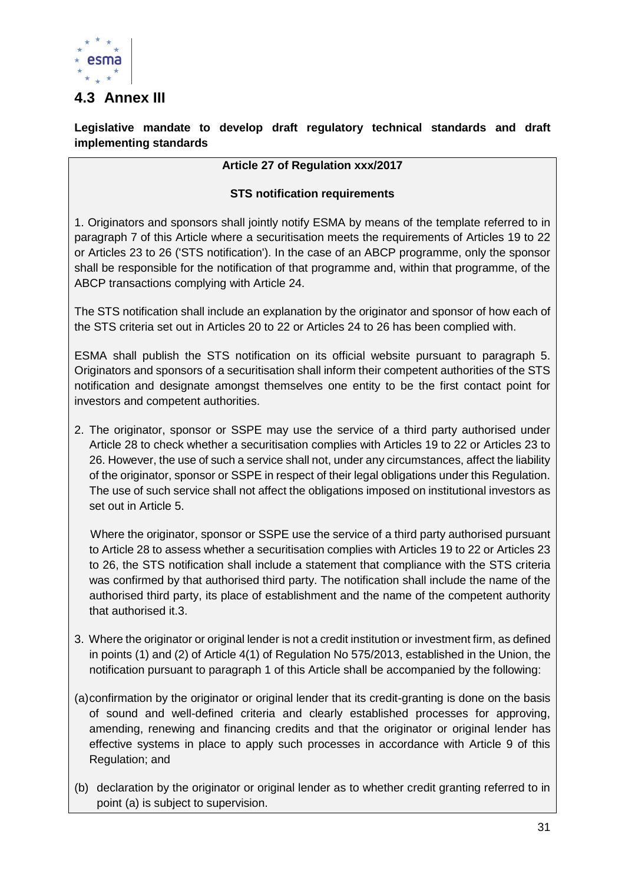

### <span id="page-30-0"></span>**4.3 Annex III**

**Legislative mandate to develop draft regulatory technical standards and draft implementing standards**

### **Article 27 of Regulation xxx/2017**

### **STS notification requirements**

1. Originators and sponsors shall jointly notify ESMA by means of the template referred to in paragraph 7 of this Article where a securitisation meets the requirements of Articles 19 to 22 or Articles 23 to 26 ('STS notification'). In the case of an ABCP programme, only the sponsor shall be responsible for the notification of that programme and, within that programme, of the ABCP transactions complying with Article 24.

The STS notification shall include an explanation by the originator and sponsor of how each of the STS criteria set out in Articles 20 to 22 or Articles 24 to 26 has been complied with.

ESMA shall publish the STS notification on its official website pursuant to paragraph 5. Originators and sponsors of a securitisation shall inform their competent authorities of the STS notification and designate amongst themselves one entity to be the first contact point for investors and competent authorities.

2. The originator, sponsor or SSPE may use the service of a third party authorised under Article 28 to check whether a securitisation complies with Articles 19 to 22 or Articles 23 to 26. However, the use of such a service shall not, under any circumstances, affect the liability of the originator, sponsor or SSPE in respect of their legal obligations under this Regulation. The use of such service shall not affect the obligations imposed on institutional investors as set out in Article 5.

 Where the originator, sponsor or SSPE use the service of a third party authorised pursuant to Article 28 to assess whether a securitisation complies with Articles 19 to 22 or Articles 23 to 26, the STS notification shall include a statement that compliance with the STS criteria was confirmed by that authorised third party. The notification shall include the name of the authorised third party, its place of establishment and the name of the competent authority that authorised it.3.

- 3. Where the originator or original lender is not a credit institution or investment firm, as defined in points (1) and (2) of Article 4(1) of Regulation No 575/2013, established in the Union, the notification pursuant to paragraph 1 of this Article shall be accompanied by the following:
- (a)confirmation by the originator or original lender that its credit-granting is done on the basis of sound and well-defined criteria and clearly established processes for approving, amending, renewing and financing credits and that the originator or original lender has effective systems in place to apply such processes in accordance with Article 9 of this Regulation; and
- (b) declaration by the originator or original lender as to whether credit granting referred to in point (a) is subject to supervision.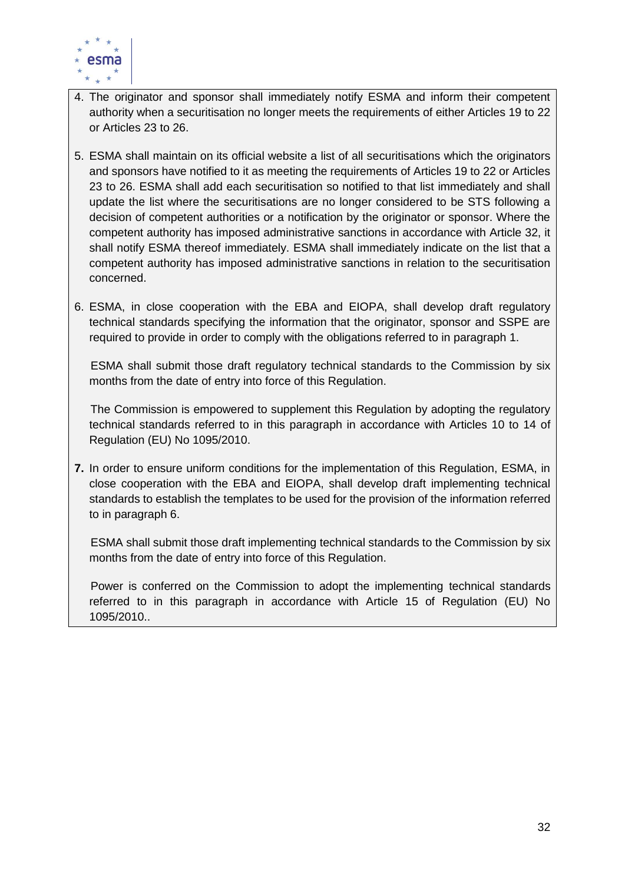

- 4. The originator and sponsor shall immediately notify ESMA and inform their competent authority when a securitisation no longer meets the requirements of either Articles 19 to 22 or Articles 23 to 26.
- 5. ESMA shall maintain on its official website a list of all securitisations which the originators and sponsors have notified to it as meeting the requirements of Articles 19 to 22 or Articles 23 to 26. ESMA shall add each securitisation so notified to that list immediately and shall update the list where the securitisations are no longer considered to be STS following a decision of competent authorities or a notification by the originator or sponsor. Where the competent authority has imposed administrative sanctions in accordance with Article 32, it shall notify ESMA thereof immediately. ESMA shall immediately indicate on the list that a competent authority has imposed administrative sanctions in relation to the securitisation concerned.
- 6. ESMA, in close cooperation with the EBA and EIOPA, shall develop draft regulatory technical standards specifying the information that the originator, sponsor and SSPE are required to provide in order to comply with the obligations referred to in paragraph 1.

 ESMA shall submit those draft regulatory technical standards to the Commission by six months from the date of entry into force of this Regulation.

 The Commission is empowered to supplement this Regulation by adopting the regulatory technical standards referred to in this paragraph in accordance with Articles 10 to 14 of Regulation (EU) No 1095/2010.

**7.** In order to ensure uniform conditions for the implementation of this Regulation, ESMA, in close cooperation with the EBA and EIOPA, shall develop draft implementing technical standards to establish the templates to be used for the provision of the information referred to in paragraph 6.

 ESMA shall submit those draft implementing technical standards to the Commission by six months from the date of entry into force of this Regulation.

 Power is conferred on the Commission to adopt the implementing technical standards referred to in this paragraph in accordance with Article 15 of Regulation (EU) No 1095/2010..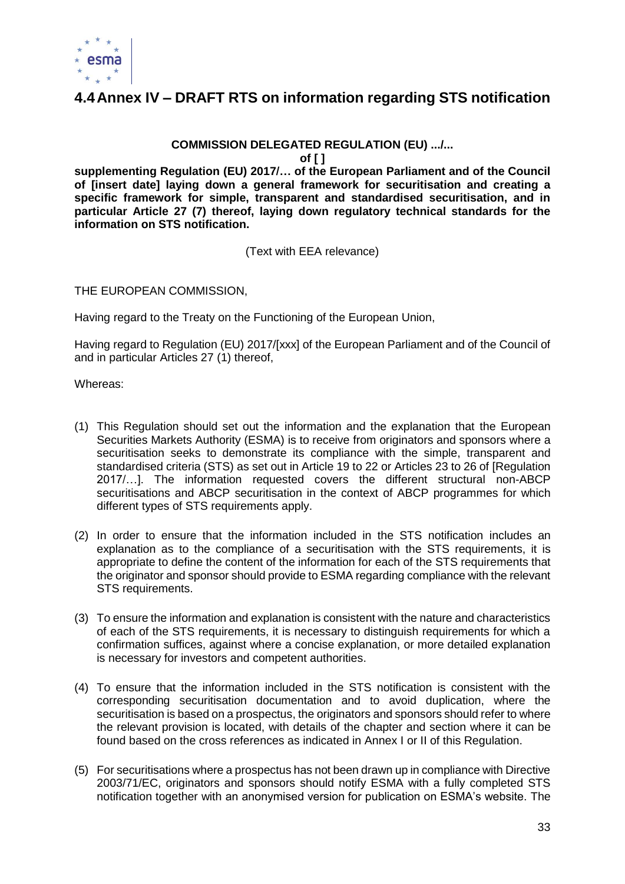

### <span id="page-32-0"></span>**4.4Annex IV – DRAFT RTS on information regarding STS notification**

### **COMMISSION DELEGATED REGULATION (EU) .../...**

**of [ ]**

**supplementing Regulation (EU) 2017/… of the European Parliament and of the Council of [insert date] laying down a general framework for securitisation and creating a specific framework for simple, transparent and standardised securitisation, and in particular Article 27 (7) thereof, laying down regulatory technical standards for the information on STS notification.**

(Text with EEA relevance)

THE EUROPEAN COMMISSION,

Having regard to the Treaty on the Functioning of the European Union,

Having regard to Regulation (EU) 2017/[xxx] of the European Parliament and of the Council of and in particular Articles 27 (1) thereof,

Whereas:

- (1) This Regulation should set out the information and the explanation that the European Securities Markets Authority (ESMA) is to receive from originators and sponsors where a securitisation seeks to demonstrate its compliance with the simple, transparent and standardised criteria (STS) as set out in Article 19 to 22 or Articles 23 to 26 of [Regulation 2017/…]. The information requested covers the different structural non-ABCP securitisations and ABCP securitisation in the context of ABCP programmes for which different types of STS requirements apply.
- (2) In order to ensure that the information included in the STS notification includes an explanation as to the compliance of a securitisation with the STS requirements, it is appropriate to define the content of the information for each of the STS requirements that the originator and sponsor should provide to ESMA regarding compliance with the relevant STS requirements.
- (3) To ensure the information and explanation is consistent with the nature and characteristics of each of the STS requirements, it is necessary to distinguish requirements for which a confirmation suffices, against where a concise explanation, or more detailed explanation is necessary for investors and competent authorities.
- (4) To ensure that the information included in the STS notification is consistent with the corresponding securitisation documentation and to avoid duplication, where the securitisation is based on a prospectus, the originators and sponsors should refer to where the relevant provision is located, with details of the chapter and section where it can be found based on the cross references as indicated in Annex I or II of this Regulation.
- (5) For securitisations where a prospectus has not been drawn up in compliance with Directive 2003/71/EC, originators and sponsors should notify ESMA with a fully completed STS notification together with an anonymised version for publication on ESMA's website. The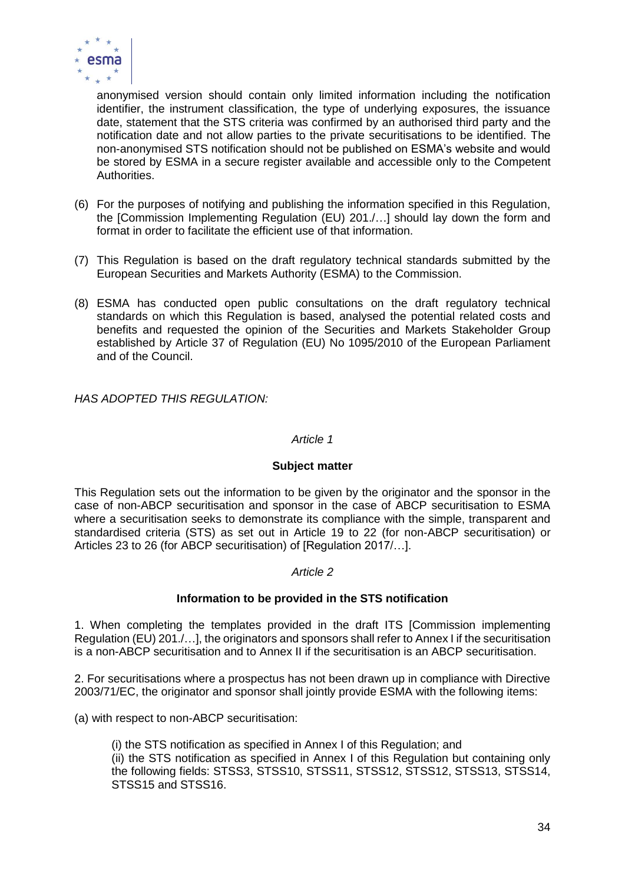

anonymised version should contain only limited information including the notification identifier, the instrument classification, the type of underlying exposures, the issuance date, statement that the STS criteria was confirmed by an authorised third party and the notification date and not allow parties to the private securitisations to be identified. The non-anonymised STS notification should not be published on ESMA's website and would be stored by ESMA in a secure register available and accessible only to the Competent Authorities.

- (6) For the purposes of notifying and publishing the information specified in this Regulation, the [Commission Implementing Regulation (EU) 201./…] should lay down the form and format in order to facilitate the efficient use of that information.
- (7) This Regulation is based on the draft regulatory technical standards submitted by the European Securities and Markets Authority (ESMA) to the Commission.
- (8) ESMA has conducted open public consultations on the draft regulatory technical standards on which this Regulation is based, analysed the potential related costs and benefits and requested the opinion of the Securities and Markets Stakeholder Group established by Article 37 of Regulation (EU) No 1095/2010 of the European Parliament and of the Council.

*HAS ADOPTED THIS REGULATION:* 

#### *Article 1*

#### **Subject matter**

This Regulation sets out the information to be given by the originator and the sponsor in the case of non-ABCP securitisation and sponsor in the case of ABCP securitisation to ESMA where a securitisation seeks to demonstrate its compliance with the simple, transparent and standardised criteria (STS) as set out in Article 19 to 22 (for non-ABCP securitisation) or Articles 23 to 26 (for ABCP securitisation) of [Regulation 2017/…].

#### *Article 2*

#### **Information to be provided in the STS notification**

1. When completing the templates provided in the draft ITS [Commission implementing Regulation (EU) 201./…], the originators and sponsors shall refer to Annex I if the securitisation is a non-ABCP securitisation and to Annex II if the securitisation is an ABCP securitisation.

2. For securitisations where a prospectus has not been drawn up in compliance with Directive 2003/71/EC, the originator and sponsor shall jointly provide ESMA with the following items:

(a) with respect to non-ABCP securitisation:

(i) the STS notification as specified in Annex I of this Regulation; and (ii) the STS notification as specified in Annex I of this Regulation but containing only the following fields: STSS3, STSS10, STSS11, STSS12, STSS12, STSS13, STSS14, STSS15 and STSS16.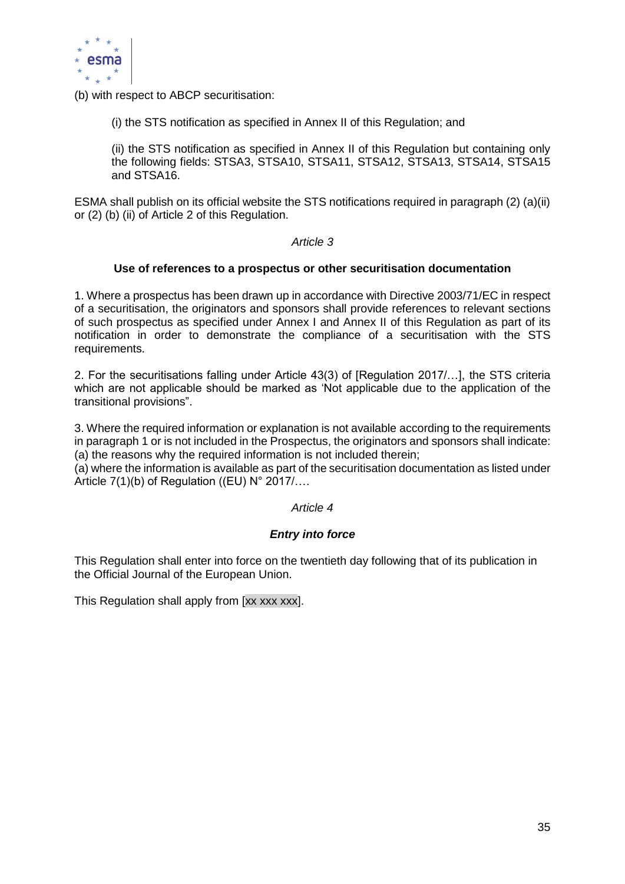

(b) with respect to ABCP securitisation:

(i) the STS notification as specified in Annex II of this Regulation; and

(ii) the STS notification as specified in Annex II of this Regulation but containing only the following fields: STSA3, STSA10, STSA11, STSA12, STSA13, STSA14, STSA15 and STSA16.

ESMA shall publish on its official website the STS notifications required in paragraph (2) (a)(ii) or (2) (b) (ii) of Article 2 of this Regulation.

*Article 3*

#### **Use of references to a prospectus or other securitisation documentation**

1. Where a prospectus has been drawn up in accordance with Directive 2003/71/EC in respect of a securitisation, the originators and sponsors shall provide references to relevant sections of such prospectus as specified under Annex I and Annex II of this Regulation as part of its notification in order to demonstrate the compliance of a securitisation with the STS requirements.

2. For the securitisations falling under Article 43(3) of [Regulation 2017/…], the STS criteria which are not applicable should be marked as 'Not applicable due to the application of the transitional provisions".

3. Where the required information or explanation is not available according to the requirements in paragraph 1 or is not included in the Prospectus, the originators and sponsors shall indicate: (a) the reasons why the required information is not included therein;

(a) where the information is available as part of the securitisation documentation as listed under Article 7(1)(b) of Regulation ((EU) N° 2017/….

#### *Article 4*

#### *Entry into force*

This Regulation shall enter into force on the twentieth day following that of its publication in the Official Journal of the European Union.

This Regulation shall apply from [xx xxx xxx].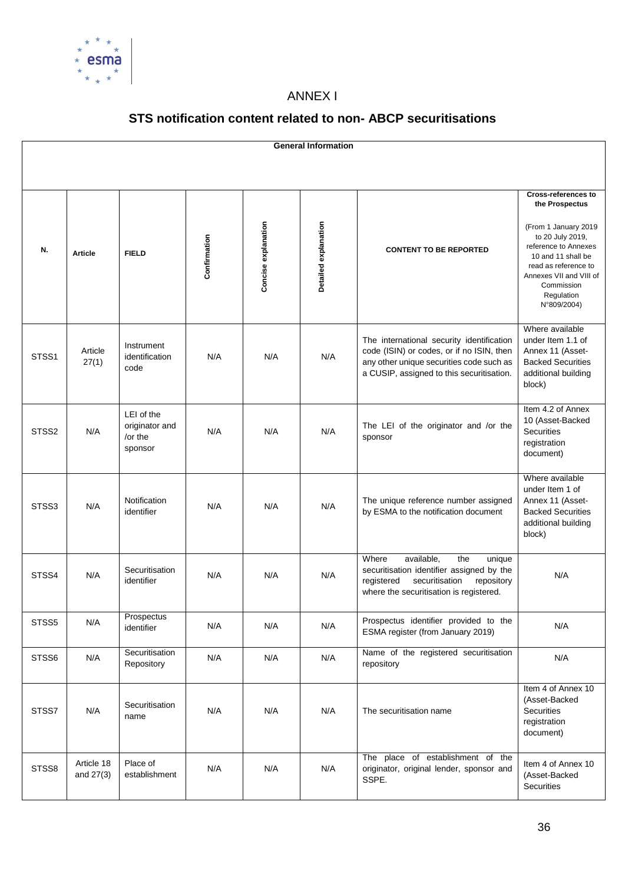

### ANNEX I

### **STS notification content related to non- ABCP securitisations**

| <b>General Information</b> |                         |                                                    |              |                     |                      |                                                                                                                                                                                 |                                                                                                                                                                                                                                      |  |
|----------------------------|-------------------------|----------------------------------------------------|--------------|---------------------|----------------------|---------------------------------------------------------------------------------------------------------------------------------------------------------------------------------|--------------------------------------------------------------------------------------------------------------------------------------------------------------------------------------------------------------------------------------|--|
|                            |                         |                                                    |              |                     |                      |                                                                                                                                                                                 |                                                                                                                                                                                                                                      |  |
| N.                         | <b>Article</b>          | <b>FIELD</b>                                       | Confirmation | Concise explanation | Detailed explanation | <b>CONTENT TO BE REPORTED</b>                                                                                                                                                   | <b>Cross-references to</b><br>the Prospectus<br>(From 1 January 2019<br>to 20 July 2019,<br>reference to Annexes<br>10 and 11 shall be<br>read as reference to<br>Annexes VII and VIII of<br>Commission<br>Regulation<br>N°809/2004) |  |
| STSS <sub>1</sub>          | Article<br>27(1)        | Instrument<br>identification<br>code               | N/A          | N/A                 | N/A                  | The international security identification<br>code (ISIN) or codes, or if no ISIN, then<br>any other unique securities code such as<br>a CUSIP, assigned to this securitisation. | Where available<br>under Item 1.1 of<br>Annex 11 (Asset-<br><b>Backed Securities</b><br>additional building<br>block)                                                                                                                |  |
| STSS <sub>2</sub>          | N/A                     | LEI of the<br>originator and<br>/or the<br>sponsor | N/A          | N/A                 | N/A                  | The LEI of the originator and /or the<br>sponsor                                                                                                                                | Item 4.2 of Annex<br>10 (Asset-Backed<br><b>Securities</b><br>registration<br>document)                                                                                                                                              |  |
| STSS3                      | N/A                     | Notification<br>identifier                         | N/A          | N/A                 | N/A                  | The unique reference number assigned<br>by ESMA to the notification document                                                                                                    | Where available<br>under Item 1 of<br>Annex 11 (Asset-<br><b>Backed Securities</b><br>additional building<br>block)                                                                                                                  |  |
| STSS4                      | N/A                     | Securitisation<br>identifier                       | N/A          | N/A                 | N/A                  | available,<br>Where<br>the<br>unique<br>securitisation identifier assigned by the<br>registered<br>securitisation<br>repository<br>where the securitisation is registered.      | N/A                                                                                                                                                                                                                                  |  |
| STSS5                      | N/A                     | Prospectus<br>identifier                           | N/A          | N/A                 | N/A                  | Prospectus identifier provided to the<br>ESMA register (from January 2019)                                                                                                      | N/A                                                                                                                                                                                                                                  |  |
| STSS6                      | N/A                     | Securitisation<br>Repository                       | N/A          | N/A                 | N/A                  | Name of the registered securitisation<br>repository                                                                                                                             | N/A                                                                                                                                                                                                                                  |  |
| STSS7                      | N/A                     | Securitisation<br>name                             | N/A          | N/A                 | N/A                  | The securitisation name                                                                                                                                                         | Item 4 of Annex 10<br>(Asset-Backed<br><b>Securities</b><br>registration<br>document)                                                                                                                                                |  |
| STSS8                      | Article 18<br>and 27(3) | Place of<br>establishment                          | N/A          | N/A                 | N/A                  | The place of establishment of the<br>originator, original lender, sponsor and<br>SSPE.                                                                                          | Item 4 of Annex 10<br>(Asset-Backed<br><b>Securities</b>                                                                                                                                                                             |  |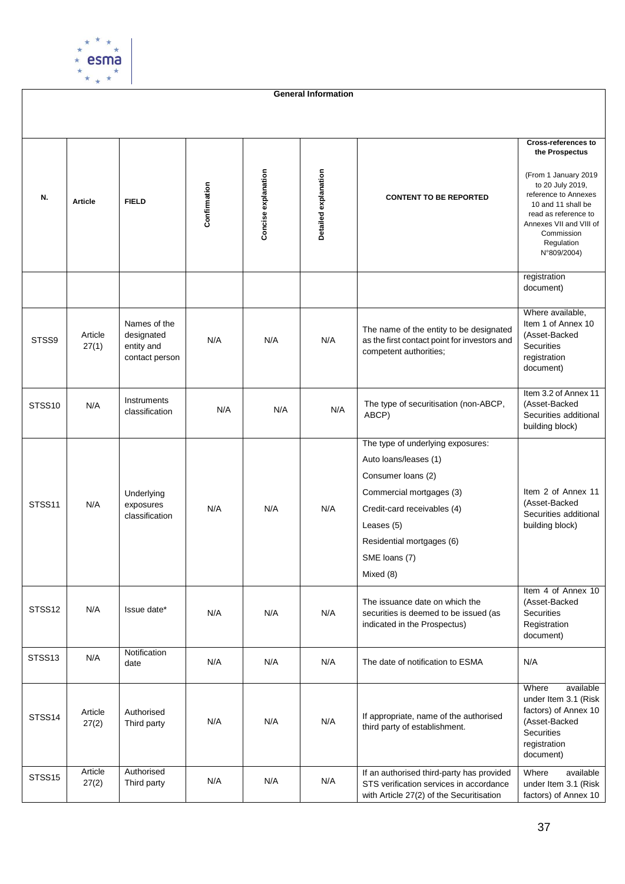

**General Information**

| N.                 | <b>Article</b>   | <b>FIELD</b>                                               | Confirmation | Concise explanation | Detailed explanation | <b>CONTENT TO BE REPORTED</b>                                                                                                                                                                                        | <b>Cross-references to</b><br>the Prospectus<br>(From 1 January 2019<br>to 20 July 2019,<br>reference to Annexes<br>10 and 11 shall be<br>read as reference to<br>Annexes VII and VIII of<br>Commission<br>Regulation<br>N°809/2004) |
|--------------------|------------------|------------------------------------------------------------|--------------|---------------------|----------------------|----------------------------------------------------------------------------------------------------------------------------------------------------------------------------------------------------------------------|--------------------------------------------------------------------------------------------------------------------------------------------------------------------------------------------------------------------------------------|
|                    |                  |                                                            |              |                     |                      |                                                                                                                                                                                                                      | registration<br>document)                                                                                                                                                                                                            |
| STSS9              | Article<br>27(1) | Names of the<br>designated<br>entity and<br>contact person | N/A          | N/A                 | N/A                  | The name of the entity to be designated<br>as the first contact point for investors and<br>competent authorities;                                                                                                    | Where available,<br>Item 1 of Annex 10<br>(Asset-Backed<br>Securities<br>registration<br>document)                                                                                                                                   |
| STSS10             | N/A              | Instruments<br>classification                              | N/A          | N/A                 | N/A                  | The type of securitisation (non-ABCP,<br>ABCP)                                                                                                                                                                       | Item 3.2 of Annex 11<br>(Asset-Backed<br>Securities additional<br>building block)                                                                                                                                                    |
| STSS <sub>11</sub> | N/A              | Underlying<br>exposures<br>classification                  | N/A          | N/A                 | N/A                  | The type of underlying exposures:<br>Auto loans/leases (1)<br>Consumer loans (2)<br>Commercial mortgages (3)<br>Credit-card receivables (4)<br>Leases (5)<br>Residential mortgages (6)<br>SME loans (7)<br>Mixed (8) | Item 2 of Annex 11<br>(Asset-Backed<br>Securities additional<br>building block)                                                                                                                                                      |
| STSS12             | N/A              | Issue date*                                                | N/A          | N/A                 | N/A                  | The issuance date on which the<br>securities is deemed to be issued (as<br>indicated in the Prospectus)                                                                                                              | Item 4 of Annex 10<br>(Asset-Backed<br>Securities<br>Registration<br>document)                                                                                                                                                       |
| STSS <sub>13</sub> | N/A              | Notification<br>date                                       | N/A          | N/A                 | N/A                  | The date of notification to ESMA                                                                                                                                                                                     | N/A                                                                                                                                                                                                                                  |
| STSS14             | Article<br>27(2) | Authorised<br>Third party                                  | N/A          | N/A                 | N/A                  | If appropriate, name of the authorised<br>third party of establishment.                                                                                                                                              | Where<br>available<br>under Item 3.1 (Risk<br>factors) of Annex 10<br>(Asset-Backed<br>Securities<br>registration<br>document)                                                                                                       |
| STSS15             | Article<br>27(2) | Authorised<br>Third party                                  | N/A          | N/A                 | N/A                  | If an authorised third-party has provided<br>STS verification services in accordance<br>with Article 27(2) of the Securitisation                                                                                     | available<br>Where<br>under Item 3.1 (Risk<br>factors) of Annex 10                                                                                                                                                                   |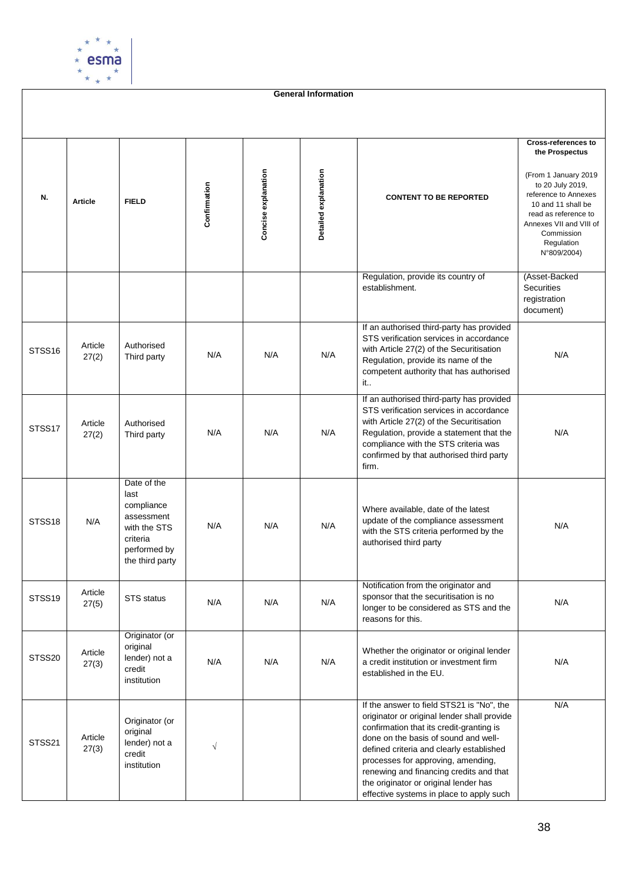

**General Information**

| N.                 | <b>Article</b>   | <b>FIELD</b>                                                                                                   | Confirmation | Concise explanation | Detailed explanation | <b>CONTENT TO BE REPORTED</b>                                                                                                                                                                                                                                                                                                                                                                  | <b>Cross-references to</b><br>the Prospectus<br>(From 1 January 2019<br>to 20 July 2019,<br>reference to Annexes<br>10 and 11 shall be<br>read as reference to<br>Annexes VII and VIII of<br>Commission<br>Regulation<br>N°809/2004) |
|--------------------|------------------|----------------------------------------------------------------------------------------------------------------|--------------|---------------------|----------------------|------------------------------------------------------------------------------------------------------------------------------------------------------------------------------------------------------------------------------------------------------------------------------------------------------------------------------------------------------------------------------------------------|--------------------------------------------------------------------------------------------------------------------------------------------------------------------------------------------------------------------------------------|
|                    |                  |                                                                                                                |              |                     |                      | Regulation, provide its country of<br>establishment.                                                                                                                                                                                                                                                                                                                                           | (Asset-Backed<br>Securities<br>registration<br>document)                                                                                                                                                                             |
| STSS <sub>16</sub> | Article<br>27(2) | Authorised<br>Third party                                                                                      | N/A          | N/A                 | N/A                  | If an authorised third-party has provided<br>STS verification services in accordance<br>with Article 27(2) of the Securitisation<br>Regulation, provide its name of the<br>competent authority that has authorised<br>it                                                                                                                                                                       | N/A                                                                                                                                                                                                                                  |
| STSS17             | Article<br>27(2) | Authorised<br>Third party                                                                                      | N/A          | N/A                 | N/A                  | If an authorised third-party has provided<br>STS verification services in accordance<br>with Article 27(2) of the Securitisation<br>Regulation, provide a statement that the<br>compliance with the STS criteria was<br>confirmed by that authorised third party<br>firm.                                                                                                                      | N/A                                                                                                                                                                                                                                  |
| STSS <sub>18</sub> | N/A              | Date of the<br>last<br>compliance<br>assessment<br>with the STS<br>criteria<br>performed by<br>the third party | N/A          | N/A                 | N/A                  | Where available, date of the latest<br>update of the compliance assessment<br>with the STS criteria performed by the<br>authorised third party                                                                                                                                                                                                                                                 | N/A                                                                                                                                                                                                                                  |
| STSS19             | Article<br>27(5) | STS status                                                                                                     | N/A          | N/A                 | N/A                  | Notification from the originator and<br>sponsor that the securitisation is no<br>longer to be considered as STS and the<br>reasons for this.                                                                                                                                                                                                                                                   | N/A                                                                                                                                                                                                                                  |
| STSS20             | Article<br>27(3) | Originator (or<br>original<br>lender) not a<br>credit<br>institution                                           | N/A          | N/A                 | N/A                  | Whether the originator or original lender<br>a credit institution or investment firm<br>established in the EU.                                                                                                                                                                                                                                                                                 | N/A                                                                                                                                                                                                                                  |
| STSS21             | Article<br>27(3) | Originator (or<br>original<br>lender) not a<br>credit<br>institution                                           | $\sqrt{}$    |                     |                      | If the answer to field STS21 is "No", the<br>originator or original lender shall provide<br>confirmation that its credit-granting is<br>done on the basis of sound and well-<br>defined criteria and clearly established<br>processes for approving, amending,<br>renewing and financing credits and that<br>the originator or original lender has<br>effective systems in place to apply such | N/A                                                                                                                                                                                                                                  |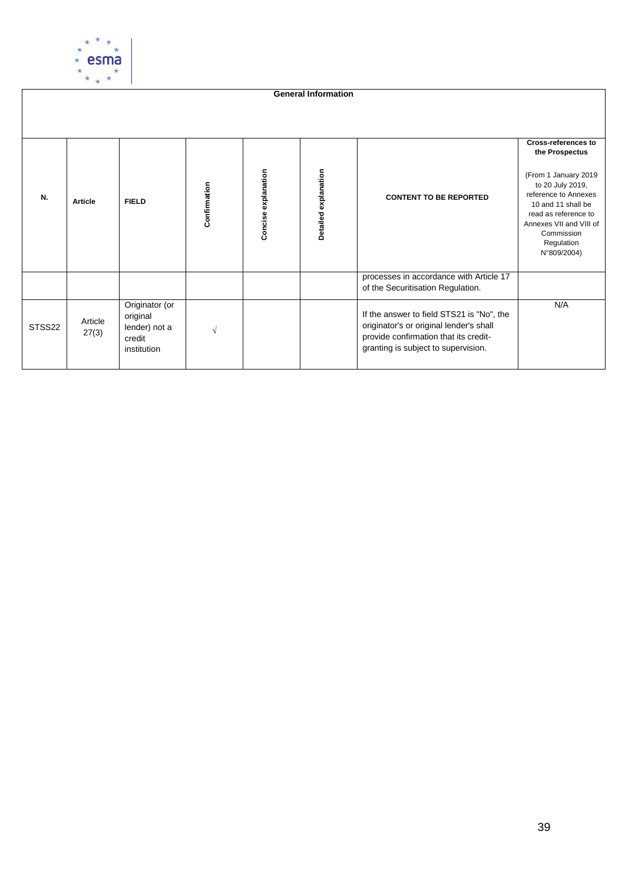

**General Information Cross-references to the Prospectus** Concise explanation Detailed explanation **Concise explanation Detailed explanation** (From 1 January 2019 **Confirmation** to 20 July 2019, reference to Annexes **N. Article FIELD CONTENT TO BE REPORTED** 10 and 11 shall be read as reference to Annexes VII and VIII of Commission Regulation N°809/2004) processes in accordance with Article 17 of the Securitisation Regulation. Originator (or N/AIf the answer to field STS21 is "No", the original STSS22 Article originator's or original lender's shall lender) not a √ 27(3) provide confirmation that its creditcredit granting is subject to supervision. institution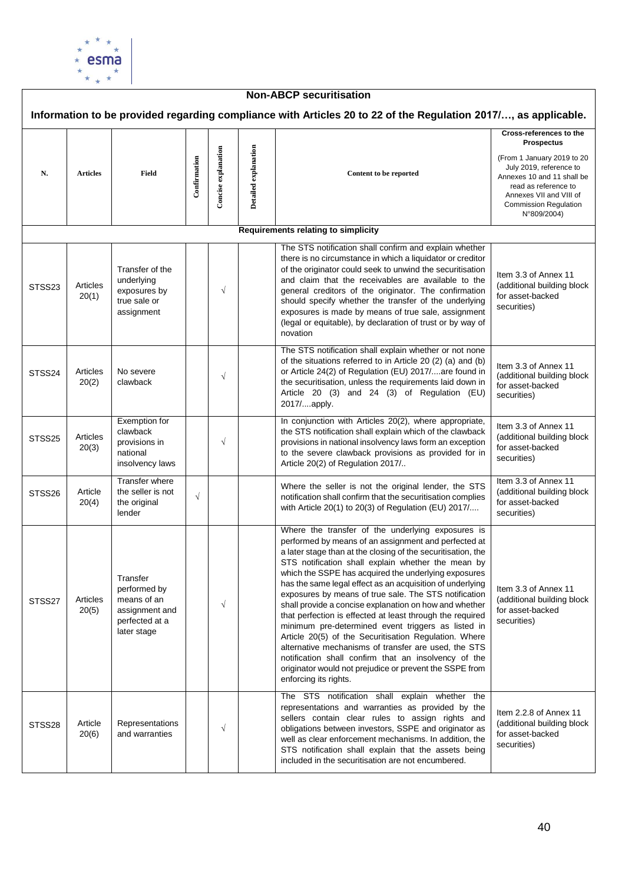

| <b>Non-ABCP securitisation</b> |                   |                                                                                            |              |                     |                      |                                                                                                                                                                                                                                                                                                                                                                                                                                                                                                                                                                                                                                                                                                                                                                                                                                                         |                                                                                                                                                                                                                        |  |  |  |  |
|--------------------------------|-------------------|--------------------------------------------------------------------------------------------|--------------|---------------------|----------------------|---------------------------------------------------------------------------------------------------------------------------------------------------------------------------------------------------------------------------------------------------------------------------------------------------------------------------------------------------------------------------------------------------------------------------------------------------------------------------------------------------------------------------------------------------------------------------------------------------------------------------------------------------------------------------------------------------------------------------------------------------------------------------------------------------------------------------------------------------------|------------------------------------------------------------------------------------------------------------------------------------------------------------------------------------------------------------------------|--|--|--|--|
|                                |                   |                                                                                            |              |                     |                      | Information to be provided regarding compliance with Articles 20 to 22 of the Regulation 2017/, as applicable.                                                                                                                                                                                                                                                                                                                                                                                                                                                                                                                                                                                                                                                                                                                                          |                                                                                                                                                                                                                        |  |  |  |  |
| N.                             | <b>Articles</b>   | Field                                                                                      | Confirmation | Concise explanation | Detailed explanation | Content to be reported                                                                                                                                                                                                                                                                                                                                                                                                                                                                                                                                                                                                                                                                                                                                                                                                                                  | Cross-references to the<br><b>Prospectus</b><br>(From 1 January 2019 to 20<br>July 2019, reference to<br>Annexes 10 and 11 shall be<br>read as reference to<br>Annexes VII and VIII of<br><b>Commission Regulation</b> |  |  |  |  |
|                                |                   |                                                                                            |              |                     |                      | Requirements relating to simplicity                                                                                                                                                                                                                                                                                                                                                                                                                                                                                                                                                                                                                                                                                                                                                                                                                     | N°809/2004)                                                                                                                                                                                                            |  |  |  |  |
|                                |                   |                                                                                            |              |                     |                      |                                                                                                                                                                                                                                                                                                                                                                                                                                                                                                                                                                                                                                                                                                                                                                                                                                                         |                                                                                                                                                                                                                        |  |  |  |  |
| STSS23                         | Articles<br>20(1) | Transfer of the<br>underlying<br>exposures by<br>true sale or<br>assignment                |              | $\sqrt{}$           |                      | The STS notification shall confirm and explain whether<br>there is no circumstance in which a liquidator or creditor<br>of the originator could seek to unwind the securitisation<br>and claim that the receivables are available to the<br>general creditors of the originator. The confirmation<br>should specify whether the transfer of the underlying<br>exposures is made by means of true sale, assignment<br>(legal or equitable), by declaration of trust or by way of<br>novation                                                                                                                                                                                                                                                                                                                                                             | Item 3.3 of Annex 11<br>(additional building block<br>for asset-backed<br>securities)                                                                                                                                  |  |  |  |  |
| STSS24                         | Articles<br>20(2) | No severe<br>clawback                                                                      |              | $\sqrt{}$           |                      | The STS notification shall explain whether or not none<br>of the situations referred to in Article 20 (2) (a) and (b)<br>or Article 24(2) of Regulation (EU) 2017/are found in<br>the securitisation, unless the requirements laid down in<br>Article 20 (3) and 24 (3) of Regulation (EU)<br>2017/apply.                                                                                                                                                                                                                                                                                                                                                                                                                                                                                                                                               | Item 3.3 of Annex 11<br>(additional building block<br>for asset-backed<br>securities)                                                                                                                                  |  |  |  |  |
| STSS25                         | Articles<br>20(3) | Exemption for<br>clawback<br>provisions in<br>national<br>insolvency laws                  |              | $\sqrt{}$           |                      | In conjunction with Articles 20(2), where appropriate,<br>the STS notification shall explain which of the clawback<br>provisions in national insolvency laws form an exception<br>to the severe clawback provisions as provided for in<br>Article 20(2) of Regulation 2017/                                                                                                                                                                                                                                                                                                                                                                                                                                                                                                                                                                             | Item 3.3 of Annex 11<br>(additional building block<br>for asset-backed<br>securities)                                                                                                                                  |  |  |  |  |
| STSS26                         | Article<br>20(4)  | Transfer where<br>the seller is not<br>the original<br>lender                              | $\sqrt{}$    |                     |                      | Where the seller is not the original lender, the STS<br>notification shall confirm that the securitisation complies<br>with Article 20(1) to 20(3) of Regulation (EU) 2017/                                                                                                                                                                                                                                                                                                                                                                                                                                                                                                                                                                                                                                                                             | Item 3.3 of Annex 11<br>(additional building block<br>for asset-backed<br>securities)                                                                                                                                  |  |  |  |  |
| STSS27                         | Articles<br>20(5) | Transfer<br>performed by<br>means of an<br>assignment and<br>perfected at a<br>later stage |              | $\sqrt{}$           |                      | Where the transfer of the underlying exposures is<br>performed by means of an assignment and perfected at<br>a later stage than at the closing of the securitisation, the<br>STS notification shall explain whether the mean by<br>which the SSPE has acquired the underlying exposures<br>has the same legal effect as an acquisition of underlying<br>exposures by means of true sale. The STS notification<br>shall provide a concise explanation on how and whether<br>that perfection is effected at least through the required<br>minimum pre-determined event triggers as listed in<br>Article 20(5) of the Securitisation Regulation. Where<br>alternative mechanisms of transfer are used, the STS<br>notification shall confirm that an insolvency of the<br>originator would not prejudice or prevent the SSPE from<br>enforcing its rights. | Item 3.3 of Annex 11<br>(additional building block<br>for asset-backed<br>securities)                                                                                                                                  |  |  |  |  |
| STSS28                         | Article<br>20(6)  | Representations<br>and warranties                                                          |              | $\sqrt{}$           |                      | The STS notification shall explain whether the<br>representations and warranties as provided by the<br>sellers contain clear rules to assign rights and<br>obligations between investors, SSPE and originator as<br>well as clear enforcement mechanisms. In addition, the<br>STS notification shall explain that the assets being<br>included in the securitisation are not encumbered.                                                                                                                                                                                                                                                                                                                                                                                                                                                                | Item 2.2.8 of Annex 11<br>(additional building block<br>for asset-backed<br>securities)                                                                                                                                |  |  |  |  |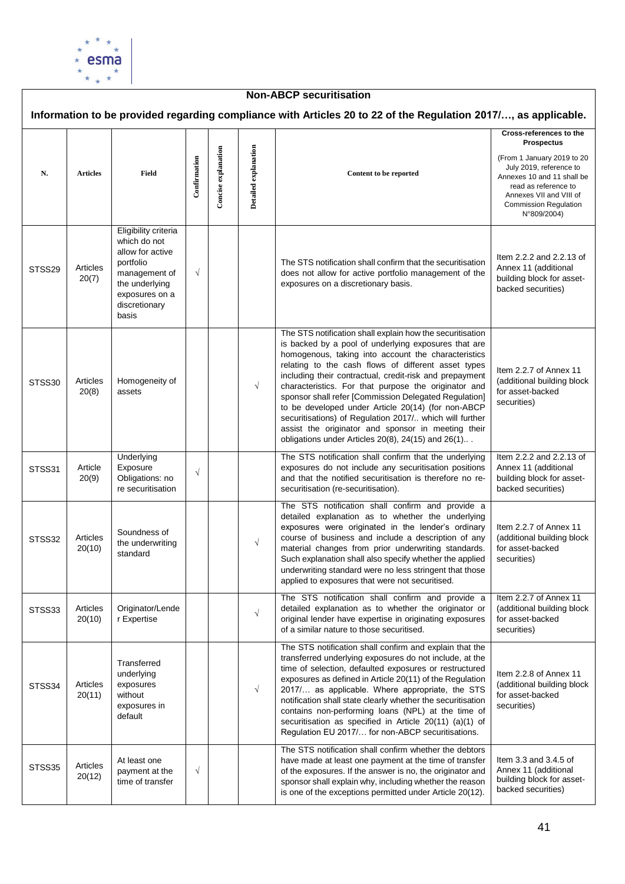

### **Non-ABCP securitisation Information to be provided regarding compliance with Articles 20 to 22 of the Regulation 2017/…, as applicable. Cross-references to the Prospectus Concise explanation Detailed** explanation **Concise explanation Detailed explanation** (From 1 January 2019 to 20 **Confirmation** July 2019, reference to **N. Articles Field Content to be reported** Annexes 10 and 11 shall be read as reference to Annexes VII and VIII of Commission Regulation N°809/2004) Eligibility criteria which do not allow for active Item 2.2.2 and 2.2.13 of portfolio The STS notification shall confirm that the securitisation STSS29 | Articles Annex 11 (additional √ management of does not allow for active portfolio management of the 20(7) building block for assetthe underlying exposures on a discretionary basis. backed securities) exposures on a discretionary basis The STS notification shall explain how the securitisation is backed by a pool of underlying exposures that are homogenous, taking into account the characteristics relating to the cash flows of different asset types Item 2.2.7 of Annex 11 including their contractual, credit-risk and prepayment STSS30 Articles Homogeneity of (additional building block characteristics. For that purpose the originator and  $\frac{1}{2}$  assets  $\frac{1}{2}$  |  $\frac{1}{2}$   $\frac{1}{2}$   $\frac{1}{2}$ 20(8) for asset-backed sponsor shall refer [Commission Delegated Regulation] securities) to be developed under Article 20(14) (for non-ABCP securitisations) of Regulation 2017/.. which will further assist the originator and sponsor in meeting their obligations under Articles 20(8), 24(15) and 26(1).. . The STS notification shall confirm that the underlying **Underlying** Item 2.2.2 and 2.2.13 of STSS31 Article Exposure exposures do not include any securitisation positions Annex 11 (additional √ 20(9) Obligations: no and that the notified securitisation is therefore no rebuilding block for assetre securitisation securitisation (re-securitisation). backed securities) The STS notification shall confirm and provide a detailed explanation as to whether the underlying exposures were originated in the lender's ordinary Item 2.2.7 of Annex 11 Soundness of STSS32 Articles course of business and include a description of any (additional building block √ the underwriting 20(10) material changes from prior underwriting standards. for asset-backed standard Such explanation shall also specify whether the applied securities) underwriting standard were no less stringent that those applied to exposures that were not securitised. The STS notification shall confirm and provide a Item 2.2.7 of Annex 11 STSS33 Articles Originator/Lende detailed explanation as to whether the originator or (additional building block Originator/Lende<br>r Expertise │ │ │ │ √ 20(10) original lender have expertise in originating exposures for asset-backed of a similar nature to those securitised. securities) The STS notification shall confirm and explain that the transferred underlying exposures do not include, at the **Transferred** time of selection, defaulted exposures or restructured underlying Item 2.2.8 of Annex 11 exposures as defined in Article 20(11) of the Regulation STSS34 Articles exposures (additional building block √ 2017/… as applicable. Where appropriate, the STS 20(11) without for asset-backed notification shall state clearly whether the securitisation exposures in securities) contains non-performing loans (NPL) at the time of default securitisation as specified in Article 20(11) (a)(1) of Regulation EU 2017/… for non-ABCP securitisations. The STS notification shall confirm whether the debtors have made at least one payment at the time of transfer Item 3.3 and 3.4.5 of At least one STSS35 Articles payment at the √ Annex 11 (additional of the exposures. If the answer is no, the originator and 20(12) building block for assettime of transfer sponsor shall explain why, including whether the reason backed securities)is one of the exceptions permitted under Article 20(12).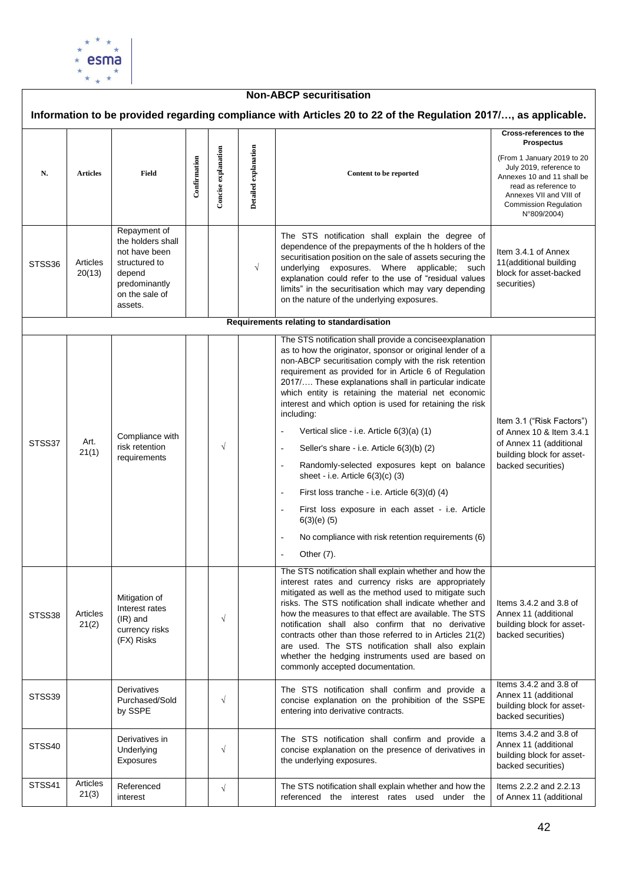

| <b>Non-ABCP securitisation</b>           |                    |                                                                                                                             |              |                     |                      |                                                                                                                                                                                                                                                                                                                                                                                                                                                                                                                                                                                                                                                                                                                                                                                                                                                                                                 |                                                                                                                                                                                                                                       |  |  |  |  |  |
|------------------------------------------|--------------------|-----------------------------------------------------------------------------------------------------------------------------|--------------|---------------------|----------------------|-------------------------------------------------------------------------------------------------------------------------------------------------------------------------------------------------------------------------------------------------------------------------------------------------------------------------------------------------------------------------------------------------------------------------------------------------------------------------------------------------------------------------------------------------------------------------------------------------------------------------------------------------------------------------------------------------------------------------------------------------------------------------------------------------------------------------------------------------------------------------------------------------|---------------------------------------------------------------------------------------------------------------------------------------------------------------------------------------------------------------------------------------|--|--|--|--|--|
|                                          |                    |                                                                                                                             |              |                     |                      | Information to be provided regarding compliance with Articles 20 to 22 of the Regulation 2017/, as applicable.                                                                                                                                                                                                                                                                                                                                                                                                                                                                                                                                                                                                                                                                                                                                                                                  |                                                                                                                                                                                                                                       |  |  |  |  |  |
| N.                                       | <b>Articles</b>    | Field                                                                                                                       | Confirmation | Concise explanation | Detailed explanation | Content to be reported                                                                                                                                                                                                                                                                                                                                                                                                                                                                                                                                                                                                                                                                                                                                                                                                                                                                          | Cross-references to the<br><b>Prospectus</b><br>(From 1 January 2019 to 20<br>July 2019, reference to<br>Annexes 10 and 11 shall be<br>read as reference to<br>Annexes VII and VIII of<br><b>Commission Regulation</b><br>N°809/2004) |  |  |  |  |  |
| STSS36                                   | Articles<br>20(13) | Repayment of<br>the holders shall<br>not have been<br>structured to<br>depend<br>predominantly<br>on the sale of<br>assets. |              |                     | $\sqrt{ }$           | The STS notification shall explain the degree of<br>dependence of the prepayments of the h holders of the<br>securitisation position on the sale of assets securing the<br>underlying exposures. Where applicable; such<br>explanation could refer to the use of "residual values<br>limits" in the securitisation which may vary depending<br>on the nature of the underlying exposures.                                                                                                                                                                                                                                                                                                                                                                                                                                                                                                       | Item 3.4.1 of Annex<br>11(additional building<br>block for asset-backed<br>securities)                                                                                                                                                |  |  |  |  |  |
| Requirements relating to standardisation |                    |                                                                                                                             |              |                     |                      |                                                                                                                                                                                                                                                                                                                                                                                                                                                                                                                                                                                                                                                                                                                                                                                                                                                                                                 |                                                                                                                                                                                                                                       |  |  |  |  |  |
| STSS37                                   | Art.<br>21(1)      | Compliance with<br>risk retention<br>requirements                                                                           |              | $\sqrt{}$           |                      | The STS notification shall provide a conciseexplanation<br>as to how the originator, sponsor or original lender of a<br>non-ABCP securitisation comply with the risk retention<br>requirement as provided for in Article 6 of Regulation<br>2017/ These explanations shall in particular indicate<br>which entity is retaining the material net economic<br>interest and which option is used for retaining the risk<br>including:<br>Vertical slice - i.e. Article 6(3)(a) (1)<br>$\overline{a}$<br>Seller's share - i.e. Article 6(3)(b) (2)<br>$\overline{a}$<br>Randomly-selected exposures kept on balance<br>$\blacksquare$<br>sheet - i.e. Article $6(3)(c)$ (3)<br>First loss tranche - i.e. Article $6(3)(d)$ (4)<br>$\overline{\phantom{a}}$<br>First loss exposure in each asset - i.e. Article<br>$6(3)(e)$ (5)<br>No compliance with risk retention requirements (6)<br>Other (7). | Item 3.1 ("Risk Factors")<br>of Annex 10 & Item 3.4.1<br>of Annex 11 (additional<br>building block for asset-<br>backed securities)                                                                                                   |  |  |  |  |  |
| STSS38                                   | Articles<br>21(2)  | Mitigation of<br>Interest rates<br>$(IR)$ and<br>currency risks<br>(FX) Risks                                               |              | $\sqrt{}$           |                      | The STS notification shall explain whether and how the<br>interest rates and currency risks are appropriately<br>mitigated as well as the method used to mitigate such<br>risks. The STS notification shall indicate whether and<br>how the measures to that effect are available. The STS<br>notification shall also confirm that no derivative<br>contracts other than those referred to in Articles 21(2)<br>are used. The STS notification shall also explain<br>whether the hedging instruments used are based on<br>commonly accepted documentation.                                                                                                                                                                                                                                                                                                                                      | Items $3.4.2$ and $3.8$ of<br>Annex 11 (additional<br>building block for asset-<br>backed securities)                                                                                                                                 |  |  |  |  |  |
| STSS39                                   |                    | Derivatives<br>Purchased/Sold<br>by SSPE                                                                                    |              | $\sqrt{}$           |                      | The STS notification shall confirm and provide a<br>concise explanation on the prohibition of the SSPE<br>entering into derivative contracts.                                                                                                                                                                                                                                                                                                                                                                                                                                                                                                                                                                                                                                                                                                                                                   | Items 3.4.2 and 3.8 of<br>Annex 11 (additional<br>building block for asset-<br>backed securities)                                                                                                                                     |  |  |  |  |  |
| STSS40                                   |                    | Derivatives in<br>Underlying<br>Exposures                                                                                   |              | $\sqrt{}$           |                      | The STS notification shall confirm and provide a<br>concise explanation on the presence of derivatives in<br>the underlying exposures.                                                                                                                                                                                                                                                                                                                                                                                                                                                                                                                                                                                                                                                                                                                                                          | Items 3.4.2 and 3.8 of<br>Annex 11 (additional<br>building block for asset-<br>backed securities)                                                                                                                                     |  |  |  |  |  |
| STSS41                                   | Articles<br>21(3)  | Referenced<br>interest                                                                                                      |              | $\sqrt{}$           |                      | The STS notification shall explain whether and how the<br>referenced the interest rates used under the                                                                                                                                                                                                                                                                                                                                                                                                                                                                                                                                                                                                                                                                                                                                                                                          | Items 2.2.2 and 2.2.13<br>of Annex 11 (additional                                                                                                                                                                                     |  |  |  |  |  |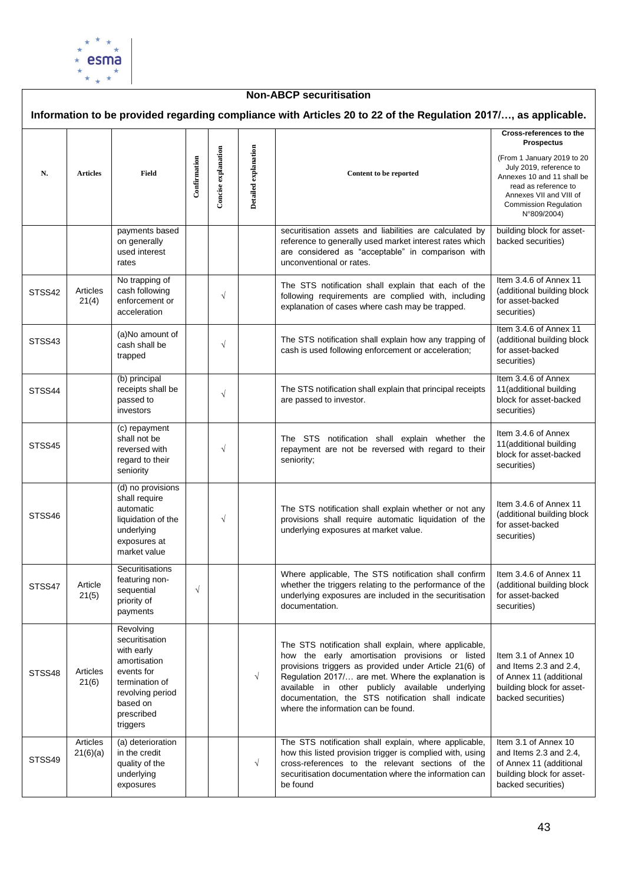

| <b>Non-ABCP securitisation</b> |                      |                                                                                                                                                     |              |                     |                      |                                                                                                                                                                                                                                                                                                                                                                           |                                                                                                                                                                                                                                       |  |  |  |  |
|--------------------------------|----------------------|-----------------------------------------------------------------------------------------------------------------------------------------------------|--------------|---------------------|----------------------|---------------------------------------------------------------------------------------------------------------------------------------------------------------------------------------------------------------------------------------------------------------------------------------------------------------------------------------------------------------------------|---------------------------------------------------------------------------------------------------------------------------------------------------------------------------------------------------------------------------------------|--|--|--|--|
|                                |                      |                                                                                                                                                     |              |                     |                      | Information to be provided regarding compliance with Articles 20 to 22 of the Regulation 2017/, as applicable.                                                                                                                                                                                                                                                            |                                                                                                                                                                                                                                       |  |  |  |  |
| N.                             | <b>Articles</b>      | Field                                                                                                                                               | Confirmation | Concise explanation | Detailed explanation | Content to be reported                                                                                                                                                                                                                                                                                                                                                    | Cross-references to the<br><b>Prospectus</b><br>(From 1 January 2019 to 20<br>July 2019, reference to<br>Annexes 10 and 11 shall be<br>read as reference to<br>Annexes VII and VIII of<br><b>Commission Regulation</b><br>N°809/2004) |  |  |  |  |
|                                |                      | payments based<br>on generally<br>used interest<br>rates                                                                                            |              |                     |                      | securitisation assets and liabilities are calculated by<br>reference to generally used market interest rates which<br>are considered as "acceptable" in comparison with<br>unconventional or rates.                                                                                                                                                                       | building block for asset-<br>backed securities)                                                                                                                                                                                       |  |  |  |  |
| STSS42                         | Articles<br>21(4)    | No trapping of<br>cash following<br>enforcement or<br>acceleration                                                                                  |              | $\sqrt{}$           |                      | The STS notification shall explain that each of the<br>following requirements are complied with, including<br>explanation of cases where cash may be trapped.                                                                                                                                                                                                             | Item 3.4.6 of Annex 11<br>(additional building block<br>for asset-backed<br>securities)                                                                                                                                               |  |  |  |  |
| STSS43                         |                      | (a)No amount of<br>cash shall be<br>trapped                                                                                                         |              | $\sqrt{}$           |                      | The STS notification shall explain how any trapping of<br>cash is used following enforcement or acceleration;                                                                                                                                                                                                                                                             | Item 3.4.6 of Annex 11<br>(additional building block<br>for asset-backed<br>securities)                                                                                                                                               |  |  |  |  |
| STSS44                         |                      | (b) principal<br>receipts shall be<br>passed to<br>investors                                                                                        |              | $\sqrt{}$           |                      | The STS notification shall explain that principal receipts<br>are passed to investor.                                                                                                                                                                                                                                                                                     | Item 3.4.6 of Annex<br>11(additional building<br>block for asset-backed<br>securities)                                                                                                                                                |  |  |  |  |
| STSS45                         |                      | (c) repayment<br>shall not be<br>reversed with<br>regard to their<br>seniority                                                                      |              | $\sqrt{}$           |                      | The STS notification shall explain whether the<br>repayment are not be reversed with regard to their<br>seniority;                                                                                                                                                                                                                                                        | Item 3.4.6 of Annex<br>11(additional building<br>block for asset-backed<br>securities)                                                                                                                                                |  |  |  |  |
| STSS46                         |                      | (d) no provisions<br>shall require<br>automatic<br>liquidation of the<br>underlying<br>exposures at<br>market value                                 |              | $\sqrt{}$           |                      | The STS notification shall explain whether or not any<br>provisions shall require automatic liquidation of the<br>underlying exposures at market value.                                                                                                                                                                                                                   | Item 3.4.6 of Annex 11<br>(additional building block<br>for asset-backed<br>securities)                                                                                                                                               |  |  |  |  |
| STSS47                         | Article<br>21(5)     | Securitisations<br>featuring non-<br>sequential<br>priority of<br>payments                                                                          | $\sqrt{}$    |                     |                      | Where applicable, The STS notification shall confirm<br>whether the triggers relating to the performance of the<br>underlying exposures are included in the securitisation<br>documentation.                                                                                                                                                                              | Item 3.4.6 of Annex 11<br>(additional building block<br>for asset-backed<br>securities)                                                                                                                                               |  |  |  |  |
| STSS48                         | Articles<br>21(6)    | Revolving<br>securitisation<br>with early<br>amortisation<br>events for<br>termination of<br>revolving period<br>based on<br>prescribed<br>triggers |              |                     | $\sqrt{ }$           | The STS notification shall explain, where applicable,<br>how the early amortisation provisions or listed<br>provisions triggers as provided under Article 21(6) of<br>Regulation 2017/ are met. Where the explanation is<br>available in other publicly available underlying<br>documentation, the STS notification shall indicate<br>where the information can be found. | Item 3.1 of Annex 10<br>and Items 2.3 and 2.4,<br>of Annex 11 (additional<br>building block for asset-<br>backed securities)                                                                                                          |  |  |  |  |
| STSS49                         | Articles<br>21(6)(a) | (a) deterioration<br>in the credit<br>quality of the<br>underlying<br>exposures                                                                     |              |                     | $\sqrt{ }$           | The STS notification shall explain, where applicable,<br>how this listed provision trigger is complied with, using<br>cross-references to the relevant sections of the<br>securitisation documentation where the information can<br>be found                                                                                                                              | Item 3.1 of Annex 10<br>and Items 2.3 and 2.4,<br>of Annex 11 (additional<br>building block for asset-<br>backed securities)                                                                                                          |  |  |  |  |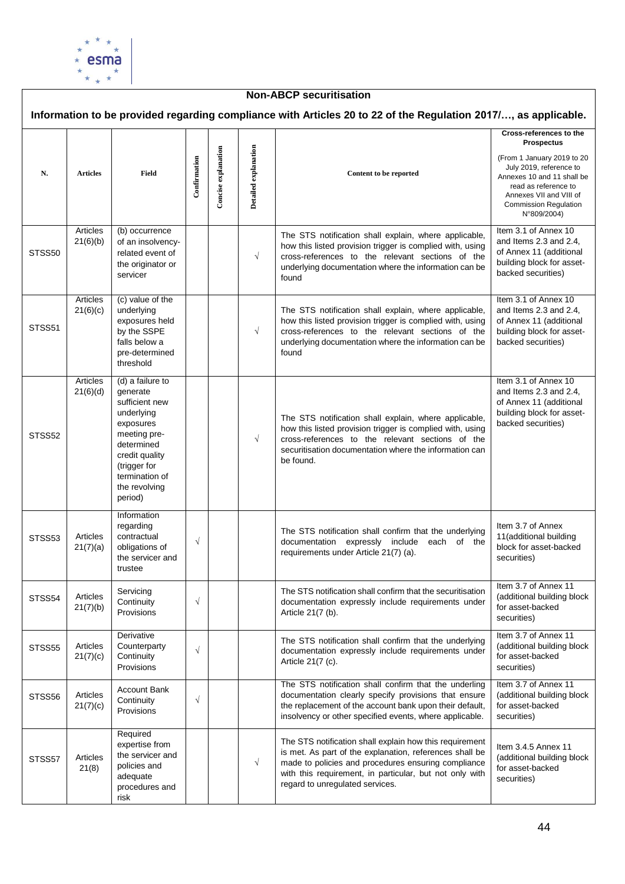

#### **Non-ABCP securitisation Information to be provided regarding compliance with Articles 20 to 22 of the Regulation 2017/…, as applicable. Cross-references to the Prospectus Concise explanation Detailed** explanation **Concise explanation Detailed explanation** (From 1 January 2019 to 20 **Confirmation** July 2019, reference to **N. Articles Field Content to be reported** Annexes 10 and 11 shall be read as reference to Annexes VII and VIII of Commission Regulation N°809/2004) Item 3.1 of Annex 10 Articles (b) occurrence The STS notification shall explain, where applicable, 21(6)(b) of an insolvencyand Items 2.3 and 2.4, how this listed provision trigger is complied with, using of Annex 11 (additional STSS<sub>50</sub> related event of √ cross-references to the relevant sections of the the originator or building block for assetunderlying documentation where the information can be backed securities) servicer found Articles (c) value of the Item 3.1 of Annex 10 21(6)(c) underlying The STS notification shall explain, where applicable, and Items 2.3 and 2.4, exposures held how this listed provision trigger is complied with, using of Annex 11 (additional STSS<sub>51</sub> by the SSPE √ cross-references to the relevant sections of the building block for assetbacked securities) falls below a underlying documentation where the information can be pre-determined found threshold Articles (d) a failure to Item 3.1 of Annex 10 generate 21(6)(d) and Items 2.3 and 2.4, sufficient new of Annex 11 (additional underlying building block for asset-The STS notification shall explain, where applicable, exposures backed securities) how this listed provision trigger is complied with, using meeting pre-STSS<sub>52</sub> √ cross-references to the relevant sections of the determined securitisation documentation where the information can credit quality be found. (trigger for termination of the revolving period) Information regarding Item 3.7 of Annex The STS notification shall confirm that the underlying STSS53 Articles contractual 11(additional building √ documentation expressly include each of the obligations of block for asset-backed 21(7)(a) requirements under Article 21(7) (a). the servicer and securities) trustee Item 3.7 of Annex 11 Servicing The STS notification shall confirm that the securitisation STSS54 Articles (additional building block √ **Continuity** documentation expressly include requirements under 21(7)(b) for asset-backed **Provisions** Article 21(7 (b). securities) Item 3.7 of Annex 11 **Derivative** The STS notification shall confirm that the underlying STSS55 | Articles **Counterparty** (additional building block √ documentation expressly include requirements under 21(7)(c) **Continuity** for asset-backed Article 21(7 (c). Provisions securities) The STS notification shall confirm that the underling Item 3.7 of Annex 11 Account Bank STSS<sub>56</sub> Articles documentation clearly specify provisions that ensure (additional building block √ **Continuity** 21(7)(c) the replacement of the account bank upon their default, for asset-backed **Provisions** insolvency or other specified events, where applicable. securities) Required The STS notification shall explain how this requirement expertise from Item 3.4.5 Annex 11 is met. As part of the explanation, references shall be the servicer and STSS57 Articles (additional building block √ made to policies and procedures ensuring compliance policies and for asset-backed 21(8) with this requirement, in particular, but not only with adequate securities)regard to unregulated services. procedures and risk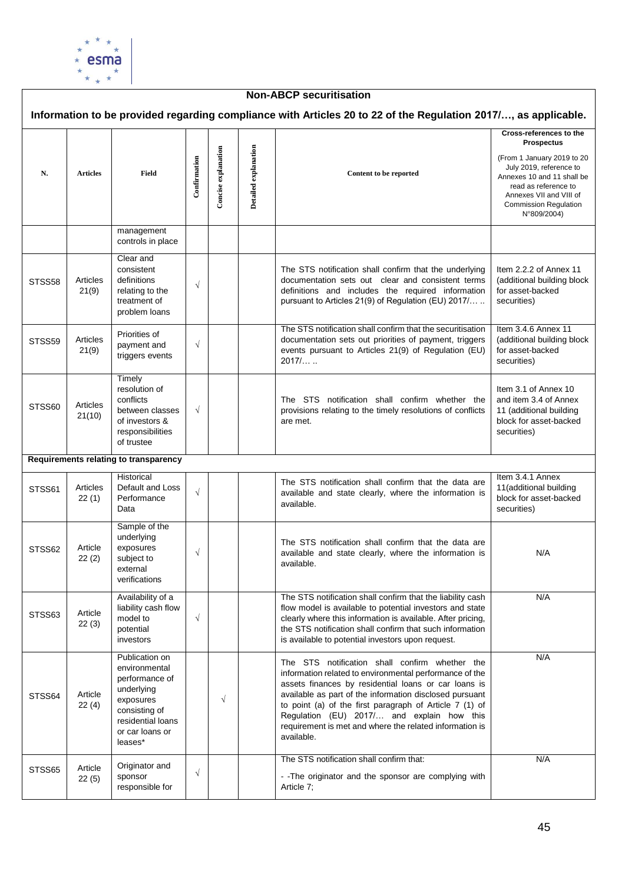

| <b>Non-ABCP securitisation</b> |                    |                                                                                                                                                  |              |                     |                      |                                                                                                                                                                                                                                                                                                                                                                                                                |                                                                                                                                                                                                                                       |  |  |  |  |
|--------------------------------|--------------------|--------------------------------------------------------------------------------------------------------------------------------------------------|--------------|---------------------|----------------------|----------------------------------------------------------------------------------------------------------------------------------------------------------------------------------------------------------------------------------------------------------------------------------------------------------------------------------------------------------------------------------------------------------------|---------------------------------------------------------------------------------------------------------------------------------------------------------------------------------------------------------------------------------------|--|--|--|--|
|                                |                    |                                                                                                                                                  |              |                     |                      | Information to be provided regarding compliance with Articles 20 to 22 of the Regulation 2017/, as applicable.                                                                                                                                                                                                                                                                                                 |                                                                                                                                                                                                                                       |  |  |  |  |
| N.                             | <b>Articles</b>    | Field                                                                                                                                            | Confirmation | Concise explanation | Detailed explanation | Content to be reported                                                                                                                                                                                                                                                                                                                                                                                         | Cross-references to the<br><b>Prospectus</b><br>(From 1 January 2019 to 20<br>July 2019, reference to<br>Annexes 10 and 11 shall be<br>read as reference to<br>Annexes VII and VIII of<br><b>Commission Regulation</b><br>N°809/2004) |  |  |  |  |
|                                |                    | management<br>controls in place                                                                                                                  |              |                     |                      |                                                                                                                                                                                                                                                                                                                                                                                                                |                                                                                                                                                                                                                                       |  |  |  |  |
| STSS58                         | Articles<br>21(9)  | Clear and<br>consistent<br>definitions<br>relating to the<br>treatment of<br>problem loans                                                       | $\sqrt{ }$   |                     |                      | The STS notification shall confirm that the underlying<br>documentation sets out clear and consistent terms<br>definitions and includes the required information<br>pursuant to Articles 21(9) of Regulation (EU) 2017/                                                                                                                                                                                        | Item 2.2.2 of Annex 11<br>(additional building block<br>for asset-backed<br>securities)                                                                                                                                               |  |  |  |  |
| STSS59                         | Articles<br>21(9)  | Priorities of<br>payment and<br>triggers events                                                                                                  | $\sqrt{ }$   |                     |                      | The STS notification shall confirm that the securitisation<br>documentation sets out priorities of payment, triggers<br>events pursuant to Articles 21(9) of Regulation (EU)<br>2017/                                                                                                                                                                                                                          | Item 3.4.6 Annex 11<br>(additional building block<br>for asset-backed<br>securities)                                                                                                                                                  |  |  |  |  |
| STSS60                         | Articles<br>21(10) | Timely<br>resolution of<br>conflicts<br>between classes<br>of investors &<br>responsibilities<br>of trustee                                      | $\sqrt{ }$   |                     |                      | The STS notification shall confirm whether the<br>provisions relating to the timely resolutions of conflicts<br>are met.                                                                                                                                                                                                                                                                                       | Item 3.1 of Annex 10<br>and item 3.4 of Annex<br>11 (additional building<br>block for asset-backed<br>securities)                                                                                                                     |  |  |  |  |
|                                |                    | Requirements relating to transparency                                                                                                            |              |                     |                      |                                                                                                                                                                                                                                                                                                                                                                                                                |                                                                                                                                                                                                                                       |  |  |  |  |
| STSS61                         | Articles<br>22(1)  | Historical<br>Default and Loss<br>Performance<br>Data                                                                                            | $\sqrt{ }$   |                     |                      | The STS notification shall confirm that the data are<br>available and state clearly, where the information is<br>available.                                                                                                                                                                                                                                                                                    | Item 3.4.1 Annex<br>11(additional building<br>block for asset-backed<br>securities)                                                                                                                                                   |  |  |  |  |
| STSS62                         | Article<br>22(2)   | Sample of the<br>underlying<br>exposures<br>subject to<br>external<br>verifications                                                              | $\sqrt{ }$   |                     |                      | The STS notification shall confirm that the data are<br>available and state clearly, where the information is<br>available.                                                                                                                                                                                                                                                                                    | N/A                                                                                                                                                                                                                                   |  |  |  |  |
| STSS63                         | Article<br>22(3)   | Availability of a<br>liability cash flow<br>model to<br>potential<br>investors                                                                   | $\sqrt{ }$   |                     |                      | The STS notification shall confirm that the liability cash<br>flow model is available to potential investors and state<br>clearly where this information is available. After pricing,<br>the STS notification shall confirm that such information<br>is available to potential investors upon request.                                                                                                         | N/A                                                                                                                                                                                                                                   |  |  |  |  |
| STSS64                         | Article<br>22(4)   | Publication on<br>environmental<br>performance of<br>underlying<br>exposures<br>consisting of<br>residential loans<br>or car loans or<br>leases* |              | $\sqrt{}$           |                      | The STS notification shall confirm whether the<br>information related to environmental performance of the<br>assets finances by residential loans or car loans is<br>available as part of the information disclosed pursuant<br>to point (a) of the first paragraph of Article 7 (1) of<br>Regulation (EU) 2017/ and explain how this<br>requirement is met and where the related information is<br>available. | N/A                                                                                                                                                                                                                                   |  |  |  |  |
| STSS65                         | Article<br>22(5)   | Originator and<br>sponsor<br>responsible for                                                                                                     | $\sqrt{ }$   |                     |                      | The STS notification shall confirm that:<br>- - The originator and the sponsor are complying with<br>Article 7;                                                                                                                                                                                                                                                                                                | N/A                                                                                                                                                                                                                                   |  |  |  |  |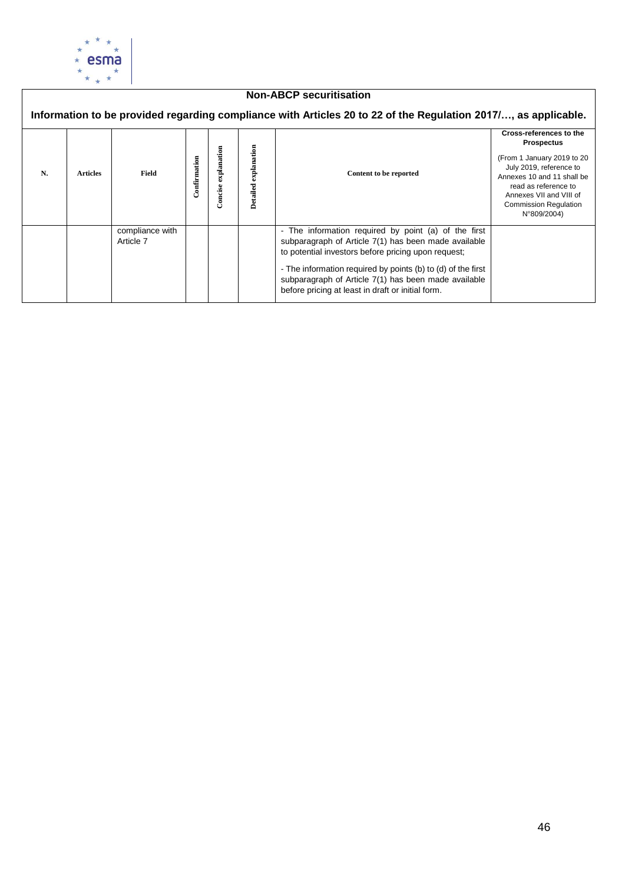

## **Non-ABCP securitisation**

|    |                 |                              |              |                        |                         | Information to be provided regarding compliance with Articles 20 to 22 of the Regulation 2017/, as applicable.                                                                                                                                                                                                                                   |                                                                                                                                                                                                                                       |
|----|-----------------|------------------------------|--------------|------------------------|-------------------------|--------------------------------------------------------------------------------------------------------------------------------------------------------------------------------------------------------------------------------------------------------------------------------------------------------------------------------------------------|---------------------------------------------------------------------------------------------------------------------------------------------------------------------------------------------------------------------------------------|
| N. | <b>Articles</b> | Field                        | Confirmation | explanation<br>Concise | explanation<br>Detailed | Content to be reported                                                                                                                                                                                                                                                                                                                           | Cross-references to the<br><b>Prospectus</b><br>(From 1 January 2019 to 20<br>July 2019, reference to<br>Annexes 10 and 11 shall be<br>read as reference to<br>Annexes VII and VIII of<br><b>Commission Regulation</b><br>N°809/2004) |
|    |                 | compliance with<br>Article 7 |              |                        |                         | - The information required by point (a) of the first<br>subparagraph of Article 7(1) has been made available<br>to potential investors before pricing upon request;<br>- The information required by points (b) to (d) of the first<br>subparagraph of Article 7(1) has been made available<br>before pricing at least in draft or initial form. |                                                                                                                                                                                                                                       |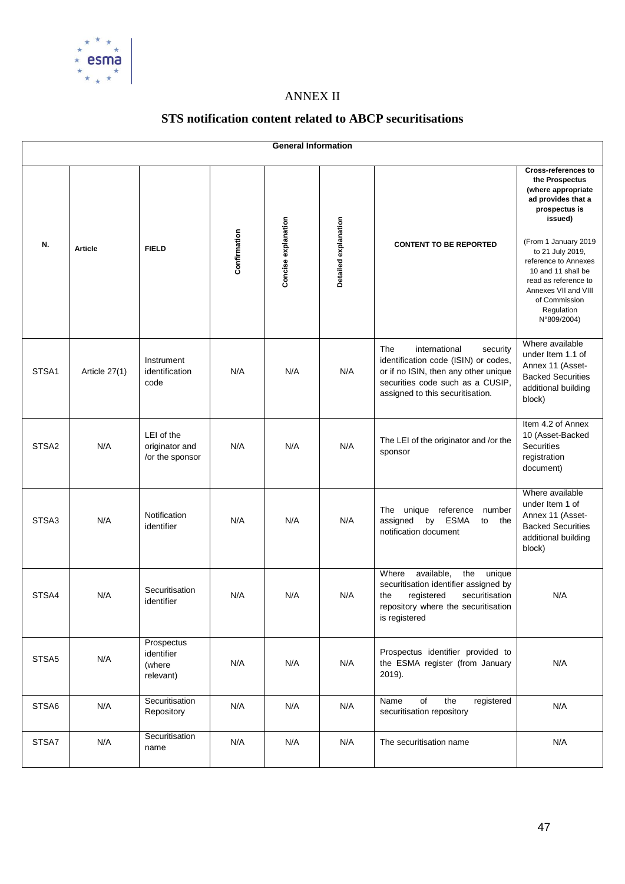

# ANNEX II

# **STS notification content related to ABCP securitisations**

|                   | <b>General Information</b> |                                                 |              |                     |                      |                                                                                                                                                                                          |                                                                                                                                                                                                                                                                                                              |  |  |  |  |  |  |
|-------------------|----------------------------|-------------------------------------------------|--------------|---------------------|----------------------|------------------------------------------------------------------------------------------------------------------------------------------------------------------------------------------|--------------------------------------------------------------------------------------------------------------------------------------------------------------------------------------------------------------------------------------------------------------------------------------------------------------|--|--|--|--|--|--|
| N.                | <b>Article</b>             | <b>FIELD</b>                                    | Confirmation | Concise explanation | Detailed explanation | <b>CONTENT TO BE REPORTED</b>                                                                                                                                                            | <b>Cross-references to</b><br>the Prospectus<br>(where appropriate<br>ad provides that a<br>prospectus is<br>issued)<br>(From 1 January 2019<br>to 21 July 2019,<br>reference to Annexes<br>10 and 11 shall be<br>read as reference to<br>Annexes VII and VIII<br>of Commission<br>Regulation<br>N°809/2004) |  |  |  |  |  |  |
| STSA1             | Article 27(1)              | Instrument<br>identification<br>code            | N/A          | N/A                 | N/A                  | The<br>international<br>security<br>identification code (ISIN) or codes,<br>or if no ISIN, then any other unique<br>securities code such as a CUSIP.<br>assigned to this securitisation. | Where available<br>under Item 1.1 of<br>Annex 11 (Asset-<br><b>Backed Securities</b><br>additional building<br>block)                                                                                                                                                                                        |  |  |  |  |  |  |
| STSA <sub>2</sub> | N/A                        | LEI of the<br>originator and<br>/or the sponsor | N/A          | N/A                 | N/A                  | The LEI of the originator and /or the<br>sponsor                                                                                                                                         | Item 4.2 of Annex<br>10 (Asset-Backed<br>Securities<br>registration<br>document)                                                                                                                                                                                                                             |  |  |  |  |  |  |
| STSA3             | N/A                        | Notification<br>identifier                      | N/A          | N/A                 | N/A                  | The unique reference<br>number<br>by ESMA<br>assigned<br>to<br>the<br>notification document                                                                                              | Where available<br>under Item 1 of<br>Annex 11 (Asset-<br><b>Backed Securities</b><br>additional building<br>block)                                                                                                                                                                                          |  |  |  |  |  |  |
| STSA4             | N/A                        | Securitisation<br>identifier                    | N/A          | N/A                 | N/A                  | Where<br>available,<br>the<br>unique<br>securitisation identifier assigned by<br>securitisation<br>the<br>registered<br>repository where the securitisation<br>is registered             | N/A                                                                                                                                                                                                                                                                                                          |  |  |  |  |  |  |
| STSA5             | N/A                        | Prospectus<br>identifier<br>(where<br>relevant) | N/A          | N/A                 | N/A                  | Prospectus identifier provided to<br>the ESMA register (from January<br>2019).                                                                                                           | N/A                                                                                                                                                                                                                                                                                                          |  |  |  |  |  |  |
| STSA6             | N/A                        | Securitisation<br>Repository                    | N/A          | N/A                 | N/A                  | of<br>the<br>registered<br>Name<br>securitisation repository                                                                                                                             | N/A                                                                                                                                                                                                                                                                                                          |  |  |  |  |  |  |
| STSA7             | N/A                        | Securitisation<br>name                          | N/A          | N/A                 | N/A                  | The securitisation name                                                                                                                                                                  | N/A                                                                                                                                                                                                                                                                                                          |  |  |  |  |  |  |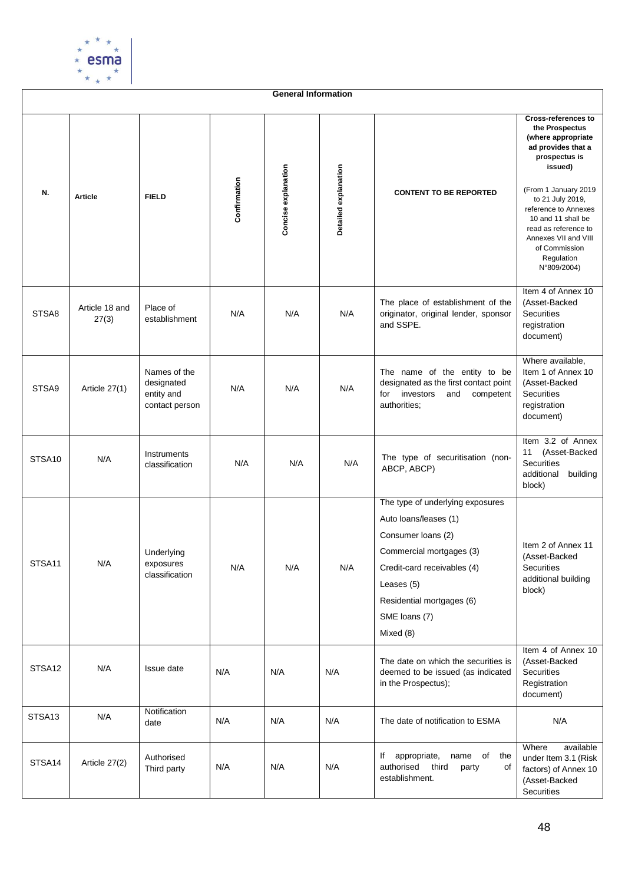

|        | <b>General Information</b> |                                                            |              |                     |                      |                                                                                                                                                                                                                     |                                                                                                                                                                                                                                                                                                              |  |  |  |  |  |  |
|--------|----------------------------|------------------------------------------------------------|--------------|---------------------|----------------------|---------------------------------------------------------------------------------------------------------------------------------------------------------------------------------------------------------------------|--------------------------------------------------------------------------------------------------------------------------------------------------------------------------------------------------------------------------------------------------------------------------------------------------------------|--|--|--|--|--|--|
| N.     | <b>Article</b>             | <b>FIELD</b>                                               | Confirmation | Concise explanation | Detailed explanation | <b>CONTENT TO BE REPORTED</b>                                                                                                                                                                                       | <b>Cross-references to</b><br>the Prospectus<br>(where appropriate<br>ad provides that a<br>prospectus is<br>issued)<br>(From 1 January 2019<br>to 21 July 2019,<br>reference to Annexes<br>10 and 11 shall be<br>read as reference to<br>Annexes VII and VIII<br>of Commission<br>Regulation<br>N°809/2004) |  |  |  |  |  |  |
| STSA8  | Article 18 and<br>27(3)    | Place of<br>establishment                                  | N/A          | N/A                 | N/A                  | The place of establishment of the<br>originator, original lender, sponsor<br>and SSPE.                                                                                                                              | Item 4 of Annex 10<br>(Asset-Backed<br><b>Securities</b><br>registration<br>document)                                                                                                                                                                                                                        |  |  |  |  |  |  |
| STSA9  | Article 27(1)              | Names of the<br>designated<br>entity and<br>contact person | N/A          | N/A                 | N/A                  | The name of the entity to be<br>designated as the first contact point<br>investors<br>and<br>competent<br>for<br>authorities;                                                                                       | Where available,<br>Item 1 of Annex 10<br>(Asset-Backed<br><b>Securities</b><br>registration<br>document)                                                                                                                                                                                                    |  |  |  |  |  |  |
| STSA10 | N/A                        | Instruments<br>classification                              | N/A          | N/A                 | N/A                  | The type of securitisation (non-<br>ABCP, ABCP)                                                                                                                                                                     | Item 3.2 of Annex<br>11<br>(Asset-Backed<br>Securities<br>additional<br>building<br>block)                                                                                                                                                                                                                   |  |  |  |  |  |  |
| STSA11 | N/A                        | Underlying<br>exposures<br>classification                  | N/A          | N/A                 | N/A                  | The type of underlying exposures<br>Auto loans/leases (1)<br>Consumer loans (2)<br>Commercial mortgages (3)<br>Credit-card receivables (4)<br>Leases (5)<br>Residential mortgages (6)<br>SME loans (7)<br>Mixed (8) | Item 2 of Annex 11<br>(Asset-Backed<br>Securities<br>additional building<br>block)                                                                                                                                                                                                                           |  |  |  |  |  |  |
| STSA12 | N/A                        | Issue date                                                 | N/A          | N/A                 | N/A                  | The date on which the securities is<br>deemed to be issued (as indicated<br>in the Prospectus);                                                                                                                     | Item 4 of Annex 10<br>(Asset-Backed<br><b>Securities</b><br>Registration<br>document)                                                                                                                                                                                                                        |  |  |  |  |  |  |
| STSA13 | N/A                        | Notification<br>date                                       | N/A          | N/A                 | N/A                  | The date of notification to ESMA                                                                                                                                                                                    | N/A                                                                                                                                                                                                                                                                                                          |  |  |  |  |  |  |
| STSA14 | Article 27(2)              | Authorised<br>Third party                                  | N/A          | N/A                 | N/A                  | lf<br>appropriate,<br>name of<br>the<br>authorised<br>third<br>party<br>of<br>establishment.                                                                                                                        | Where<br>available<br>under Item 3.1 (Risk<br>factors) of Annex 10<br>(Asset-Backed<br>Securities                                                                                                                                                                                                            |  |  |  |  |  |  |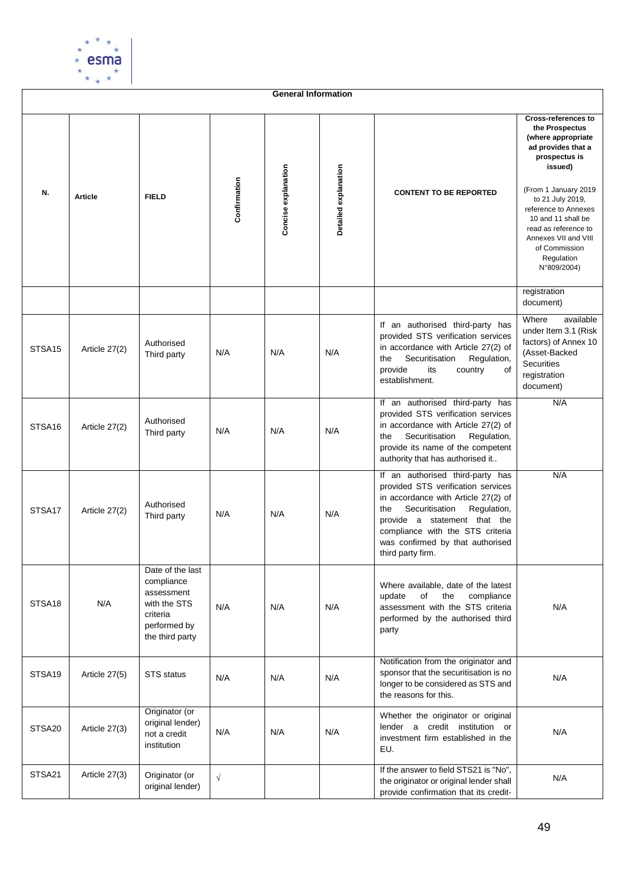

**General Information Cross-references to the Prospectus (where appropriate ad provides that a prospectus is issued)** Concise explanation **Concise explanation** Detailed explanation **Detailed explanation Confirmation** (From 1 January 2019 **N. Article FIELD CONTENT TO BE REPORTED** to 21 July 2019, reference to Annexes 10 and 11 shall be read as reference to Annexes VII and VIII of Commission Regulation N°809/2004) registration document) Where available If an authorised third-party has under Item 3.1 (Risk provided STS verification services factors) of Annex 10 STSA15 Article 27(2) Authorised in accordance with Article 27(2) of Third party N/A N/A N/A (Asset-Backed the Securitisation Regulation, **Securities** provide its country of registration establishment. document) If an authorised third-party has N/A provided STS verification services STSA16 Article 27(2) Authorised in accordance with Article 27(2) of Third party **N/A** N/A N/A the Securitisation Regulation, provide its name of the competent authority that has authorised it.. If an authorised third-party has N/A provided STS verification services in accordance with Article 27(2) of STSA17 Article 27(2) Authorised the Securitisation Regulation, Third party **N/A** N/A N/A provide a statement that the compliance with the STS criteria was confirmed by that authorised third party firm. Date of the last compliance Where available, date of the latest<br>undate of the compliance assessment update of the compliance with the STS STSA18 N/A N/A N/A N/A assessment with the STS criteria N/A criteria performed by the authorised third performed by party the third party Notification from the originator and sponsor that the securitisation is no STSA19 | Article 27(5) | STS status |  $N/A$  |  $N/A$  |  $N/A$  |  $N/A$ N/A longer to be considered as STS and the reasons for this. Originator (or Whether the originator or original original lender) lender a credit institution or STSA20 Article 27(3) N/A not a credit N/A N/A N/A investment firm established in the institution EU. If the answer to field STS21 is "No", STSA21 | Article 27(3) | Originator (or √ N/Athe originator or original lender shall original lender)

provide confirmation that its credit-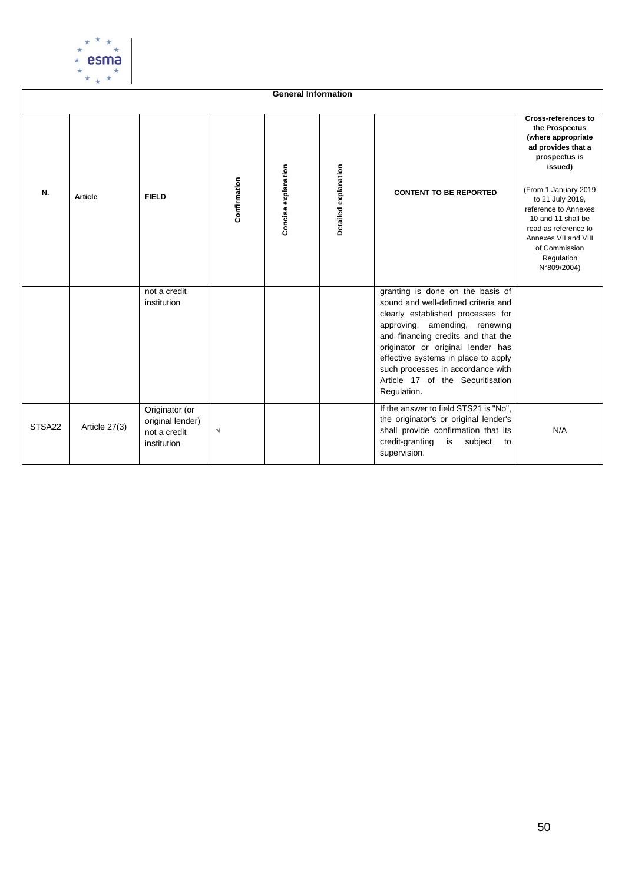

| <b>General Information</b> |                |                                                                   |              |                     |                      |                                                                                                                                                                                                                                                                                                                                                         |                                                                                                                                                                                                                                                                                                              |  |  |  |  |  |
|----------------------------|----------------|-------------------------------------------------------------------|--------------|---------------------|----------------------|---------------------------------------------------------------------------------------------------------------------------------------------------------------------------------------------------------------------------------------------------------------------------------------------------------------------------------------------------------|--------------------------------------------------------------------------------------------------------------------------------------------------------------------------------------------------------------------------------------------------------------------------------------------------------------|--|--|--|--|--|
| N.                         | <b>Article</b> | <b>FIELD</b>                                                      | Confirmation | Concise explanation | Detailed explanation | <b>CONTENT TO BE REPORTED</b>                                                                                                                                                                                                                                                                                                                           | <b>Cross-references to</b><br>the Prospectus<br>(where appropriate<br>ad provides that a<br>prospectus is<br>issued)<br>(From 1 January 2019<br>to 21 July 2019,<br>reference to Annexes<br>10 and 11 shall be<br>read as reference to<br>Annexes VII and VIII<br>of Commission<br>Regulation<br>N°809/2004) |  |  |  |  |  |
|                            |                | not a credit<br>institution                                       |              |                     |                      | granting is done on the basis of<br>sound and well-defined criteria and<br>clearly established processes for<br>approving, amending, renewing<br>and financing credits and that the<br>originator or original lender has<br>effective systems in place to apply<br>such processes in accordance with<br>Article 17 of the Securitisation<br>Regulation. |                                                                                                                                                                                                                                                                                                              |  |  |  |  |  |
| STSA22                     | Article 27(3)  | Originator (or<br>original lender)<br>not a credit<br>institution | $\sqrt{ }$   |                     |                      | If the answer to field STS21 is "No".<br>the originator's or original lender's<br>shall provide confirmation that its<br>credit-granting<br>subject<br>is<br>to<br>supervision.                                                                                                                                                                         | N/A                                                                                                                                                                                                                                                                                                          |  |  |  |  |  |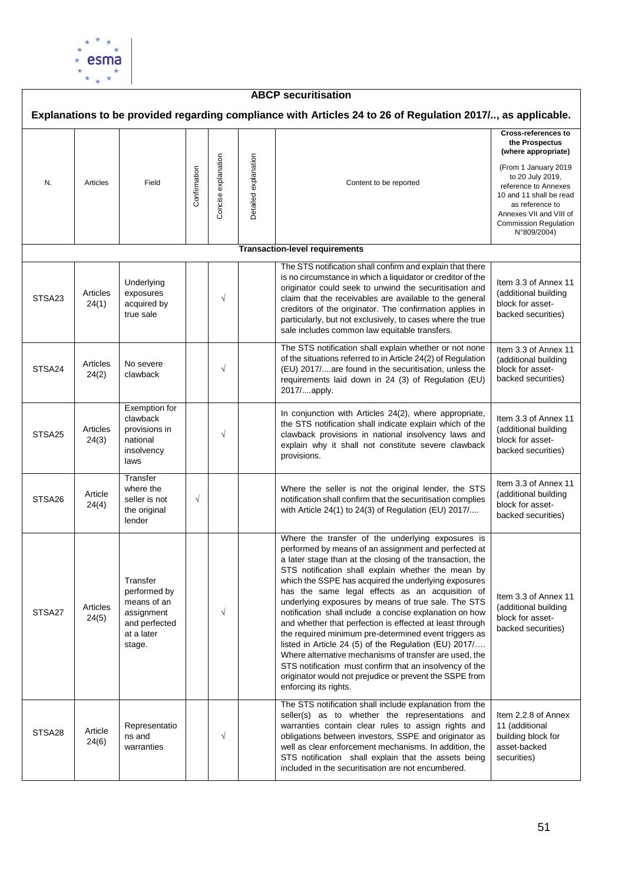

### **ABCP securitisation Explanations to be provided regarding compliance with Articles 24 to 26 of Regulation 2017/.., as applicable. Cross-references to the Prospectus (where appropriate)** Concise explanation Concise explanation Detailed explanation Detailed explanation (From 1 January 2019 **Confirmation** to 20 July 2019, N. Articles Field Content to be reported reference to Annexes 10 and 11 shall be read as reference to Annexes VII and VIII of Commission Regulation N°809/2004) **Transaction-level requirements** The STS notification shall confirm and explain that there is no circumstance in which a liquidator or creditor of the Underlying Item 3.3 of Annex 11 originator could seek to unwind the securitisation and Articles (additional building exposures STSA<sub>23</sub> √ claim that the receivables are available to the general 24(1) acquired by block for assetcreditors of the originator. The confirmation applies in true sale backed securities) particularly, but not exclusively, to cases where the true sale includes common law equitable transfers. The STS notification shall explain whether or not none Item 3.3 of Annex 11 of the situations referred to in Article 24(2) of Regulation (additional building Articles No severe STSA24 No severe<br>clawback  $\sqrt{2}$ (EU) 2017/....are found in the securitisation, unless the block for asset-24(2) backed securities) requirements laid down in 24 (3) of Regulation (EU) 2017/....apply. Exemption for In conjunction with Articles 24(2), where appropriate, clawback Item 3.3 of Annex 11 the STS notification shall indicate explain which of the provisions in (additional building Articles STSA<sub>25</sub> √ clawback provisions in national insolvency laws and 24(3) national block for assetexplain why it shall not constitute severe clawback insolvency backed securities) provisions. laws **Transfer** Item 3.3 of Annex 11 where the Where the seller is not the original lender, the STS (additional building Article STSA<sub>26</sub> seller is not √ notification shall confirm that the securitisation complies 24(4) block for assetthe original with Article 24(1) to 24(3) of Regulation (EU) 2017/.... backed securities) lender Where the transfer of the underlying exposures is performed by means of an assignment and perfected at a later stage than at the closing of the transaction, the STS notification shall explain whether the mean by Transfer which the SSPE has acquired the underlying exposures performed by has the same legal effects as an acquisition of Item 3.3 of Annex 11 means of an underlying exposures by means of true sale. The STS Articles (additional building STSA<sub>27</sub> assignment √ notification shall include a concise explanation on how block for asset-24(5) and perfected and whether that perfection is effected at least through backed securities) at a later the required minimum pre-determined event triggers as listed in Article 24 (5) of the Regulation (EU) 2017/…. stage. Where alternative mechanisms of transfer are used, the STS notification must confirm that an insolvency of the originator would not prejudice or prevent the SSPE from enforcing its rights. The STS notification shall include explanation from the seller(s) as to whether the representations and Item 2.2.8 of Annex Representatio warranties contain clear rules to assign rights and 11 (additional STSA28 Article ns and √ obligations between investors, SSPE and originator as building block for 24(6) asset-backed warranties well as clear enforcement mechanisms. In addition, the STS notification shall explain that the assets being securities)included in the securitisation are not encumbered.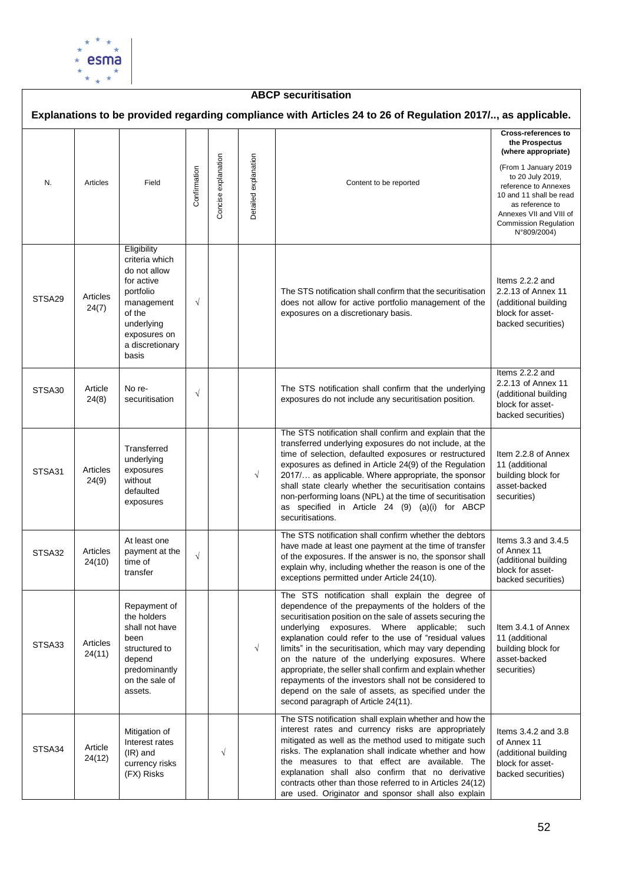

## **ABCP securitisation**

|        |                    |                                                                                                                                                            |              |                     |                      | Explanations to be provided regarding compliance with Articles 24 to 26 of Regulation 2017/, as applicable.                                                                                                                                                                                                                                                                                                                                                                                                                                                                                                          |                                                                                                                                                                                                                                                                 |
|--------|--------------------|------------------------------------------------------------------------------------------------------------------------------------------------------------|--------------|---------------------|----------------------|----------------------------------------------------------------------------------------------------------------------------------------------------------------------------------------------------------------------------------------------------------------------------------------------------------------------------------------------------------------------------------------------------------------------------------------------------------------------------------------------------------------------------------------------------------------------------------------------------------------------|-----------------------------------------------------------------------------------------------------------------------------------------------------------------------------------------------------------------------------------------------------------------|
| N.     | Articles           | Field                                                                                                                                                      | Confirmation | Concise explanation | Detailed explanation | Content to be reported                                                                                                                                                                                                                                                                                                                                                                                                                                                                                                                                                                                               | <b>Cross-references to</b><br>the Prospectus<br>(where appropriate)<br>(From 1 January 2019<br>to 20 July 2019,<br>reference to Annexes<br>10 and 11 shall be read<br>as reference to<br>Annexes VII and VIII of<br><b>Commission Regulation</b><br>N°809/2004) |
| STSA29 | Articles<br>24(7)  | Eligibility<br>criteria which<br>do not allow<br>for active<br>portfolio<br>management<br>of the<br>underlying<br>exposures on<br>a discretionary<br>basis | $\sqrt{}$    |                     |                      | The STS notification shall confirm that the securitisation<br>does not allow for active portfolio management of the<br>exposures on a discretionary basis.                                                                                                                                                                                                                                                                                                                                                                                                                                                           | Items 2.2.2 and<br>2.2.13 of Annex 11<br>(additional building<br>block for asset-<br>backed securities)                                                                                                                                                         |
| STSA30 | Article<br>24(8)   | No re-<br>securitisation                                                                                                                                   | $\sqrt{}$    |                     |                      | The STS notification shall confirm that the underlying<br>exposures do not include any securitisation position.                                                                                                                                                                                                                                                                                                                                                                                                                                                                                                      | Items 2.2.2 and<br>2.2.13 of Annex 11<br>(additional building<br>block for asset-<br>backed securities)                                                                                                                                                         |
| STSA31 | Articles<br>24(9)  | Transferred<br>underlying<br>exposures<br>without<br>defaulted<br>exposures                                                                                |              |                     | $\sqrt{}$            | The STS notification shall confirm and explain that the<br>transferred underlying exposures do not include, at the<br>time of selection, defaulted exposures or restructured<br>exposures as defined in Article 24(9) of the Regulation<br>2017/ as applicable. Where appropriate, the sponsor<br>shall state clearly whether the securitisation contains<br>non-performing loans (NPL) at the time of securitisation<br>as specified in Article 24 (9) (a)(i) for ABCP<br>securitisations.                                                                                                                          | Item 2.2.8 of Annex<br>11 (additional<br>building block for<br>asset-backed<br>securities)                                                                                                                                                                      |
| STSA32 | Articles<br>24(10) | At least one<br>payment at the<br>time of<br>transfer                                                                                                      | $\sqrt{}$    |                     |                      | The STS notification shall confirm whether the debtors<br>have made at least one payment at the time of transfer<br>of the exposures. If the answer is no, the sponsor shall<br>explain why, including whether the reason is one of the<br>exceptions permitted under Article 24(10).                                                                                                                                                                                                                                                                                                                                | Items 3.3 and 3.4.5<br>of Annex 11<br>(additional building<br>block for asset-<br>backed securities)                                                                                                                                                            |
| STSA33 | Articles<br>24(11) | Repayment of<br>the holders<br>shall not have<br>been<br>structured to<br>depend<br>predominantly<br>on the sale of<br>assets.                             |              |                     | $\sqrt{}$            | The STS notification shall explain the degree of<br>dependence of the prepayments of the holders of the<br>securitisation position on the sale of assets securing the<br>underlying exposures. Where applicable; such<br>explanation could refer to the use of "residual values<br>limits" in the securitisation, which may vary depending<br>on the nature of the underlying exposures. Where<br>appropriate, the seller shall confirm and explain whether<br>repayments of the investors shall not be considered to<br>depend on the sale of assets, as specified under the<br>second paragraph of Article 24(11). | Item 3.4.1 of Annex<br>11 (additional<br>building block for<br>asset-backed<br>securities)                                                                                                                                                                      |
| STSA34 | Article<br>24(12)  | Mitigation of<br>Interest rates<br>$(IR)$ and<br>currency risks<br>(FX) Risks                                                                              |              | $\sqrt{}$           |                      | The STS notification shall explain whether and how the<br>interest rates and currency risks are appropriately<br>mitigated as well as the method used to mitigate such<br>risks. The explanation shall indicate whether and how<br>the measures to that effect are available. The<br>explanation shall also confirm that no derivative<br>contracts other than those referred to in Articles 24(12)<br>are used. Originator and sponsor shall also explain                                                                                                                                                           | Items 3.4.2 and 3.8<br>of Annex 11<br>(additional building<br>block for asset-<br>backed securities)                                                                                                                                                            |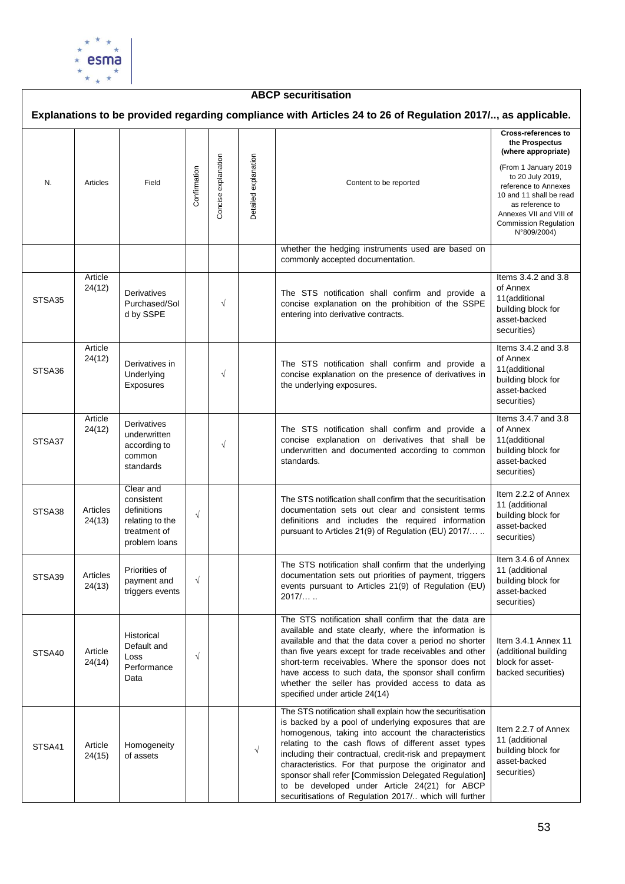

### **ABCP securitisation Explanations to be provided regarding compliance with Articles 24 to 26 of Regulation 2017/.., as applicable. Cross-references to the Prospectus (where appropriate)** Concise explanation Concise explanation Oetailed explanation Detailed explanation (From 1 January 2019 **Confirmation** to 20 July 2019, N. Articles Field Content to be reported reference to Annexes 10 and 11 shall be read as reference to Annexes VII and VIII of Commission Regulation N°809/2004) whether the hedging instruments used are based on commonly accepted documentation. Article<br>24(12) Items 3.4.2 and 3.8 of Annex **Derivatives** The STS notification shall confirm and provide a 11(additional STSA35 Purchased/Sol √ concise explanation on the prohibition of the SSPE building block for d by SSPE entering into derivative contracts. asset-backed securities) Items 3.4.2 and 3.8 Article  $24(12)$  Derivatives in of Annex The STS notification shall confirm and provide a 11(additional STSA36 √ **Underlying** concise explanation on the presence of derivatives in building block for Exposures the underlying exposures. asset-backed securities) Article Items 3.4.7 and 3.8 Article Derivatives The STS notification shall confirm and provide a of Annex underwritten concise explanation on derivatives that shall be 11(additional STSA37 √ according to building block for underwritten and documented according to common common standards. asset-backed standards securities) Clear and Item 2.2.2 of Annex consistent The STS notification shall confirm that the securitisation 11 (additional STSA38 Articles definitions documentation sets out clear and consistent terms √ building block for relating to the definitions and includes the required information 24(13) asset-backed treatment of pursuant to Articles 21(9) of Regulation (EU) 2017/… .. securities) problem loans Item 3.4.6 of Annex The STS notification shall confirm that the underlying Priorities of 11 (additional STSA39 Articles documentation sets out priorities of payment, triggers payment and √ building block for 24(13) events pursuant to Articles 21(9) of Regulation (EU) asset-backed triggers events  $2017/$ securities) The STS notification shall confirm that the data are available and state clearly, where the information is Historical available and that the data cover a period no shorter Item 3.4.1 Annex 11 Default and STSA40 Article than five years except for trade receivables and other (additional building √ Loss 24(14) short-term receivables. Where the sponsor does not block for asset-Performance have access to such data, the sponsor shall confirm backed securities) Data whether the seller has provided access to data as specified under article 24(14) The STS notification shall explain how the securitisation is backed by a pool of underlying exposures that are Item 2.2.7 of Annex homogenous, taking into account the characteristics 11 (additional relating to the cash flows of different asset types STSA41 Article Homogeneity  $\begin{array}{c|c}\n\text{Homogeneity} \\
\text{of assets}\n\end{array}$   $\begin{array}{|c|c|}\n\hline\n\end{array}$ building block for including their contractual, credit-risk and prepayment 24(15) asset-backed characteristics. For that purpose the originator and securities)sponsor shall refer [Commission Delegated Regulation] to be developed under Article 24(21) for ABCP securitisations of Regulation 2017/.. which will further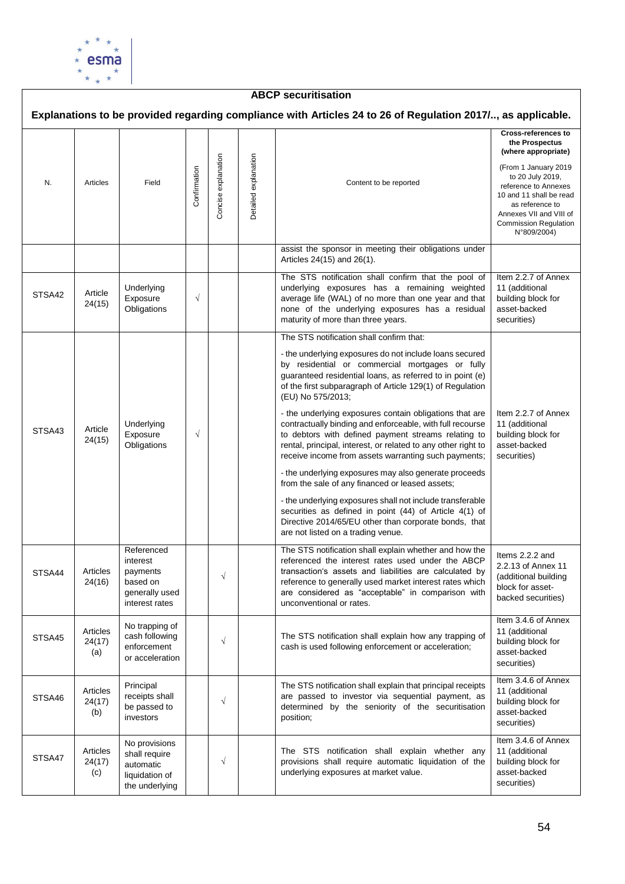

### **ABCP securitisation Explanations to be provided regarding compliance with Articles 24 to 26 of Regulation 2017/.., as applicable. Cross-references to the Prospectus (where appropriate)** Concise explanation Concise explanation Oetailed explanation Detailed explanation (From 1 January 2019 **Confirmation** to 20 July 2019, N. Articles Field Content to be reported reference to Annexes 10 and 11 shall be read as reference to Annexes VII and VIII of Commission Regulation N°809/2004) assist the sponsor in meeting their obligations under Articles 24(15) and 26(1). The STS notification shall confirm that the pool of Item 2.2.7 of Annex underlying exposures has a remaining weighted **Underlying** 11 (additional STSA42 Article **Exposure** √ average life (WAL) of no more than one year and that building block for 24(15) **Obligations** none of the underlying exposures has a residual asset-backed maturity of more than three years. securities) The STS notification shall confirm that: - the underlying exposures do not include loans secured by residential or commercial mortgages or fully guaranteed residential loans, as referred to in point (e) of the first subparagraph of Article 129(1) of Regulation (EU) No 575/2013; - the underlying exposures contain obligations that are Item 2.2.7 of Annex Underlying contractually binding and enforceable, with full recourse 11 (additional STSA43 Article √ building block for Exposure to debtors with defined payment streams relating to 24(15) **Obligations** rental, principal, interest, or related to any other right to asset-backed receive income from assets warranting such payments; securities) - the underlying exposures may also generate proceeds from the sale of any financed or leased assets; - the underlying exposures shall not include transferable securities as defined in point (44) of Article 4(1) of Directive 2014/65/EU other than corporate bonds, that are not listed on a trading venue. Referenced The STS notification shall explain whether and how the Items 2.2.2 and referenced the interest rates used under the ABCP interest 2.2.13 of Annex 11 STSA44 Articles transaction's assets and liabilities are calculated by payments √ (additional building 24(16) based on reference to generally used market interest rates which block for assetgenerally used are considered as "acceptable" in comparison with backed securities) interest rates unconventional or rates. Item 3.4.6 of Annex No trapping of Articles 11 (additional cash following The STS notification shall explain how any trapping of STSA45 √ 24(17) building block for enforcement cash is used following enforcement or acceleration;  $(a)$ asset-backed or acceleration securities) Item 3.4.6 of Annex Principal The STS notification shall explain that principal receipts 11 (additional **Articles** are passed to investor via sequential payment, as receipts shall STSA46 24(17) √ building block for be passed to determined by the seniority of the securitisation (b) asset-backed investors position; securities) Item 3.4.6 of Annex No provisions Articles The STS notification shall explain whether any 11 (additional shall require STSA47 24(17) √ provisions shall require automatic liquidation of the building block for automatic asset-backed (c) underlying exposures at market value. liquidation of securities)the underlying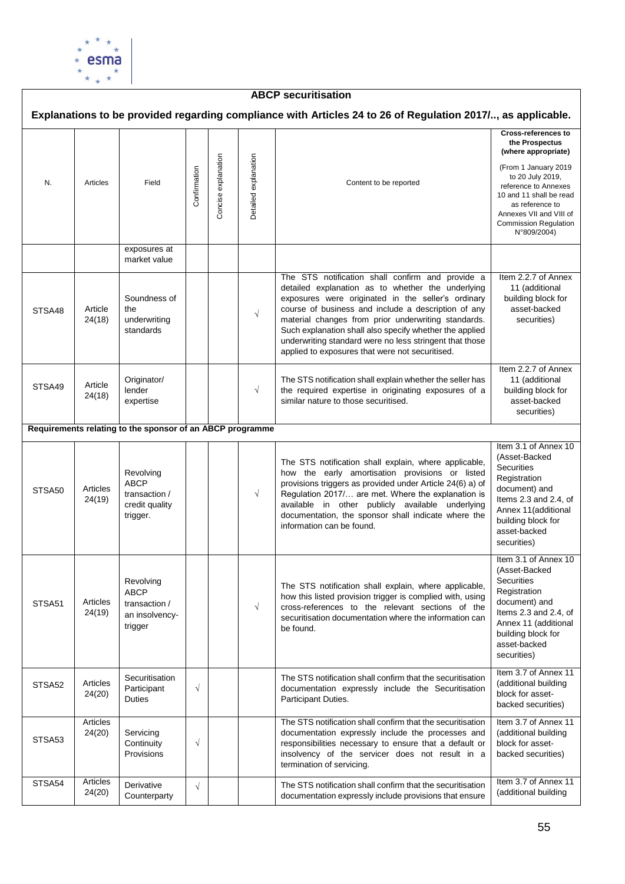

### **ABCP securitisation Explanations to be provided regarding compliance with Articles 24 to 26 of Regulation 2017/.., as applicable. Cross-references to the Prospectus (where appropriate)** Concise explanation Concise explanation Oetailed explanation Detailed explanation (From 1 January 2019 **Confirmation** to 20 July 2019, N. Articles Field Content to be reported reference to Annexes 10 and 11 shall be read as reference to Annexes VII and VIII of Commission Regulation N°809/2004) exposures at market value The STS notification shall confirm and provide a Item 2.2.7 of Annex detailed explanation as to whether the underlying 11 (additional Soundness of exposures were originated in the seller's ordinary building block for  $STSAAB$  Article the course of business and include a description of any asset-backed √ material changes from prior underwriting standards. 24(18) underwriting securities) standards Such explanation shall also specify whether the applied underwriting standard were no less stringent that those applied to exposures that were not securitised. Item 2.2.7 of Annex Originator/ The STS notification shall explain whether the seller has 11 (additional STSA49 Article lender √ the required expertise in originating exposures of a building block for 24(18) expertise similar nature to those securitised. asset-backed securities) **Requirements relating to the sponsor of an ABCP programme** Item 3.1 of Annex 10 (Asset-Backed The STS notification shall explain, where applicable, **Securities** how the early amortisation provisions or listed Revolving **Registration** ABCP provisions triggers as provided under Article 24(6) a) of STSA50 Articles document) and transaction / √ Regulation 2017/… are met. Where the explanation is 24(19) Items 2.3 and 2.4, of credit quality available in other publicly available underlying Annex 11(additional trigger. documentation, the sponsor shall indicate where the building block for information can be found. asset-backed securities) Item 3.1 of Annex 10 (Asset-Backed Revolving **Securities** The STS notification shall explain, where applicable, Registration ABCP how this listed provision trigger is complied with, using STSA51 Articles document) and transaction / √ cross-references to the relevant sections of the 24(19) Items 2.3 and 2.4, of an insolvencysecuritisation documentation where the information can Annex 11 (additional trigger be found. building block for asset-backed securities) Item 3.7 of Annex 11 **Securitisation** The STS notification shall confirm that the securitisation STSA52 Articles (additional building √ Participant documentation expressly include the Securitisation 24(20) block for asset-**Duties** Participant Duties. backed securities) Articles<br>24(20) The STS notification shall confirm that the securitisation Item 3.7 of Annex 11 (additional building Servicing documentation expressly include the processes and STSA<sub>53</sub> **Continuity** √ responsibilities necessary to ensure that a default or block for asset-Provisions insolvency of the servicer does not result in a backed securities) termination of servicing. STSA54 Articles Item 3.7 of Annex 11 Derivative  $\sqrt{\left| \begin{array}{ccc} \end{array} \right|}$  The STS notification shall confirm that the securitisation 24(20) (additional building **Counterparty** documentation expressly include provisions that ensure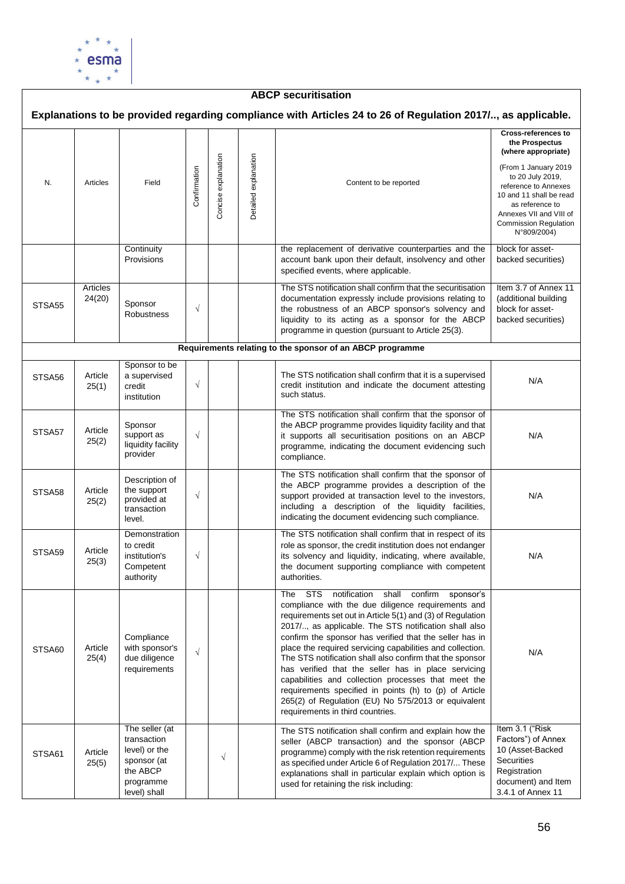

| <b>ABCP securitisation</b>                                                                                  |                    |                                                                                                        |              |                     |                      |                                                                                                                                                                                                                                                                                                                                                                                                                                                                                                                                                                                                                                                                                           |                                                                                                                                                                                                                                                                 |  |  |  |  |  |
|-------------------------------------------------------------------------------------------------------------|--------------------|--------------------------------------------------------------------------------------------------------|--------------|---------------------|----------------------|-------------------------------------------------------------------------------------------------------------------------------------------------------------------------------------------------------------------------------------------------------------------------------------------------------------------------------------------------------------------------------------------------------------------------------------------------------------------------------------------------------------------------------------------------------------------------------------------------------------------------------------------------------------------------------------------|-----------------------------------------------------------------------------------------------------------------------------------------------------------------------------------------------------------------------------------------------------------------|--|--|--|--|--|
| Explanations to be provided regarding compliance with Articles 24 to 26 of Regulation 2017/, as applicable. |                    |                                                                                                        |              |                     |                      |                                                                                                                                                                                                                                                                                                                                                                                                                                                                                                                                                                                                                                                                                           |                                                                                                                                                                                                                                                                 |  |  |  |  |  |
| N.                                                                                                          | Articles           | Field                                                                                                  | Confirmation | Concise explanation | Detailed explanation | Content to be reported                                                                                                                                                                                                                                                                                                                                                                                                                                                                                                                                                                                                                                                                    | <b>Cross-references to</b><br>the Prospectus<br>(where appropriate)<br>(From 1 January 2019<br>to 20 July 2019,<br>reference to Annexes<br>10 and 11 shall be read<br>as reference to<br>Annexes VII and VIII of<br><b>Commission Regulation</b><br>N°809/2004) |  |  |  |  |  |
|                                                                                                             |                    | Continuity<br>Provisions                                                                               |              |                     |                      | the replacement of derivative counterparties and the<br>account bank upon their default, insolvency and other<br>specified events, where applicable.                                                                                                                                                                                                                                                                                                                                                                                                                                                                                                                                      | block for asset-<br>backed securities)                                                                                                                                                                                                                          |  |  |  |  |  |
| STSA55                                                                                                      | Articles<br>24(20) | Sponsor<br>Robustness                                                                                  | $\sqrt{}$    |                     |                      | The STS notification shall confirm that the securitisation<br>documentation expressly include provisions relating to<br>the robustness of an ABCP sponsor's solvency and<br>liquidity to its acting as a sponsor for the ABCP<br>programme in question (pursuant to Article 25(3).                                                                                                                                                                                                                                                                                                                                                                                                        | Item 3.7 of Annex 11<br>(additional building<br>block for asset-<br>backed securities)                                                                                                                                                                          |  |  |  |  |  |
|                                                                                                             |                    |                                                                                                        |              |                     |                      | Requirements relating to the sponsor of an ABCP programme                                                                                                                                                                                                                                                                                                                                                                                                                                                                                                                                                                                                                                 |                                                                                                                                                                                                                                                                 |  |  |  |  |  |
| STSA56                                                                                                      | Article<br>25(1)   | Sponsor to be<br>a supervised<br>credit<br>institution                                                 | $\sqrt{}$    |                     |                      | The STS notification shall confirm that it is a supervised<br>credit institution and indicate the document attesting<br>such status.                                                                                                                                                                                                                                                                                                                                                                                                                                                                                                                                                      | N/A                                                                                                                                                                                                                                                             |  |  |  |  |  |
| STSA57                                                                                                      | Article<br>25(2)   | Sponsor<br>support as<br>liquidity facility<br>provider                                                | $\sqrt{}$    |                     |                      | The STS notification shall confirm that the sponsor of<br>the ABCP programme provides liquidity facility and that<br>it supports all securitisation positions on an ABCP<br>programme, indicating the document evidencing such<br>compliance.                                                                                                                                                                                                                                                                                                                                                                                                                                             | N/A                                                                                                                                                                                                                                                             |  |  |  |  |  |
| STSA58                                                                                                      | Article<br>25(2)   | Description of<br>the support<br>provided at<br>transaction<br>level.                                  | $\sqrt{}$    |                     |                      | The STS notification shall confirm that the sponsor of<br>the ABCP programme provides a description of the<br>support provided at transaction level to the investors,<br>including a description of the liquidity facilities,<br>indicating the document evidencing such compliance.                                                                                                                                                                                                                                                                                                                                                                                                      | N/A                                                                                                                                                                                                                                                             |  |  |  |  |  |
| STSA59                                                                                                      | Article<br>25(3)   | Demonstration<br>to credit<br>institution's<br>Competent<br>authority                                  | $\sqrt{ }$   |                     |                      | The STS notification shall confirm that in respect of its<br>role as sponsor, the credit institution does not endanger<br>its solvency and liquidity, indicating, where available,<br>the document supporting compliance with competent<br>authorities.                                                                                                                                                                                                                                                                                                                                                                                                                                   | N/A                                                                                                                                                                                                                                                             |  |  |  |  |  |
| STSA60                                                                                                      | Article<br>25(4)   | Compliance<br>with sponsor's<br>due diligence<br>requirements                                          | $\sqrt{}$    |                     |                      | The STS<br>notification<br>shall confirm<br>sponsor's<br>compliance with the due diligence requirements and<br>requirements set out in Article 5(1) and (3) of Regulation<br>2017/, as applicable. The STS notification shall also<br>confirm the sponsor has verified that the seller has in<br>place the required servicing capabilities and collection.<br>The STS notification shall also confirm that the sponsor<br>has verified that the seller has in place servicing<br>capabilities and collection processes that meet the<br>requirements specified in points (h) to (p) of Article<br>265(2) of Regulation (EU) No 575/2013 or equivalent<br>requirements in third countries. | N/A                                                                                                                                                                                                                                                             |  |  |  |  |  |
| STSA61                                                                                                      | Article<br>25(5)   | The seller (at<br>transaction<br>level) or the<br>sponsor (at<br>the ABCP<br>programme<br>level) shall |              | $\sqrt{}$           |                      | The STS notification shall confirm and explain how the<br>seller (ABCP transaction) and the sponsor (ABCP<br>programme) comply with the risk retention requirements<br>as specified under Article 6 of Regulation 2017/ These<br>explanations shall in particular explain which option is<br>used for retaining the risk including:                                                                                                                                                                                                                                                                                                                                                       | Item 3.1 ("Risk<br>Factors") of Annex<br>10 (Asset-Backed<br><b>Securities</b><br>Registration<br>document) and Item<br>3.4.1 of Annex 11                                                                                                                       |  |  |  |  |  |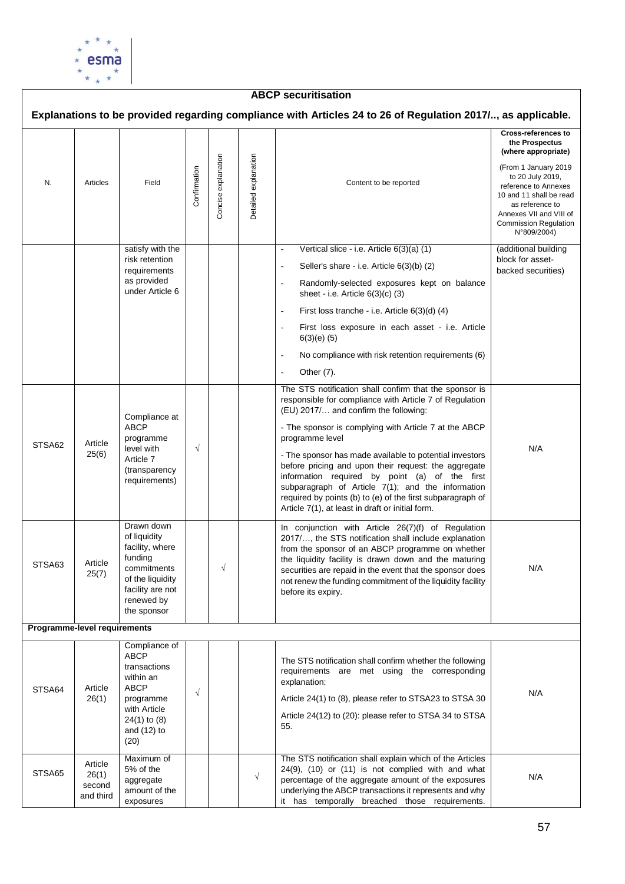

exposures

### **ABCP securitisation Explanations to be provided regarding compliance with Articles 24 to 26 of Regulation 2017/.., as applicable. Cross-references to the Prospectus (where appropriate)** Concise explanation Concise explanation Oetailed explanation Detailed explanation (From 1 January 2019 **Confirmation** to 20 July 2019, N. Articles Field Content to be reported reference to Annexes 10 and 11 shall be read as reference to Annexes VII and VIII of Commission Regulation N°809/2004) satisfy with the Vertical slice - i.e. Article 6(3)(a) (1) (additional building risk retention block for asset-Seller's share - i.e. Article 6(3)(b) (2) requirements backed securities) as provided Randomly-selected exposures kept on balance under Article 6 sheet - i.e. Article 6(3)(c) (3) - First loss tranche - i.e. Article 6(3)(d) (4) First loss exposure in each asset - i.e. Article 6(3)(e) (5) No compliance with risk retention requirements (6) Other (7). The STS notification shall confirm that the sponsor is responsible for compliance with Article 7 of Regulation (EU) 2017/… and confirm the following: Compliance at ABCP - The sponsor is complying with Article 7 at the ABCP programme programme level STSA62 Article √ level with N/A 25(6) - The sponsor has made available to potential investors Article 7 before pricing and upon their request: the aggregate (transparency information required by point (a) of the first requirements) subparagraph of Article 7(1); and the information required by points (b) to (e) of the first subparagraph of Article 7(1), at least in draft or initial form. Drawn down In conjunction with Article 26(7)(f) of Regulation of liquidity 2017/…, the STS notification shall include explanation facility, where from the sponsor of an ABCP programme on whether funding the liquidity facility is drawn down and the maturing STSA63 Article commitments √ securities are repaid in the event that the sponsor does N/A 25(7) of the liquidity not renew the funding commitment of the liquidity facility facility are not before its expiry. renewed by the sponsor **Programme-level requirements** Compliance of ABCP The STS notification shall confirm whether the following transactions requirements are met using the corresponding within an explanation: STSA64 Article ABCP √ N/A 26(1) programme Article 24(1) to (8), please refer to STSA23 to STSA 30 with Article Article 24(12) to (20): please refer to STSA 34 to STSA 24(1) to (8) 55. and (12) to (20) Maximum of The STS notification shall explain which of the Articles Article 5% of the 24(9), (10) or (11) is not complied with and what STSA<sub>65</sub> 26(1) √ N/Aaggregate percentage of the aggregate amount of the exposures second amount of the underlying the ABCP transactions it represents and why and third

it has temporally breached those requirements.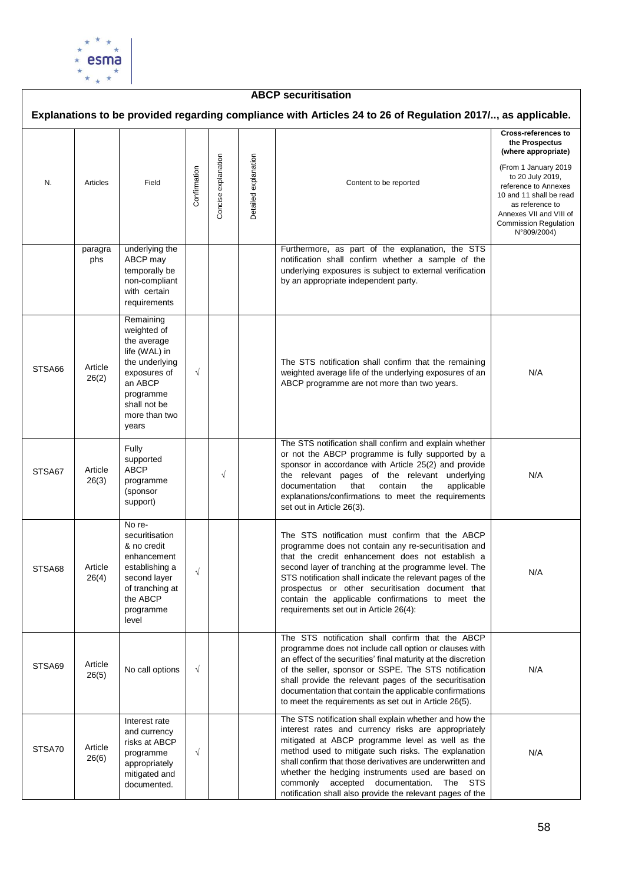

## **ABCP securitisation**

|        |                  |                                                                                                                                                              |              |                     |                      |                                                                                                                                                                                                                                                                                                                                                                                                                                                        | <b>Cross-references to</b>                                                                                                                              |
|--------|------------------|--------------------------------------------------------------------------------------------------------------------------------------------------------------|--------------|---------------------|----------------------|--------------------------------------------------------------------------------------------------------------------------------------------------------------------------------------------------------------------------------------------------------------------------------------------------------------------------------------------------------------------------------------------------------------------------------------------------------|---------------------------------------------------------------------------------------------------------------------------------------------------------|
| N.     | Articles         | Field                                                                                                                                                        | Confirmation | Concise explanation | Detailed explanation | Content to be reported                                                                                                                                                                                                                                                                                                                                                                                                                                 | the Prospectus<br>(where appropriate)<br>(From 1 January 2019<br>to 20 July 2019,<br>reference to Annexes<br>10 and 11 shall be read<br>as reference to |
|        |                  |                                                                                                                                                              |              |                     |                      |                                                                                                                                                                                                                                                                                                                                                                                                                                                        | Annexes VII and VIII of<br><b>Commission Regulation</b><br>N°809/2004)                                                                                  |
|        | paragra<br>phs   | underlying the<br>ABCP may<br>temporally be<br>non-compliant<br>with certain<br>requirements                                                                 |              |                     |                      | Furthermore, as part of the explanation, the STS<br>notification shall confirm whether a sample of the<br>underlying exposures is subject to external verification<br>by an appropriate independent party.                                                                                                                                                                                                                                             |                                                                                                                                                         |
| STSA66 | Article<br>26(2) | Remaining<br>weighted of<br>the average<br>life (WAL) in<br>the underlying<br>exposures of<br>an ABCP<br>programme<br>shall not be<br>more than two<br>years | $\sqrt{ }$   |                     |                      | The STS notification shall confirm that the remaining<br>weighted average life of the underlying exposures of an<br>ABCP programme are not more than two years.                                                                                                                                                                                                                                                                                        | N/A                                                                                                                                                     |
| STSA67 | Article<br>26(3) | Fully<br>supported<br>ABCP<br>programme<br>(sponsor<br>support)                                                                                              |              | $\sqrt{ }$          |                      | The STS notification shall confirm and explain whether<br>or not the ABCP programme is fully supported by a<br>sponsor in accordance with Article 25(2) and provide<br>the relevant pages of the relevant underlying<br>documentation<br>that<br>contain<br>the<br>applicable<br>explanations/confirmations to meet the requirements<br>set out in Article 26(3).                                                                                      | N/A                                                                                                                                                     |
| STSA68 | Article<br>26(4) | No re-<br>securitisation<br>& no credit<br>enhancement<br>establishing a<br>second layer<br>of tranching at<br>the ABCP<br>programme<br>level                | $\sqrt{}$    |                     |                      | The STS notification must confirm that the ABCP<br>programme does not contain any re-securitisation and<br>that the credit enhancement does not establish a<br>second layer of tranching at the programme level. The<br>STS notification shall indicate the relevant pages of the<br>prospectus or other securitisation document that<br>contain the applicable confirmations to meet the<br>requirements set out in Article 26(4):                    | N/A                                                                                                                                                     |
| STSA69 | Article<br>26(5) | No call options                                                                                                                                              | $\sqrt{ }$   |                     |                      | The STS notification shall confirm that the ABCP<br>programme does not include call option or clauses with<br>an effect of the securities' final maturity at the discretion<br>of the seller, sponsor or SSPE. The STS notification<br>shall provide the relevant pages of the securitisation<br>documentation that contain the applicable confirmations<br>to meet the requirements as set out in Article 26(5).                                      | N/A                                                                                                                                                     |
| STSA70 | Article<br>26(6) | Interest rate<br>and currency<br>risks at ABCP<br>programme<br>appropriately<br>mitigated and<br>documented.                                                 | $\sqrt{ }$   |                     |                      | The STS notification shall explain whether and how the<br>interest rates and currency risks are appropriately<br>mitigated at ABCP programme level as well as the<br>method used to mitigate such risks. The explanation<br>shall confirm that those derivatives are underwritten and<br>whether the hedging instruments used are based on<br>commonly accepted documentation.<br>The STS<br>notification shall also provide the relevant pages of the | N/A                                                                                                                                                     |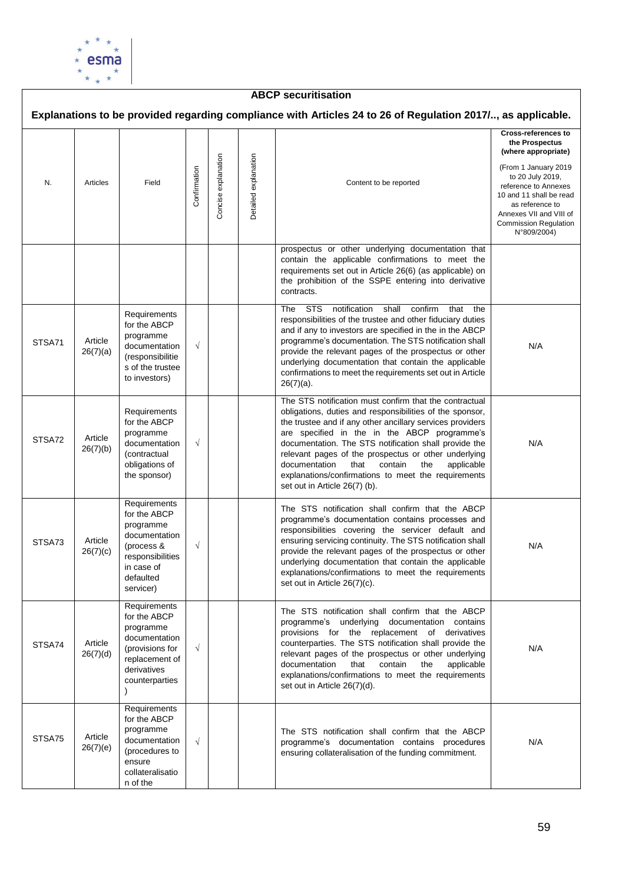

### **ABCP securitisation Explanations to be provided regarding compliance with Articles 24 to 26 of Regulation 2017/.., as applicable. Cross-references to the Prospectus (where appropriate)** Concise explanation Concise explanation Oetailed explanation Detailed explanation (From 1 January 2019 **Confirmation** to 20 July 2019, N. Articles Field Content to be reported reference to Annexes 10 and 11 shall be read as reference to Annexes VII and VIII of Commission Regulation N°809/2004) prospectus or other underlying documentation that contain the applicable confirmations to meet the requirements set out in Article 26(6) (as applicable) on the prohibition of the SSPE entering into derivative contracts. The STS notification shall confirm that the **Requirements** responsibilities of the trustee and other fiduciary duties for the ABCP and if any to investors are specified in the in the ABCP programme STSA71 Article programme's documentation. The STS notification shall √ documentation N/A 26(7)(a) provide the relevant pages of the prospectus or other (responsibilitie underlying documentation that contain the applicable s of the trustee confirmations to meet the requirements set out in Article to investors) 26(7)(a). The STS notification must confirm that the contractual **Requirements** obligations, duties and responsibilities of the sponsor, for the ABCP the trustee and if any other ancillary services providers are specified in the in the ABCP programme's programme STSA72 Article documentation. The STS notification shall provide the documentation √ N/A 26(7)(b) (contractual relevant pages of the prospectus or other underlying obligations of documentation that contain the applicable explanations/confirmations to meet the requirements the sponsor) set out in Article 26(7) (b). **Requirements** The STS notification shall confirm that the ABCP for the ABCP programme's documentation contains processes and programme responsibilities covering the servicer default and documentation ensuring servicing continuity. The STS notification shall STSA73 Article (process & √ N/A 26(7)(c) provide the relevant pages of the prospectus or other responsibilities underlying documentation that contain the applicable in case of explanations/confirmations to meet the requirements defaulted set out in Article 26(7)(c). servicer) **Requirements** The STS notification shall confirm that the ABCP for the ABCP programme's underlying documentation contains programme provisions for the replacement of derivatives documentation STSA74 Article counterparties. The STS notification shall provide the (provisions for √ N/A 26(7)(d) relevant pages of the prospectus or other underlying<br>documentation that contain the applicable replacement of documentation that contain the derivatives explanations/confirmations to meet the requirements counterparties set out in Article 26(7)(d). ) Requirements for the ABCP programme The STS notification shall confirm that the ABCP STSA75 Article documentation √ programme's documentation contains procedures N/A26(7)(e) (procedures to ensuring collateralisation of the funding commitment. ensure collateralisatio n of the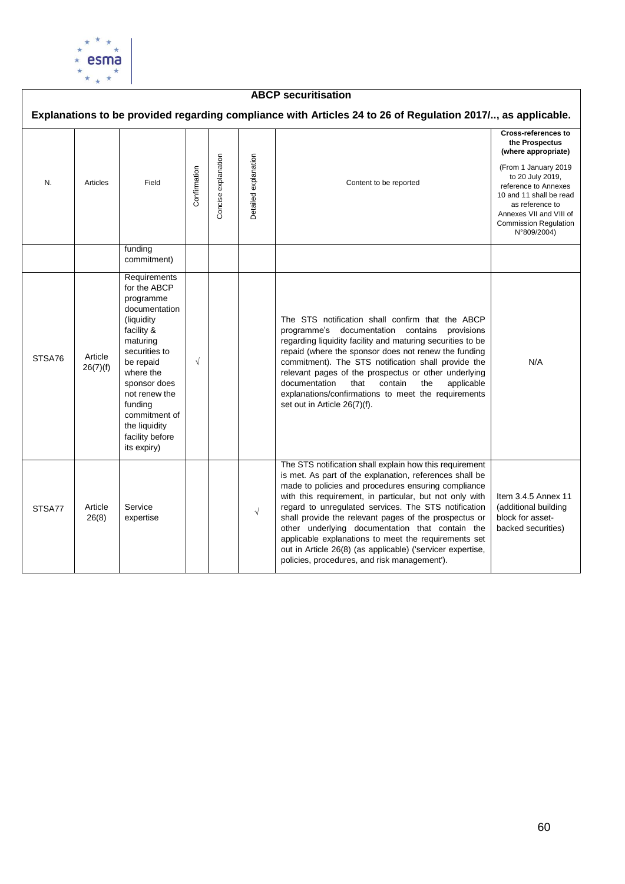

### **ABCP securitisation Explanations to be provided regarding compliance with Articles 24 to 26 of Regulation 2017/.., as applicable. Cross-references to the Prospectus (where appropriate)** Concise explanation Detailed explanation Concise explanation Detailed explanation (From 1 January 2019 **Confirmation** to 20 July 2019, N. Articles Field Content to be reported reference to Annexes 10 and 11 shall be read as reference to Annexes VII and VIII of Commission Regulation N°809/2004) funding commitment) **Requirements** for the ABCP programme documentation (liquidity The STS notification shall confirm that the ABCP facility & programme's documentation contains provisions maturing regarding liquidity facility and maturing securities to be securities to repaid (where the sponsor does not renew the funding STSA76 Article √ commitment). The STS notification shall provide the be repaid N/A 26(7)(f) where the relevant pages of the prospectus or other underlying sponsor does documentation that contain the applicable not renew the explanations/confirmations to meet the requirements funding set out in Article 26(7)(f). commitment of the liquidity facility before its expiry) The STS notification shall explain how this requirement is met. As part of the explanation, references shall be made to policies and procedures ensuring compliance with this requirement, in particular, but not only with Item 3.4.5 Annex 11 STSA77 Article Service regard to unregulated services. The STS notification (additional building Service<br>expertise  $\sqrt{2}$ 26(8) shall provide the relevant pages of the prospectus or block for assetother underlying documentation that contain the backed securities)applicable explanations to meet the requirements set out in Article 26(8) (as applicable) ('servicer expertise, policies, procedures, and risk management').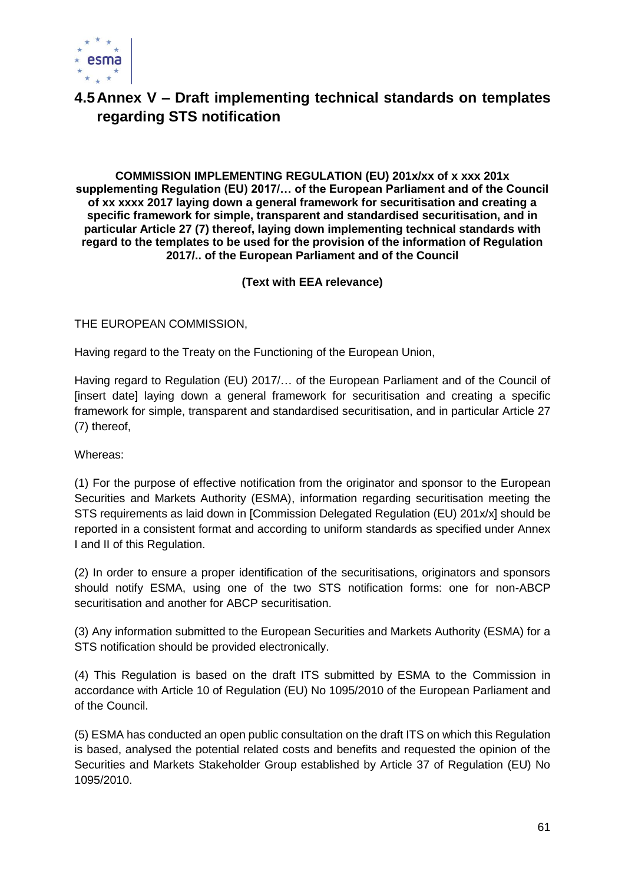

# **4.5Annex V – Draft implementing technical standards on templates regarding STS notification**

**COMMISSION IMPLEMENTING REGULATION (EU) 201x/xx of x xxx 201x supplementing Regulation (EU) 2017/… of the European Parliament and of the Council of xx xxxx 2017 laying down a general framework for securitisation and creating a specific framework for simple, transparent and standardised securitisation, and in particular Article 27 (7) thereof, laying down implementing technical standards with regard to the templates to be used for the provision of the information of Regulation 2017/.. of the European Parliament and of the Council**

**(Text with EEA relevance)**

THE EUROPEAN COMMISSION,

Having regard to the Treaty on the Functioning of the European Union,

Having regard to Regulation (EU) 2017/… of the European Parliament and of the Council of [insert date] laying down a general framework for securitisation and creating a specific framework for simple, transparent and standardised securitisation, and in particular Article 27 (7) thereof,

Whereas:

(1) For the purpose of effective notification from the originator and sponsor to the European Securities and Markets Authority (ESMA), information regarding securitisation meeting the STS requirements as laid down in [Commission Delegated Regulation (EU) 201x/x] should be reported in a consistent format and according to uniform standards as specified under Annex I and II of this Regulation.

(2) In order to ensure a proper identification of the securitisations, originators and sponsors should notify ESMA, using one of the two STS notification forms: one for non-ABCP securitisation and another for ABCP securitisation.

(3) Any information submitted to the European Securities and Markets Authority (ESMA) for a STS notification should be provided electronically.

(4) This Regulation is based on the draft ITS submitted by ESMA to the Commission in accordance with Article 10 of Regulation (EU) No 1095/2010 of the European Parliament and of the Council.

(5) ESMA has conducted an open public consultation on the draft ITS on which this Regulation is based, analysed the potential related costs and benefits and requested the opinion of the Securities and Markets Stakeholder Group established by Article 37 of Regulation (EU) No 1095/2010.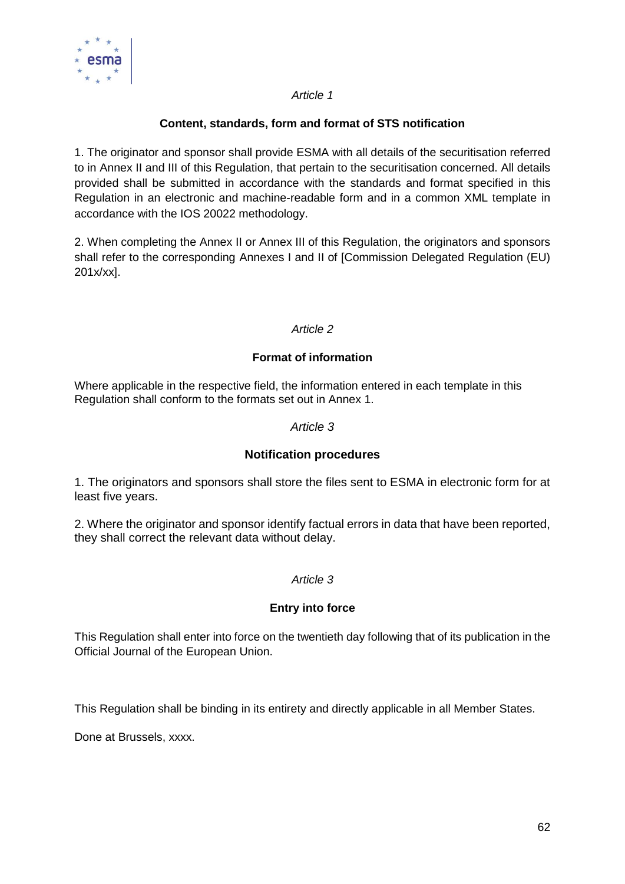

## *Article 1*

## **Content, standards, form and format of STS notification**

1. The originator and sponsor shall provide ESMA with all details of the securitisation referred to in Annex II and III of this Regulation, that pertain to the securitisation concerned. All details provided shall be submitted in accordance with the standards and format specified in this Regulation in an electronic and machine-readable form and in a common XML template in accordance with the IOS 20022 methodology.

2. When completing the Annex II or Annex III of this Regulation, the originators and sponsors shall refer to the corresponding Annexes I and II of [Commission Delegated Regulation (EU) 201x/xx].

## *Article 2*

## **Format of information**

Where applicable in the respective field, the information entered in each template in this Regulation shall conform to the formats set out in Annex 1.

## *Article 3*

## **Notification procedures**

1. The originators and sponsors shall store the files sent to ESMA in electronic form for at least five years.

2. Where the originator and sponsor identify factual errors in data that have been reported, they shall correct the relevant data without delay.

## *Article 3*

## **Entry into force**

This Regulation shall enter into force on the twentieth day following that of its publication in the Official Journal of the European Union.

This Regulation shall be binding in its entirety and directly applicable in all Member States.

Done at Brussels, xxxx.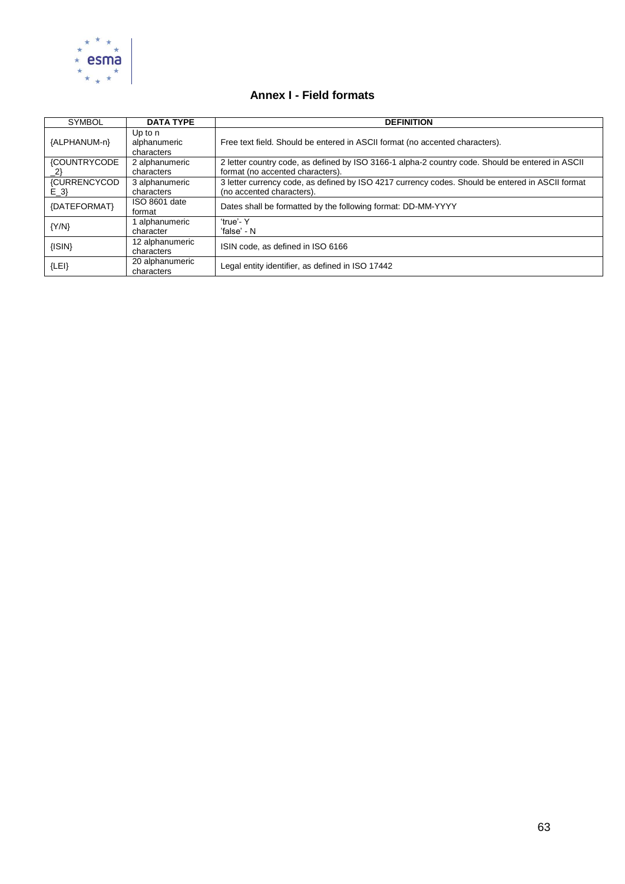

## **Annex I - Field formats**

| <b>SYMBOL</b>                              | <b>DATA TYPE</b>                        | <b>DEFINITION</b>                                                                                                                    |
|--------------------------------------------|-----------------------------------------|--------------------------------------------------------------------------------------------------------------------------------------|
| {ALPHANUM-n}                               | Up to $n$<br>alphanumeric<br>characters | Free text field. Should be entered in ASCII format (no accented characters).                                                         |
| <b>{COUNTRYCODE</b><br>$\langle 2 \rangle$ | 2 alphanumeric<br>characters            | 2 letter country code, as defined by ISO 3166-1 alpha-2 country code. Should be entered in ASCII<br>format (no accented characters). |
| <b>{CURRENCYCOD</b><br>$E_3$               | 3 alphanumeric<br>characters            | 3 letter currency code, as defined by ISO 4217 currency codes. Should be entered in ASCII format<br>(no accented characters).        |
| {DATEFORMAT}                               | ISO 8601 date<br>format                 | Dates shall be formatted by the following format: DD-MM-YYYY                                                                         |
| ${Y/N}$                                    | alphanumeric<br>character               | 'true'-Y<br>'false' - N                                                                                                              |
| $\{ISIN\}$                                 | 12 alphanumeric<br>characters           | ISIN code, as defined in ISO 6166                                                                                                    |
| ${LEI}$                                    | 20 alphanumeric<br>characters           | Legal entity identifier, as defined in ISO 17442                                                                                     |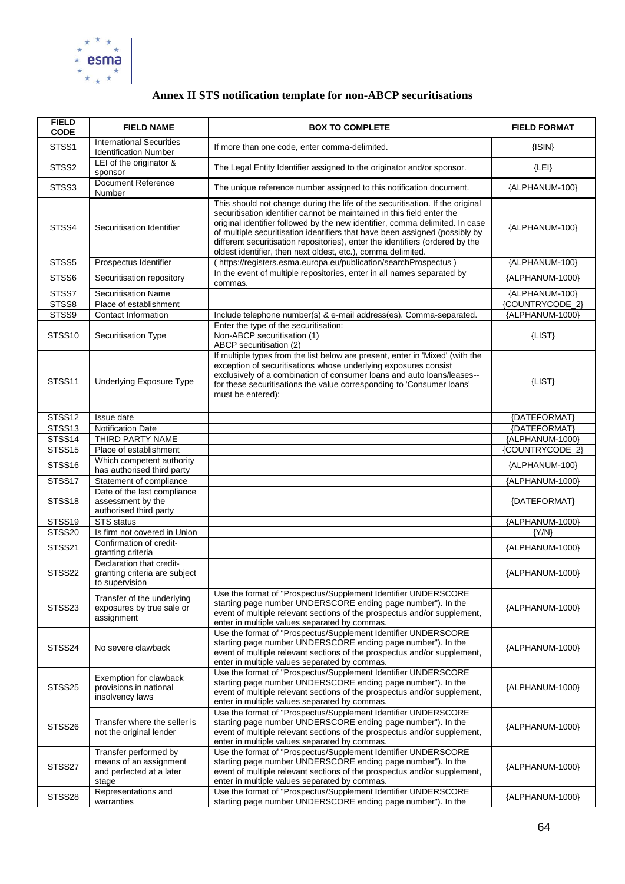

# **Annex II STS notification template for non-ABCP securitisations**

| <b>FIELD</b><br><b>CODE</b> | <b>FIELD NAME</b>                                                                    | <b>BOX TO COMPLETE</b>                                                                                                                                                                                                                                                                                                                                                                                                                                                  | <b>FIELD FORMAT</b> |
|-----------------------------|--------------------------------------------------------------------------------------|-------------------------------------------------------------------------------------------------------------------------------------------------------------------------------------------------------------------------------------------------------------------------------------------------------------------------------------------------------------------------------------------------------------------------------------------------------------------------|---------------------|
| STSS1                       | <b>International Securities</b><br><b>Identification Number</b>                      | If more than one code, enter comma-delimited.                                                                                                                                                                                                                                                                                                                                                                                                                           | $\{ISIN\}$          |
| STSS2                       | LEI of the originator &<br>sponsor                                                   | The Legal Entity Identifier assigned to the originator and/or sponsor.                                                                                                                                                                                                                                                                                                                                                                                                  | ${LEI}$             |
| STSS3                       | <b>Document Reference</b><br>Number                                                  | The unique reference number assigned to this notification document.                                                                                                                                                                                                                                                                                                                                                                                                     | {ALPHANUM-100}      |
| STSS4                       | Securitisation Identifier                                                            | This should not change during the life of the securitisation. If the original<br>securitisation identifier cannot be maintained in this field enter the<br>original identifier followed by the new identifier, comma delimited. In case<br>of multiple securitisation identifiers that have been assigned (possibly by<br>different securitisation repositories), enter the identifiers (ordered by the<br>oldest identifier, then next oldest, etc.), comma delimited. | {ALPHANUM-100}      |
| STSS5                       | Prospectus Identifier                                                                | (https://registers.esma.europa.eu/publication/searchProspectus)                                                                                                                                                                                                                                                                                                                                                                                                         | {ALPHANUM-100}      |
| STSS6                       | Securitisation repository                                                            | In the event of multiple repositories, enter in all names separated by<br>commas.                                                                                                                                                                                                                                                                                                                                                                                       | {ALPHANUM-1000}     |
| STSS7                       | <b>Securitisation Name</b>                                                           |                                                                                                                                                                                                                                                                                                                                                                                                                                                                         | {ALPHANUM-100}      |
| STSS8                       | Place of establishment                                                               |                                                                                                                                                                                                                                                                                                                                                                                                                                                                         | {COUNTRYCODE_2}     |
| STSS9                       | Contact Information                                                                  | Include telephone number(s) & e-mail address(es). Comma-separated.                                                                                                                                                                                                                                                                                                                                                                                                      | {ALPHANUM-1000}     |
| STSS <sub>10</sub>          | Securitisation Type                                                                  | Enter the type of the securitisation:<br>Non-ABCP securitisation (1)<br>ABCP securitisation (2)                                                                                                                                                                                                                                                                                                                                                                         | ${LIST}$            |
| STSS <sub>11</sub>          | Underlying Exposure Type                                                             | If multiple types from the list below are present, enter in 'Mixed' (with the<br>exception of securitisations whose underlying exposures consist<br>exclusively of a combination of consumer loans and auto loans/leases--<br>for these securitisations the value corresponding to 'Consumer loans'<br>must be entered):                                                                                                                                                | $\{LIST\}$          |
| STSS12                      | Issue date                                                                           |                                                                                                                                                                                                                                                                                                                                                                                                                                                                         | {DATEFORMAT}        |
| STSS13                      | <b>Notification Date</b>                                                             |                                                                                                                                                                                                                                                                                                                                                                                                                                                                         | {DATEFORMAT}        |
| STSS14                      | THIRD PARTY NAME                                                                     |                                                                                                                                                                                                                                                                                                                                                                                                                                                                         | {ALPHANUM-1000}     |
| STSS15                      | Place of establishment                                                               |                                                                                                                                                                                                                                                                                                                                                                                                                                                                         | {COUNTRYCODE_2}     |
| STSS16                      | Which competent authority<br>has authorised third party                              |                                                                                                                                                                                                                                                                                                                                                                                                                                                                         | {ALPHANUM-100}      |
| STSS17                      | Statement of compliance                                                              |                                                                                                                                                                                                                                                                                                                                                                                                                                                                         | {ALPHANUM-1000}     |
| STSS18                      | Date of the last compliance<br>assessment by the<br>authorised third party           |                                                                                                                                                                                                                                                                                                                                                                                                                                                                         | {DATEFORMAT}        |
| STSS19                      | <b>STS</b> status                                                                    |                                                                                                                                                                                                                                                                                                                                                                                                                                                                         | {ALPHANUM-1000}     |
| STSS20                      | Is firm not covered in Union                                                         |                                                                                                                                                                                                                                                                                                                                                                                                                                                                         | ${Y/N}$             |
| STSS21                      | Confirmation of credit-<br>granting criteria                                         |                                                                                                                                                                                                                                                                                                                                                                                                                                                                         | {ALPHANUM-1000}     |
| STSS22                      | Declaration that credit-<br>granting criteria are subject<br>to supervision          |                                                                                                                                                                                                                                                                                                                                                                                                                                                                         | {ALPHANUM-1000}     |
| STSS23                      | Transfer of the underlying<br>exposures by true sale or<br>assignment                | Use the format of "Prospectus/Supplement Identifier UNDERSCORE<br>starting page number UNDERSCORE ending page number"). In the<br>event of multiple relevant sections of the prospectus and/or supplement,<br>enter in multiple values separated by commas.                                                                                                                                                                                                             | {ALPHANUM-1000}     |
| STSS24                      | No severe clawback                                                                   | Use the format of "Prospectus/Supplement Identifier UNDERSCORE<br>starting page number UNDERSCORE ending page number"). In the<br>event of multiple relevant sections of the prospectus and/or supplement,<br>enter in multiple values separated by commas.                                                                                                                                                                                                             | {ALPHANUM-1000}     |
| STSS25                      | Exemption for clawback<br>provisions in national<br>insolvency laws                  | Use the format of "Prospectus/Supplement Identifier UNDERSCORE<br>starting page number UNDERSCORE ending page number"). In the<br>event of multiple relevant sections of the prospectus and/or supplement,<br>enter in multiple values separated by commas.                                                                                                                                                                                                             | {ALPHANUM-1000}     |
| STSS26                      | Transfer where the seller is<br>not the original lender                              | Use the format of "Prospectus/Supplement Identifier UNDERSCORE<br>starting page number UNDERSCORE ending page number"). In the<br>event of multiple relevant sections of the prospectus and/or supplement,<br>enter in multiple values separated by commas.                                                                                                                                                                                                             | {ALPHANUM-1000}     |
| STSS27                      | Transfer performed by<br>means of an assignment<br>and perfected at a later<br>stage | Use the format of "Prospectus/Supplement Identifier UNDERSCORE<br>starting page number UNDERSCORE ending page number"). In the<br>event of multiple relevant sections of the prospectus and/or supplement,<br>enter in multiple values separated by commas.                                                                                                                                                                                                             | {ALPHANUM-1000}     |
| STSS28                      | Representations and<br>warranties                                                    | Use the format of "Prospectus/Supplement Identifier UNDERSCORE<br>starting page number UNDERSCORE ending page number"). In the                                                                                                                                                                                                                                                                                                                                          | {ALPHANUM-1000}     |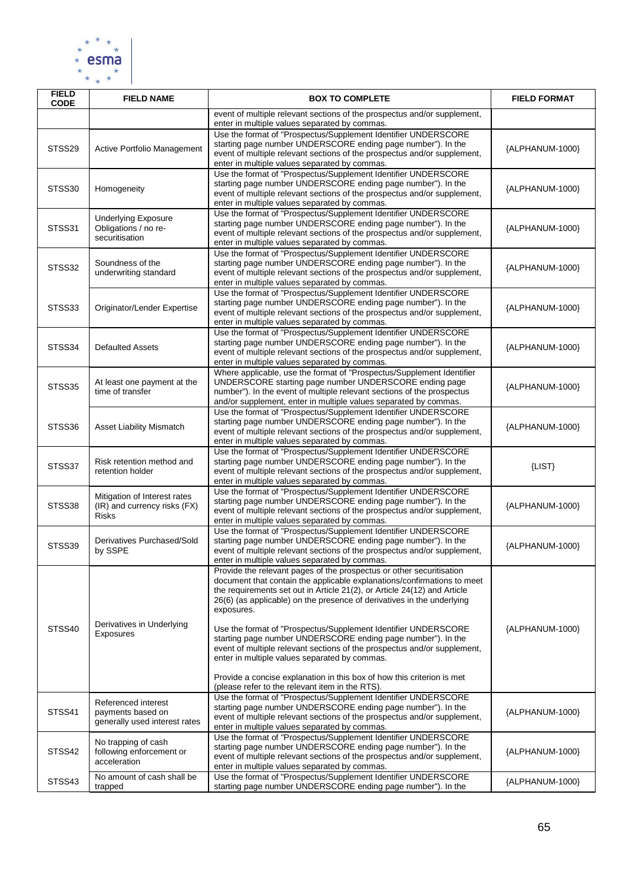

| <b>FIELD</b><br><b>CODE</b> | <b>FIELD NAME</b>                                                            | <b>BOX TO COMPLETE</b>                                                                                                                                                                                                                                                                                                                                                                                                                                                                                                                                                                                                                                                                                          | <b>FIELD FORMAT</b> |
|-----------------------------|------------------------------------------------------------------------------|-----------------------------------------------------------------------------------------------------------------------------------------------------------------------------------------------------------------------------------------------------------------------------------------------------------------------------------------------------------------------------------------------------------------------------------------------------------------------------------------------------------------------------------------------------------------------------------------------------------------------------------------------------------------------------------------------------------------|---------------------|
|                             |                                                                              | event of multiple relevant sections of the prospectus and/or supplement,<br>enter in multiple values separated by commas.                                                                                                                                                                                                                                                                                                                                                                                                                                                                                                                                                                                       |                     |
| STSS29                      | Active Portfolio Management                                                  | Use the format of "Prospectus/Supplement Identifier UNDERSCORE<br>starting page number UNDERSCORE ending page number"). In the<br>event of multiple relevant sections of the prospectus and/or supplement,<br>enter in multiple values separated by commas.                                                                                                                                                                                                                                                                                                                                                                                                                                                     | {ALPHANUM-1000}     |
| STSS30                      | Homogeneity                                                                  | Use the format of "Prospectus/Supplement Identifier UNDERSCORE<br>starting page number UNDERSCORE ending page number"). In the<br>event of multiple relevant sections of the prospectus and/or supplement,<br>enter in multiple values separated by commas.                                                                                                                                                                                                                                                                                                                                                                                                                                                     | {ALPHANUM-1000}     |
| STSS31                      | <b>Underlying Exposure</b><br>Obligations / no re-<br>securitisation         | Use the format of "Prospectus/Supplement Identifier UNDERSCORE<br>starting page number UNDERSCORE ending page number"). In the<br>event of multiple relevant sections of the prospectus and/or supplement,<br>enter in multiple values separated by commas.                                                                                                                                                                                                                                                                                                                                                                                                                                                     | {ALPHANUM-1000}     |
| STSS32                      | Soundness of the<br>underwriting standard                                    | Use the format of "Prospectus/Supplement Identifier UNDERSCORE<br>starting page number UNDERSCORE ending page number"). In the<br>event of multiple relevant sections of the prospectus and/or supplement,<br>enter in multiple values separated by commas.                                                                                                                                                                                                                                                                                                                                                                                                                                                     | {ALPHANUM-1000}     |
| STSS33                      | Originator/Lender Expertise                                                  | Use the format of "Prospectus/Supplement Identifier UNDERSCORE<br>starting page number UNDERSCORE ending page number"). In the<br>event of multiple relevant sections of the prospectus and/or supplement,<br>enter in multiple values separated by commas.                                                                                                                                                                                                                                                                                                                                                                                                                                                     | {ALPHANUM-1000}     |
| STSS34                      | <b>Defaulted Assets</b>                                                      | Use the format of "Prospectus/Supplement Identifier UNDERSCORE<br>starting page number UNDERSCORE ending page number"). In the<br>event of multiple relevant sections of the prospectus and/or supplement,<br>enter in multiple values separated by commas.                                                                                                                                                                                                                                                                                                                                                                                                                                                     | {ALPHANUM-1000}     |
| STSS35                      | At least one payment at the<br>time of transfer                              | Where applicable, use the format of "Prospectus/Supplement Identifier<br>UNDERSCORE starting page number UNDERSCORE ending page<br>number"). In the event of multiple relevant sections of the prospectus<br>and/or supplement, enter in multiple values separated by commas.                                                                                                                                                                                                                                                                                                                                                                                                                                   | {ALPHANUM-1000}     |
| STSS36                      | <b>Asset Liability Mismatch</b>                                              | Use the format of "Prospectus/Supplement Identifier UNDERSCORE<br>starting page number UNDERSCORE ending page number"). In the<br>event of multiple relevant sections of the prospectus and/or supplement,<br>enter in multiple values separated by commas.                                                                                                                                                                                                                                                                                                                                                                                                                                                     | {ALPHANUM-1000}     |
| STSS37                      | Risk retention method and<br>retention holder                                | Use the format of "Prospectus/Supplement Identifier UNDERSCORE<br>starting page number UNDERSCORE ending page number"). In the<br>event of multiple relevant sections of the prospectus and/or supplement,<br>enter in multiple values separated by commas.                                                                                                                                                                                                                                                                                                                                                                                                                                                     | $\{LIST\}$          |
| STSS38                      | Mitigation of Interest rates<br>(IR) and currency risks (FX)<br><b>Risks</b> | Use the format of "Prospectus/Supplement Identifier UNDERSCORE<br>starting page number UNDERSCORE ending page number"). In the<br>event of multiple relevant sections of the prospectus and/or supplement,<br>enter in multiple values separated by commas.                                                                                                                                                                                                                                                                                                                                                                                                                                                     | {ALPHANUM-1000}     |
| STSS39                      | Derivatives Purchased/Sold<br>by SSPE                                        | Use the format of "Prospectus/Supplement Identifier UNDERSCORE<br>starting page number UNDERSCORE ending page number"). In the<br>event of multiple relevant sections of the prospectus and/or supplement,<br>enter in multiple values separated by commas.                                                                                                                                                                                                                                                                                                                                                                                                                                                     | {ALPHANUM-1000}     |
| STSS40                      | Derivatives in Underlying<br>Exposures                                       | Provide the relevant pages of the prospectus or other securitisation<br>document that contain the applicable explanations/confirmations to meet<br>the requirements set out in Article 21(2), or Article 24(12) and Article<br>26(6) (as applicable) on the presence of derivatives in the underlying<br>exposures.<br>Use the format of "Prospectus/Supplement Identifier UNDERSCORE<br>starting page number UNDERSCORE ending page number"). In the<br>event of multiple relevant sections of the prospectus and/or supplement,<br>enter in multiple values separated by commas.<br>Provide a concise explanation in this box of how this criterion is met<br>(please refer to the relevant item in the RTS). | {ALPHANUM-1000}     |
| STSS41                      | Referenced interest<br>payments based on<br>generally used interest rates    | Use the format of "Prospectus/Supplement Identifier UNDERSCORE<br>starting page number UNDERSCORE ending page number"). In the<br>event of multiple relevant sections of the prospectus and/or supplement,<br>enter in multiple values separated by commas.                                                                                                                                                                                                                                                                                                                                                                                                                                                     | {ALPHANUM-1000}     |
| STSS42                      | No trapping of cash<br>following enforcement or<br>acceleration              | Use the format of "Prospectus/Supplement Identifier UNDERSCORE<br>starting page number UNDERSCORE ending page number"). In the<br>event of multiple relevant sections of the prospectus and/or supplement,<br>enter in multiple values separated by commas.                                                                                                                                                                                                                                                                                                                                                                                                                                                     | {ALPHANUM-1000}     |
| STSS43                      | No amount of cash shall be<br>trapped                                        | Use the format of "Prospectus/Supplement Identifier UNDERSCORE<br>starting page number UNDERSCORE ending page number"). In the                                                                                                                                                                                                                                                                                                                                                                                                                                                                                                                                                                                  | {ALPHANUM-1000}     |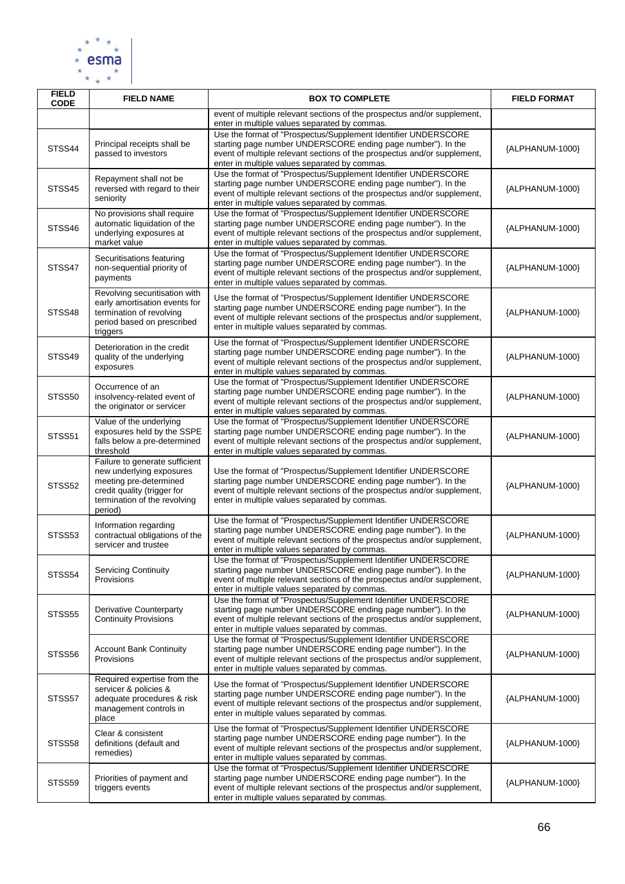

| <b>FIELD</b><br><b>CODE</b> | <b>FIELD NAME</b>                                                                                                                                              | <b>BOX TO COMPLETE</b>                                                                                                                                                                                                                                      | <b>FIELD FORMAT</b> |
|-----------------------------|----------------------------------------------------------------------------------------------------------------------------------------------------------------|-------------------------------------------------------------------------------------------------------------------------------------------------------------------------------------------------------------------------------------------------------------|---------------------|
|                             |                                                                                                                                                                | event of multiple relevant sections of the prospectus and/or supplement,<br>enter in multiple values separated by commas.                                                                                                                                   |                     |
| STSS44                      | Principal receipts shall be<br>passed to investors                                                                                                             | Use the format of "Prospectus/Supplement Identifier UNDERSCORE<br>starting page number UNDERSCORE ending page number"). In the<br>event of multiple relevant sections of the prospectus and/or supplement,<br>enter in multiple values separated by commas. | {ALPHANUM-1000}     |
| STSS45                      | Repayment shall not be<br>reversed with regard to their<br>seniority                                                                                           | Use the format of "Prospectus/Supplement Identifier UNDERSCORE<br>starting page number UNDERSCORE ending page number"). In the<br>event of multiple relevant sections of the prospectus and/or supplement,<br>enter in multiple values separated by commas. | {ALPHANUM-1000}     |
| STSS46                      | No provisions shall require<br>automatic liquidation of the<br>underlying exposures at<br>market value                                                         | Use the format of "Prospectus/Supplement Identifier UNDERSCORE<br>starting page number UNDERSCORE ending page number"). In the<br>event of multiple relevant sections of the prospectus and/or supplement,<br>enter in multiple values separated by commas. | {ALPHANUM-1000}     |
| STSS47                      | Securitisations featuring<br>non-sequential priority of<br>payments                                                                                            | Use the format of "Prospectus/Supplement Identifier UNDERSCORE<br>starting page number UNDERSCORE ending page number"). In the<br>event of multiple relevant sections of the prospectus and/or supplement,<br>enter in multiple values separated by commas. | {ALPHANUM-1000}     |
| STSS48                      | Revolving securitisation with<br>early amortisation events for<br>termination of revolving<br>period based on prescribed<br>triggers                           | Use the format of "Prospectus/Supplement Identifier UNDERSCORE<br>starting page number UNDERSCORE ending page number"). In the<br>event of multiple relevant sections of the prospectus and/or supplement,<br>enter in multiple values separated by commas. | {ALPHANUM-1000}     |
| STSS49                      | Deterioration in the credit<br>quality of the underlying<br>exposures                                                                                          | Use the format of "Prospectus/Supplement Identifier UNDERSCORE<br>starting page number UNDERSCORE ending page number"). In the<br>event of multiple relevant sections of the prospectus and/or supplement,<br>enter in multiple values separated by commas. | {ALPHANUM-1000}     |
| STSS50                      | Occurrence of an<br>insolvency-related event of<br>the originator or servicer                                                                                  | Use the format of "Prospectus/Supplement Identifier UNDERSCORE<br>starting page number UNDERSCORE ending page number"). In the<br>event of multiple relevant sections of the prospectus and/or supplement,<br>enter in multiple values separated by commas. | {ALPHANUM-1000}     |
| STSS51                      | Value of the underlying<br>exposures held by the SSPE<br>falls below a pre-determined<br>threshold                                                             | Use the format of "Prospectus/Supplement Identifier UNDERSCORE<br>starting page number UNDERSCORE ending page number"). In the<br>event of multiple relevant sections of the prospectus and/or supplement,<br>enter in multiple values separated by commas. | {ALPHANUM-1000}     |
| STSS52                      | Failure to generate sufficient<br>new underlying exposures<br>meeting pre-determined<br>credit quality (trigger for<br>termination of the revolving<br>period) | Use the format of "Prospectus/Supplement Identifier UNDERSCORE<br>starting page number UNDERSCORE ending page number"). In the<br>event of multiple relevant sections of the prospectus and/or supplement,<br>enter in multiple values separated by commas. | {ALPHANUM-1000}     |
| STSS53                      | Information regarding<br>contractual obligations of the<br>servicer and trustee                                                                                | Use the format of "Prospectus/Supplement Identifier UNDERSCORE<br>starting page number UNDERSCORE ending page number"). In the<br>event of multiple relevant sections of the prospectus and/or supplement,<br>enter in multiple values separated by commas. | {ALPHANUM-1000}     |
| STSS54                      | <b>Servicing Continuity</b><br>Provisions                                                                                                                      | Use the format of "Prospectus/Supplement Identifier UNDERSCORE<br>starting page number UNDERSCORE ending page number"). In the<br>event of multiple relevant sections of the prospectus and/or supplement,<br>enter in multiple values separated by commas. | {ALPHANUM-1000}     |
| STSS55                      | Derivative Counterparty<br><b>Continuity Provisions</b>                                                                                                        | Use the format of "Prospectus/Supplement Identifier UNDERSCORE<br>starting page number UNDERSCORE ending page number"). In the<br>event of multiple relevant sections of the prospectus and/or supplement,<br>enter in multiple values separated by commas. | {ALPHANUM-1000}     |
| STSS56                      | <b>Account Bank Continuity</b><br>Provisions                                                                                                                   | Use the format of "Prospectus/Supplement Identifier UNDERSCORE<br>starting page number UNDERSCORE ending page number"). In the<br>event of multiple relevant sections of the prospectus and/or supplement,<br>enter in multiple values separated by commas. | {ALPHANUM-1000}     |
| STSS57                      | Required expertise from the<br>servicer & policies &<br>adequate procedures & risk<br>management controls in<br>place                                          | Use the format of "Prospectus/Supplement Identifier UNDERSCORE<br>starting page number UNDERSCORE ending page number"). In the<br>event of multiple relevant sections of the prospectus and/or supplement,<br>enter in multiple values separated by commas. | {ALPHANUM-1000}     |
| STSS58                      | Clear & consistent<br>definitions (default and<br>remedies)                                                                                                    | Use the format of "Prospectus/Supplement Identifier UNDERSCORE<br>starting page number UNDERSCORE ending page number"). In the<br>event of multiple relevant sections of the prospectus and/or supplement,<br>enter in multiple values separated by commas. | {ALPHANUM-1000}     |
| STSS59                      | Priorities of payment and<br>triggers events                                                                                                                   | Use the format of "Prospectus/Supplement Identifier UNDERSCORE<br>starting page number UNDERSCORE ending page number"). In the<br>event of multiple relevant sections of the prospectus and/or supplement,<br>enter in multiple values separated by commas. | {ALPHANUM-1000}     |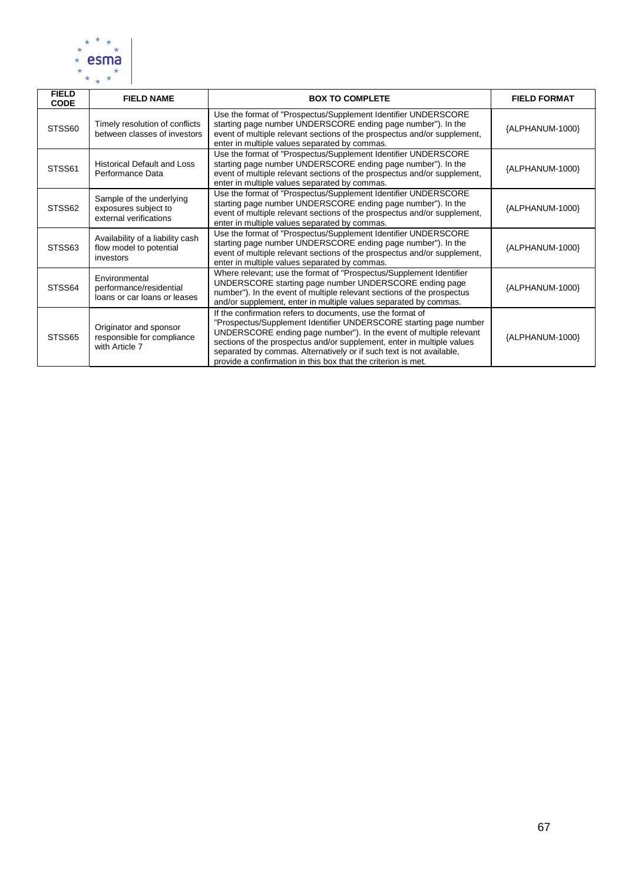

| <b>FIELD</b><br><b>CODE</b> | <b>FIELD NAME</b>                                                          | <b>BOX TO COMPLETE</b>                                                                                                                                                                                                                                                                                                                                                                                                   | <b>FIELD FORMAT</b> |
|-----------------------------|----------------------------------------------------------------------------|--------------------------------------------------------------------------------------------------------------------------------------------------------------------------------------------------------------------------------------------------------------------------------------------------------------------------------------------------------------------------------------------------------------------------|---------------------|
| STSS60                      | Timely resolution of conflicts<br>between classes of investors             | Use the format of "Prospectus/Supplement Identifier UNDERSCORE<br>starting page number UNDERSCORE ending page number"). In the<br>event of multiple relevant sections of the prospectus and/or supplement,<br>enter in multiple values separated by commas.                                                                                                                                                              | {ALPHANUM-1000}     |
| STSS61                      | <b>Historical Default and Loss</b><br>Performance Data                     | Use the format of "Prospectus/Supplement Identifier UNDERSCORE"<br>starting page number UNDERSCORE ending page number"). In the<br>event of multiple relevant sections of the prospectus and/or supplement,<br>enter in multiple values separated by commas.                                                                                                                                                             | {ALPHANUM-1000}     |
| STSS62                      | Sample of the underlying<br>exposures subject to<br>external verifications | Use the format of "Prospectus/Supplement Identifier UNDERSCORE<br>starting page number UNDERSCORE ending page number"). In the<br>event of multiple relevant sections of the prospectus and/or supplement,<br>enter in multiple values separated by commas.                                                                                                                                                              | {ALPHANUM-1000}     |
| STSS63                      | Availability of a liability cash<br>flow model to potential<br>investors   | Use the format of "Prospectus/Supplement Identifier UNDERSCORE<br>starting page number UNDERSCORE ending page number"). In the<br>event of multiple relevant sections of the prospectus and/or supplement,<br>enter in multiple values separated by commas.                                                                                                                                                              | {ALPHANUM-1000}     |
| STSS64                      | Environmental<br>performance/residential<br>loans or car loans or leases   | Where relevant; use the format of "Prospectus/Supplement Identifier<br>UNDERSCORE starting page number UNDERSCORE ending page<br>number"). In the event of multiple relevant sections of the prospectus<br>and/or supplement, enter in multiple values separated by commas.                                                                                                                                              | {ALPHANUM-1000}     |
| STSS65                      | Originator and sponsor<br>responsible for compliance<br>with Article 7     | If the confirmation refers to documents, use the format of<br>"Prospectus/Supplement Identifier UNDERSCORE starting page number<br>UNDERSCORE ending page number"). In the event of multiple relevant<br>sections of the prospectus and/or supplement, enter in multiple values<br>separated by commas. Alternatively or if such text is not available,<br>provide a confirmation in this box that the criterion is met. | {ALPHANUM-1000}     |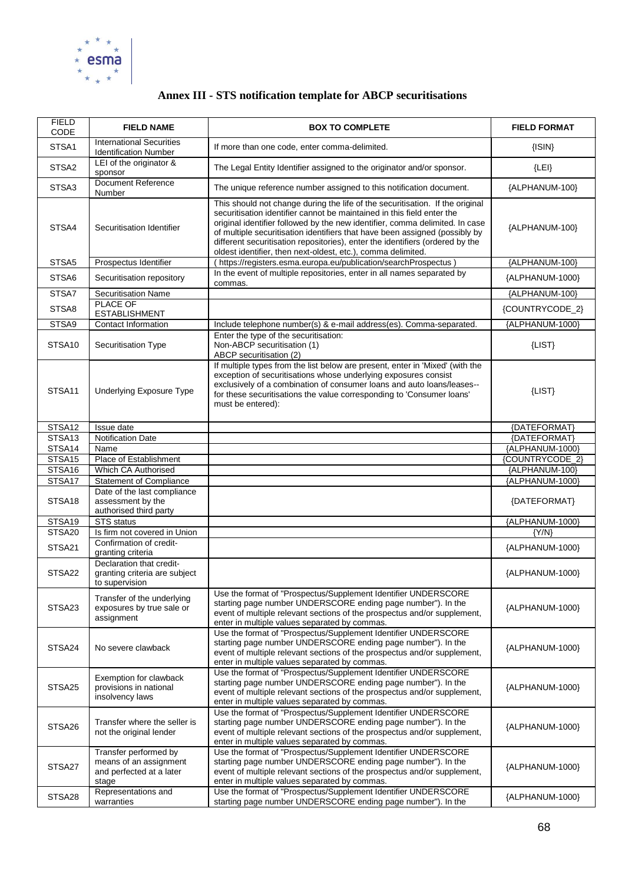

# **Annex III - STS notification template for ABCP securitisations**

| <b>FIELD</b><br>CODE | <b>FIELD NAME</b>                                                                    | <b>BOX TO COMPLETE</b>                                                                                                                                                                                                                                                                                                                                                                                                                                                  | <b>FIELD FORMAT</b> |
|----------------------|--------------------------------------------------------------------------------------|-------------------------------------------------------------------------------------------------------------------------------------------------------------------------------------------------------------------------------------------------------------------------------------------------------------------------------------------------------------------------------------------------------------------------------------------------------------------------|---------------------|
| STSA1                | <b>International Securities</b><br><b>Identification Number</b>                      | If more than one code, enter comma-delimited.                                                                                                                                                                                                                                                                                                                                                                                                                           | $\{ISIN\}$          |
| STSA2                | LEI of the originator &<br>sponsor                                                   | The Legal Entity Identifier assigned to the originator and/or sponsor.                                                                                                                                                                                                                                                                                                                                                                                                  | ${LEI}$             |
| STSA3                | <b>Document Reference</b><br>Number                                                  | The unique reference number assigned to this notification document.                                                                                                                                                                                                                                                                                                                                                                                                     | {ALPHANUM-100}      |
| STSA4                | Securitisation Identifier                                                            | This should not change during the life of the securitisation. If the original<br>securitisation identifier cannot be maintained in this field enter the<br>original identifier followed by the new identifier, comma delimited. In case<br>of multiple securitisation identifiers that have been assigned (possibly by<br>different securitisation repositories), enter the identifiers (ordered by the<br>oldest identifier, then next-oldest, etc.), comma delimited. | {ALPHANUM-100}      |
| STSA5                | Prospectus Identifier                                                                | (https://registers.esma.europa.eu/publication/searchProspectus)                                                                                                                                                                                                                                                                                                                                                                                                         | {ALPHANUM-100}      |
| STSA6                | Securitisation repository                                                            | In the event of multiple repositories, enter in all names separated by<br>commas.                                                                                                                                                                                                                                                                                                                                                                                       | {ALPHANUM-1000}     |
| STSA7                | <b>Securitisation Name</b>                                                           |                                                                                                                                                                                                                                                                                                                                                                                                                                                                         | {ALPHANUM-100}      |
| STSA8                | PLACE OF<br><b>ESTABLISHMENT</b>                                                     |                                                                                                                                                                                                                                                                                                                                                                                                                                                                         | {COUNTRYCODE_2}     |
| STSA9                | Contact Information                                                                  | Include telephone number(s) & e-mail address(es). Comma-separated.                                                                                                                                                                                                                                                                                                                                                                                                      | {ALPHANUM-1000}     |
| STSA10               | Securitisation Type                                                                  | Enter the type of the securitisation:<br>Non-ABCP securitisation (1)<br>ABCP securitisation (2)                                                                                                                                                                                                                                                                                                                                                                         | ${LIST}$            |
| STSA11               | <b>Underlying Exposure Type</b>                                                      | If multiple types from the list below are present, enter in 'Mixed' (with the<br>exception of securitisations whose underlying exposures consist<br>exclusively of a combination of consumer loans and auto loans/leases--<br>for these securitisations the value corresponding to 'Consumer loans'<br>must be entered):                                                                                                                                                | ${LIST}$            |
| STSA <sub>12</sub>   | Issue date                                                                           |                                                                                                                                                                                                                                                                                                                                                                                                                                                                         | {DATEFORMAT}        |
| STSA <sub>13</sub>   | <b>Notification Date</b>                                                             |                                                                                                                                                                                                                                                                                                                                                                                                                                                                         | {DATEFORMAT}        |
| STSA14               | Name                                                                                 |                                                                                                                                                                                                                                                                                                                                                                                                                                                                         | {ALPHANUM-1000}     |
| STSA15               | Place of Establishment                                                               |                                                                                                                                                                                                                                                                                                                                                                                                                                                                         | {COUNTRYCODE_2}     |
| STSA16               | Which CA Authorised                                                                  |                                                                                                                                                                                                                                                                                                                                                                                                                                                                         | {ALPHANUM-100}      |
| STSA17               | <b>Statement of Compliance</b>                                                       |                                                                                                                                                                                                                                                                                                                                                                                                                                                                         | {ALPHANUM-1000}     |
| STSA <sub>18</sub>   | Date of the last compliance<br>assessment by the<br>authorised third party           |                                                                                                                                                                                                                                                                                                                                                                                                                                                                         | {DATEFORMAT}        |
| STSA19               | <b>STS</b> status                                                                    |                                                                                                                                                                                                                                                                                                                                                                                                                                                                         | {ALPHANUM-1000}     |
| STSA20               | Is firm not covered in Union                                                         |                                                                                                                                                                                                                                                                                                                                                                                                                                                                         | ${Y/N}$             |
| STSA21               | Confirmation of credit-<br>granting criteria                                         |                                                                                                                                                                                                                                                                                                                                                                                                                                                                         | {ALPHANUM-1000}     |
| STSA22               | Declaration that credit-<br>granting criteria are subject<br>to supervision          |                                                                                                                                                                                                                                                                                                                                                                                                                                                                         | {ALPHANUM-1000}     |
| STSA23               | Transfer of the underlying<br>exposures by true sale or<br>assignment                | Use the format of "Prospectus/Supplement Identifier UNDERSCORE<br>starting page number UNDERSCORE ending page number"). In the<br>event of multiple relevant sections of the prospectus and/or supplement,<br>enter in multiple values separated by commas.                                                                                                                                                                                                             | {ALPHANUM-1000}     |
| STSA24               | No severe clawback                                                                   | Use the format of "Prospectus/Supplement Identifier UNDERSCORE<br>starting page number UNDERSCORE ending page number"). In the<br>event of multiple relevant sections of the prospectus and/or supplement,<br>enter in multiple values separated by commas.                                                                                                                                                                                                             | {ALPHANUM-1000}     |
| STSA25               | Exemption for clawback<br>provisions in national<br>insolvency laws                  | Use the format of "Prospectus/Supplement Identifier UNDERSCORE<br>starting page number UNDERSCORE ending page number"). In the<br>event of multiple relevant sections of the prospectus and/or supplement,<br>enter in multiple values separated by commas.                                                                                                                                                                                                             | {ALPHANUM-1000}     |
| STSA26               | Transfer where the seller is<br>not the original lender                              | Use the format of "Prospectus/Supplement Identifier UNDERSCORE<br>starting page number UNDERSCORE ending page number"). In the<br>event of multiple relevant sections of the prospectus and/or supplement,<br>enter in multiple values separated by commas.                                                                                                                                                                                                             | {ALPHANUM-1000}     |
| STSA27               | Transfer performed by<br>means of an assignment<br>and perfected at a later<br>stage | Use the format of "Prospectus/Supplement Identifier UNDERSCORE<br>starting page number UNDERSCORE ending page number"). In the<br>event of multiple relevant sections of the prospectus and/or supplement,<br>enter in multiple values separated by commas.                                                                                                                                                                                                             | {ALPHANUM-1000}     |
| STSA28               | Representations and<br>warranties                                                    | Use the format of "Prospectus/Supplement Identifier UNDERSCORE<br>starting page number UNDERSCORE ending page number"). In the                                                                                                                                                                                                                                                                                                                                          | {ALPHANUM-1000}     |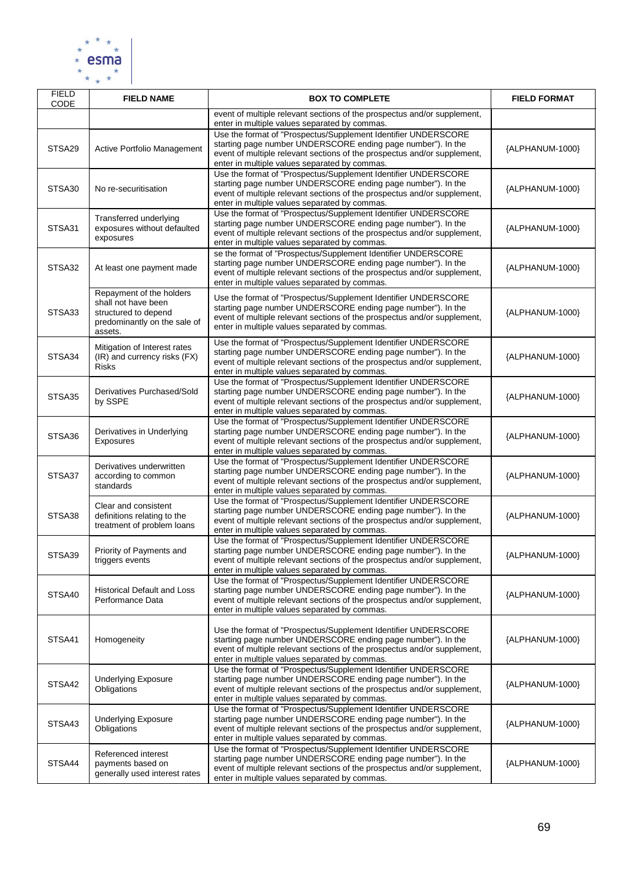

| <b>FIELD</b><br>CODE | <b>FIELD NAME</b>                                                                                                  | <b>BOX TO COMPLETE</b>                                                                                                                                                                                                                                      | <b>FIELD FORMAT</b> |
|----------------------|--------------------------------------------------------------------------------------------------------------------|-------------------------------------------------------------------------------------------------------------------------------------------------------------------------------------------------------------------------------------------------------------|---------------------|
|                      |                                                                                                                    | event of multiple relevant sections of the prospectus and/or supplement,<br>enter in multiple values separated by commas.                                                                                                                                   |                     |
| STSA29               | Active Portfolio Management                                                                                        | Use the format of "Prospectus/Supplement Identifier UNDERSCORE<br>starting page number UNDERSCORE ending page number"). In the<br>event of multiple relevant sections of the prospectus and/or supplement,<br>enter in multiple values separated by commas. | {ALPHANUM-1000}     |
| STSA30               | No re-securitisation                                                                                               | Use the format of "Prospectus/Supplement Identifier UNDERSCORE<br>starting page number UNDERSCORE ending page number"). In the<br>event of multiple relevant sections of the prospectus and/or supplement,<br>enter in multiple values separated by commas. | {ALPHANUM-1000}     |
| STSA31               | Transferred underlying<br>exposures without defaulted<br>exposures                                                 | Use the format of "Prospectus/Supplement Identifier UNDERSCORE<br>starting page number UNDERSCORE ending page number"). In the<br>event of multiple relevant sections of the prospectus and/or supplement,<br>enter in multiple values separated by commas. | {ALPHANUM-1000}     |
| STSA32               | At least one payment made                                                                                          | se the format of "Prospectus/Supplement Identifier UNDERSCORE<br>starting page number UNDERSCORE ending page number"). In the<br>event of multiple relevant sections of the prospectus and/or supplement,<br>enter in multiple values separated by commas.  | {ALPHANUM-1000}     |
| STSA33               | Repayment of the holders<br>shall not have been<br>structured to depend<br>predominantly on the sale of<br>assets. | Use the format of "Prospectus/Supplement Identifier UNDERSCORE<br>starting page number UNDERSCORE ending page number"). In the<br>event of multiple relevant sections of the prospectus and/or supplement,<br>enter in multiple values separated by commas. | {ALPHANUM-1000}     |
| STSA34               | Mitigation of Interest rates<br>(IR) and currency risks (FX)<br><b>Risks</b>                                       | Use the format of "Prospectus/Supplement Identifier UNDERSCORE<br>starting page number UNDERSCORE ending page number"). In the<br>event of multiple relevant sections of the prospectus and/or supplement,<br>enter in multiple values separated by commas. | {ALPHANUM-1000}     |
| STSA35               | Derivatives Purchased/Sold<br>by SSPE                                                                              | Use the format of "Prospectus/Supplement Identifier UNDERSCORE<br>starting page number UNDERSCORE ending page number"). In the<br>event of multiple relevant sections of the prospectus and/or supplement,<br>enter in multiple values separated by commas. | {ALPHANUM-1000}     |
| STSA36               | Derivatives in Underlying<br>Exposures                                                                             | Use the format of "Prospectus/Supplement Identifier UNDERSCORE<br>starting page number UNDERSCORE ending page number"). In the<br>event of multiple relevant sections of the prospectus and/or supplement,<br>enter in multiple values separated by commas. | {ALPHANUM-1000}     |
| STSA37               | Derivatives underwritten<br>according to common<br>standards                                                       | Use the format of "Prospectus/Supplement Identifier UNDERSCORE<br>starting page number UNDERSCORE ending page number"). In the<br>event of multiple relevant sections of the prospectus and/or supplement,<br>enter in multiple values separated by commas. | {ALPHANUM-1000}     |
| STSA38               | Clear and consistent<br>definitions relating to the<br>treatment of problem loans                                  | Use the format of "Prospectus/Supplement Identifier UNDERSCORE<br>starting page number UNDERSCORE ending page number"). In the<br>event of multiple relevant sections of the prospectus and/or supplement,<br>enter in multiple values separated by commas. | {ALPHANUM-1000}     |
| STSA39               | Priority of Payments and<br>triggers events                                                                        | Use the format of "Prospectus/Supplement Identifier UNDERSCORE<br>starting page number UNDERSCORE ending page number"). In the<br>event of multiple relevant sections of the prospectus and/or supplement,<br>enter in multiple values separated by commas. | {ALPHANUM-1000}     |
| STSA40               | <b>Historical Default and Loss</b><br>Performance Data                                                             | Use the format of "Prospectus/Supplement Identifier UNDERSCORE<br>starting page number UNDERSCORE ending page number"). In the<br>event of multiple relevant sections of the prospectus and/or supplement,<br>enter in multiple values separated by commas. | {ALPHANUM-1000}     |
| STSA41               | Homogeneity                                                                                                        | Use the format of "Prospectus/Supplement Identifier UNDERSCORE<br>starting page number UNDERSCORE ending page number"). In the<br>event of multiple relevant sections of the prospectus and/or supplement,<br>enter in multiple values separated by commas. | {ALPHANUM-1000}     |
| STSA42               | <b>Underlying Exposure</b><br>Obligations                                                                          | Use the format of "Prospectus/Supplement Identifier UNDERSCORE<br>starting page number UNDERSCORE ending page number"). In the<br>event of multiple relevant sections of the prospectus and/or supplement,<br>enter in multiple values separated by commas. | {ALPHANUM-1000}     |
| STSA43               | <b>Underlying Exposure</b><br>Obligations                                                                          | Use the format of "Prospectus/Supplement Identifier UNDERSCORE<br>starting page number UNDERSCORE ending page number"). In the<br>event of multiple relevant sections of the prospectus and/or supplement,<br>enter in multiple values separated by commas. | {ALPHANUM-1000}     |
| STSA44               | Referenced interest<br>payments based on<br>generally used interest rates                                          | Use the format of "Prospectus/Supplement Identifier UNDERSCORE<br>starting page number UNDERSCORE ending page number"). In the<br>event of multiple relevant sections of the prospectus and/or supplement,<br>enter in multiple values separated by commas. | {ALPHANUM-1000}     |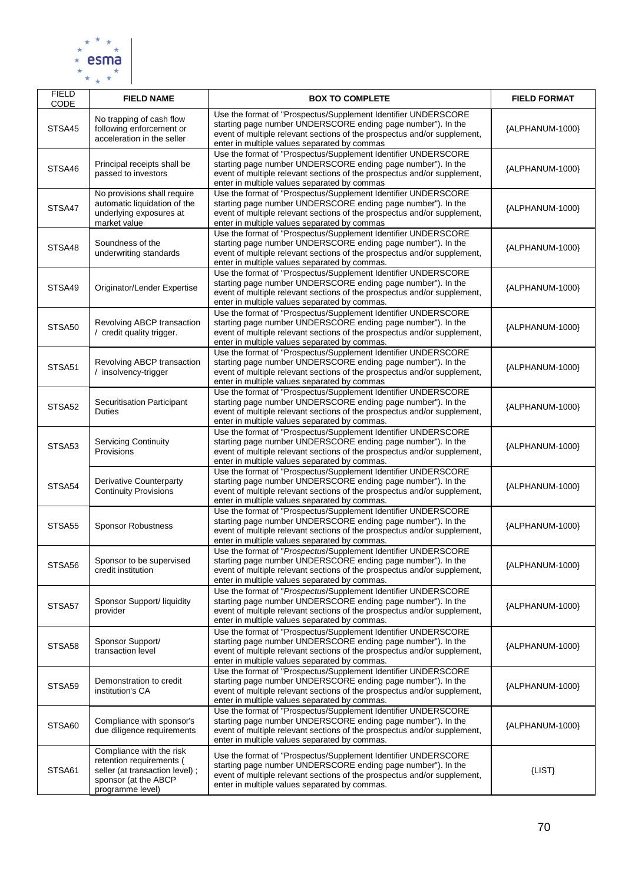

| <b>FIELD</b><br>CODE | <b>FIELD NAME</b>                                                                                                                  | <b>BOX TO COMPLETE</b>                                                                                                                                                                                                                                      | <b>FIELD FORMAT</b> |
|----------------------|------------------------------------------------------------------------------------------------------------------------------------|-------------------------------------------------------------------------------------------------------------------------------------------------------------------------------------------------------------------------------------------------------------|---------------------|
| STSA45               | No trapping of cash flow<br>following enforcement or<br>acceleration in the seller                                                 | Use the format of "Prospectus/Supplement Identifier UNDERSCORE<br>starting page number UNDERSCORE ending page number"). In the<br>event of multiple relevant sections of the prospectus and/or supplement,<br>enter in multiple values separated by commas  | {ALPHANUM-1000}     |
| STSA46               | Principal receipts shall be<br>passed to investors                                                                                 | Use the format of "Prospectus/Supplement Identifier UNDERSCORE<br>starting page number UNDERSCORE ending page number"). In the<br>event of multiple relevant sections of the prospectus and/or supplement,<br>enter in multiple values separated by commas  | {ALPHANUM-1000}     |
| STSA47               | No provisions shall require<br>automatic liquidation of the<br>underlying exposures at<br>market value                             | Use the format of "Prospectus/Supplement Identifier UNDERSCORE<br>starting page number UNDERSCORE ending page number"). In the<br>event of multiple relevant sections of the prospectus and/or supplement,<br>enter in multiple values separated by commas  | {ALPHANUM-1000}     |
| STSA48               | Soundness of the<br>underwriting standards                                                                                         | Use the format of "Prospectus/Supplement Identifier UNDERSCORE<br>starting page number UNDERSCORE ending page number"). In the<br>event of multiple relevant sections of the prospectus and/or supplement,<br>enter in multiple values separated by commas. | {ALPHANUM-1000}     |
| STSA49               | Originator/Lender Expertise                                                                                                        | Use the format of "Prospectus/Supplement Identifier UNDERSCORE<br>starting page number UNDERSCORE ending page number"). In the<br>event of multiple relevant sections of the prospectus and/or supplement,<br>enter in multiple values separated by commas. | {ALPHANUM-1000}     |
| STSA50               | Revolving ABCP transaction<br>/ credit quality trigger.                                                                            | Use the format of "Prospectus/Supplement Identifier UNDERSCORE<br>starting page number UNDERSCORE ending page number"). In the<br>event of multiple relevant sections of the prospectus and/or supplement,<br>enter in multiple values separated by commas. | {ALPHANUM-1000}     |
| STSA51               | Revolving ABCP transaction<br>/ insolvency-trigger                                                                                 | Use the format of "Prospectus/Supplement Identifier UNDERSCORE<br>starting page number UNDERSCORE ending page number"). In the<br>event of multiple relevant sections of the prospectus and/or supplement,<br>enter in multiple values separated by commas  | {ALPHANUM-1000}     |
| STSA52               | Securitisation Participant<br><b>Duties</b>                                                                                        | Use the format of "Prospectus/Supplement Identifier UNDERSCORE<br>starting page number UNDERSCORE ending page number"). In the<br>event of multiple relevant sections of the prospectus and/or supplement,<br>enter in multiple values separated by commas. | {ALPHANUM-1000}     |
| STSA53               | <b>Servicing Continuity</b><br>Provisions                                                                                          | Use the format of "Prospectus/Supplement Identifier UNDERSCORE<br>starting page number UNDERSCORE ending page number"). In the<br>event of multiple relevant sections of the prospectus and/or supplement,<br>enter in multiple values separated by commas. | {ALPHANUM-1000}     |
| STSA54               | Derivative Counterparty<br><b>Continuity Provisions</b>                                                                            | Use the format of "Prospectus/Supplement Identifier UNDERSCORE<br>starting page number UNDERSCORE ending page number"). In the<br>event of multiple relevant sections of the prospectus and/or supplement,<br>enter in multiple values separated by commas. | {ALPHANUM-1000}     |
| STSA <sub>55</sub>   | <b>Sponsor Robustness</b>                                                                                                          | Use the format of "Prospectus/Supplement Identifier UNDERSCORE<br>starting page number UNDERSCORE ending page number"). In the<br>event of multiple relevant sections of the prospectus and/or supplement,<br>enter in multiple values separated by commas. | {ALPHANUM-1000}     |
| STSA56               | Sponsor to be supervised<br>credit institution                                                                                     | Use the format of "Prospectus/Supplement Identifier UNDERSCORE<br>starting page number UNDERSCORE ending page number"). In the<br>event of multiple relevant sections of the prospectus and/or supplement,<br>enter in multiple values separated by commas. | {ALPHANUM-1000}     |
| STSA57               | Sponsor Support/ liquidity<br>provider                                                                                             | Use the format of "Prospectus/Supplement Identifier UNDERSCORE<br>starting page number UNDERSCORE ending page number"). In the<br>event of multiple relevant sections of the prospectus and/or supplement,<br>enter in multiple values separated by commas. | {ALPHANUM-1000}     |
| STSA58               | Sponsor Support/<br>transaction level                                                                                              | Use the format of "Prospectus/Supplement Identifier UNDERSCORE<br>starting page number UNDERSCORE ending page number"). In the<br>event of multiple relevant sections of the prospectus and/or supplement,<br>enter in multiple values separated by commas. | {ALPHANUM-1000}     |
| STSA59               | Demonstration to credit<br>institution's CA                                                                                        | Use the format of "Prospectus/Supplement Identifier UNDERSCORE<br>starting page number UNDERSCORE ending page number"). In the<br>event of multiple relevant sections of the prospectus and/or supplement,<br>enter in multiple values separated by commas. | {ALPHANUM-1000}     |
| STSA60               | Compliance with sponsor's<br>due diligence requirements                                                                            | Use the format of "Prospectus/Supplement Identifier UNDERSCORE<br>starting page number UNDERSCORE ending page number"). In the<br>event of multiple relevant sections of the prospectus and/or supplement,<br>enter in multiple values separated by commas. | {ALPHANUM-1000}     |
| STSA61               | Compliance with the risk<br>retention requirements (<br>seller (at transaction level);<br>sponsor (at the ABCP<br>programme level) | Use the format of "Prospectus/Supplement Identifier UNDERSCORE<br>starting page number UNDERSCORE ending page number"). In the<br>event of multiple relevant sections of the prospectus and/or supplement,<br>enter in multiple values separated by commas. | $\{LIST\}$          |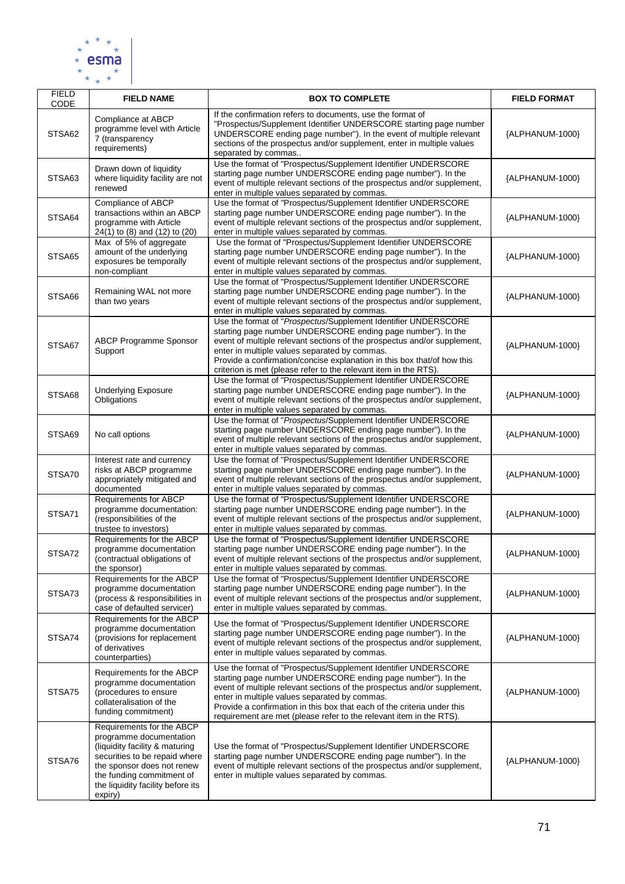

| <b>FIELD</b><br><b>CODE</b> | <b>FIELD NAME</b>                                                                                                                                                                                                                  | <b>BOX TO COMPLETE</b>                                                                                                                                                                                                                                                                                                                                                                                        | <b>FIELD FORMAT</b> |
|-----------------------------|------------------------------------------------------------------------------------------------------------------------------------------------------------------------------------------------------------------------------------|---------------------------------------------------------------------------------------------------------------------------------------------------------------------------------------------------------------------------------------------------------------------------------------------------------------------------------------------------------------------------------------------------------------|---------------------|
| STSA62                      | Compliance at ABCP<br>programme level with Article<br>7 (transparency<br>requirements)                                                                                                                                             | If the confirmation refers to documents, use the format of<br>"Prospectus/Supplement Identifier UNDERSCORE starting page number<br>UNDERSCORE ending page number"). In the event of multiple relevant<br>sections of the prospectus and/or supplement, enter in multiple values<br>separated by commas                                                                                                        | {ALPHANUM-1000}     |
| STSA63                      | Drawn down of liquidity<br>where liquidity facility are not<br>renewed                                                                                                                                                             | Use the format of "Prospectus/Supplement Identifier UNDERSCORE<br>starting page number UNDERSCORE ending page number"). In the<br>event of multiple relevant sections of the prospectus and/or supplement,<br>enter in multiple values separated by commas.                                                                                                                                                   | {ALPHANUM-1000}     |
| STSA64                      | Compliance of ABCP<br>transactions within an ABCP<br>programme with Article<br>24(1) to (8) and (12) to (20)                                                                                                                       | Use the format of "Prospectus/Supplement Identifier UNDERSCORE<br>starting page number UNDERSCORE ending page number"). In the<br>event of multiple relevant sections of the prospectus and/or supplement,<br>enter in multiple values separated by commas.                                                                                                                                                   | {ALPHANUM-1000}     |
| STSA65                      | Max of 5% of aggregate<br>amount of the underlying<br>exposures be temporally<br>non-compliant                                                                                                                                     | Use the format of "Prospectus/Supplement Identifier UNDERSCORE<br>starting page number UNDERSCORE ending page number"). In the<br>event of multiple relevant sections of the prospectus and/or supplement,<br>enter in multiple values separated by commas.                                                                                                                                                   | {ALPHANUM-1000}     |
| STSA66                      | Remaining WAL not more<br>than two years                                                                                                                                                                                           | Use the format of "Prospectus/Supplement Identifier UNDERSCORE<br>starting page number UNDERSCORE ending page number"). In the<br>event of multiple relevant sections of the prospectus and/or supplement,<br>enter in multiple values separated by commas.                                                                                                                                                   | {ALPHANUM-1000}     |
| STSA67                      | <b>ABCP Programme Sponsor</b><br>Support                                                                                                                                                                                           | Use the format of "Prospectus/Supplement Identifier UNDERSCORE<br>starting page number UNDERSCORE ending page number"). In the<br>event of multiple relevant sections of the prospectus and/or supplement,<br>enter in multiple values separated by commas.<br>Provide a confirmation/concise explanation in this box that/of how this<br>criterion is met (please refer to the relevant item in the RTS).    | {ALPHANUM-1000}     |
| STSA68                      | <b>Underlying Exposure</b><br>Obligations                                                                                                                                                                                          | Use the format of "Prospectus/Supplement Identifier UNDERSCORE<br>starting page number UNDERSCORE ending page number"). In the<br>event of multiple relevant sections of the prospectus and/or supplement,<br>enter in multiple values separated by commas.                                                                                                                                                   | {ALPHANUM-1000}     |
| STSA69                      | No call options                                                                                                                                                                                                                    | Use the format of "Prospectus/Supplement Identifier UNDERSCORE<br>starting page number UNDERSCORE ending page number"). In the<br>event of multiple relevant sections of the prospectus and/or supplement,<br>enter in multiple values separated by commas.                                                                                                                                                   | {ALPHANUM-1000}     |
| STSA70                      | Interest rate and currency<br>risks at ABCP programme<br>appropriately mitigated and<br>documented                                                                                                                                 | Use the format of "Prospectus/Supplement Identifier UNDERSCORE<br>starting page number UNDERSCORE ending page number"). In the<br>event of multiple relevant sections of the prospectus and/or supplement,<br>enter in multiple values separated by commas.                                                                                                                                                   | {ALPHANUM-1000}     |
| STSA71                      | Requirements for ABCP<br>programme documentation:<br>(responsibilities of the<br>trustee to investors)                                                                                                                             | Use the format of "Prospectus/Supplement Identifier UNDERSCORE<br>starting page number UNDERSCORE ending page number"). In the<br>event of multiple relevant sections of the prospectus and/or supplement,<br>enter in multiple values separated by commas.                                                                                                                                                   | {ALPHANUM-1000}     |
| STSA72                      | Requirements for the ABCP<br>programme documentation<br>(contractual obligations of<br>the sponsor)                                                                                                                                | Use the format of "Prospectus/Supplement Identifier UNDERSCORE<br>starting page number UNDERSCORE ending page number"). In the<br>event of multiple relevant sections of the prospectus and/or supplement,<br>enter in multiple values separated by commas.                                                                                                                                                   | {ALPHANUM-1000}     |
| STSA73                      | Requirements for the ABCP<br>programme documentation<br>(process & responsibilities in<br>case of defaulted servicer)                                                                                                              | Use the format of "Prospectus/Supplement Identifier UNDERSCORE<br>starting page number UNDERSCORE ending page number"). In the<br>event of multiple relevant sections of the prospectus and/or supplement,<br>enter in multiple values separated by commas.                                                                                                                                                   | {ALPHANUM-1000}     |
| STSA74                      | Requirements for the ABCP<br>programme documentation<br>(provisions for replacement<br>of derivatives<br>counterparties)                                                                                                           | Use the format of "Prospectus/Supplement Identifier UNDERSCORE<br>starting page number UNDERSCORE ending page number"). In the<br>event of multiple relevant sections of the prospectus and/or supplement,<br>enter in multiple values separated by commas.                                                                                                                                                   | {ALPHANUM-1000}     |
| STSA75                      | Requirements for the ABCP<br>programme documentation<br>(procedures to ensure<br>collateralisation of the<br>funding commitment)                                                                                                   | Use the format of "Prospectus/Supplement Identifier UNDERSCORE<br>starting page number UNDERSCORE ending page number"). In the<br>event of multiple relevant sections of the prospectus and/or supplement,<br>enter in multiple values separated by commas.<br>Provide a confirmation in this box that each of the criteria under this<br>requirement are met (please refer to the relevant item in the RTS). | {ALPHANUM-1000}     |
| STSA76                      | Requirements for the ABCP<br>programme documentation<br>(liquidity facility & maturing<br>securities to be repaid where<br>the sponsor does not renew<br>the funding commitment of<br>the liquidity facility before its<br>expiry) | Use the format of "Prospectus/Supplement Identifier UNDERSCORE<br>starting page number UNDERSCORE ending page number"). In the<br>event of multiple relevant sections of the prospectus and/or supplement,<br>enter in multiple values separated by commas.                                                                                                                                                   | {ALPHANUM-1000}     |